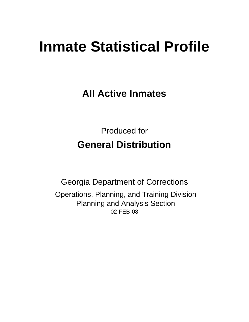# **Inmate Statistical Profile**

**All Active Inmates**

Produced for **General Distribution**

02-FEB-08 Georgia Department of Corrections Operations, Planning, and Training Division Planning and Analysis Section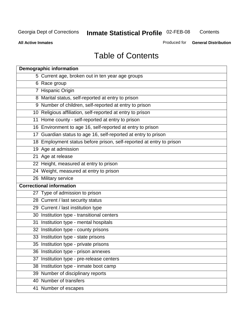**Contents** 

**All Active Inmates**

Produced for **General Distribution**

# Table of Contents

| <b>Demographic information</b>                                       |  |
|----------------------------------------------------------------------|--|
| 5 Current age, broken out in ten year age groups                     |  |
| 6 Race group                                                         |  |
| 7 Hispanic Origin                                                    |  |
| 8 Marital status, self-reported at entry to prison                   |  |
| 9 Number of children, self-reported at entry to prison               |  |
| 10 Religious affiliation, self-reported at entry to prison           |  |
| 11 Home county - self-reported at entry to prison                    |  |
| 16 Environment to age 16, self-reported at entry to prison           |  |
| 17 Guardian status to age 16, self-reported at entry to prison       |  |
| 18 Employment status before prison, self-reported at entry to prison |  |
| 19 Age at admission                                                  |  |
| 21 Age at release                                                    |  |
| 22 Height, measured at entry to prison                               |  |
| 24 Weight, measured at entry to prison                               |  |
| 26 Military service                                                  |  |
| <b>Correctional information</b>                                      |  |
| 27 Type of admission to prison                                       |  |
| 28 Current / last security status                                    |  |
| 29 Current / last institution type                                   |  |
| 30 Institution type - transitional centers                           |  |
| 31 Institution type - mental hospitals                               |  |
| 32 Institution type - county prisons                                 |  |
| 33 Institution type - state prisons                                  |  |
| 35 Institution type - private prisons                                |  |
| 36 Institution type - prison annexes                                 |  |
| 37 Institution type - pre-release centers                            |  |
| 38 Institution type - inmate boot camp                               |  |
| 39 Number of disciplinary reports                                    |  |
| 40 Number of transfers                                               |  |
| 41 Number of escapes                                                 |  |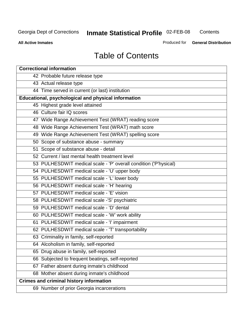**Contents** 

**All Active Inmates**

Produced for **General Distribution**

# Table of Contents

| <b>Correctional information</b>                                  |
|------------------------------------------------------------------|
| 42 Probable future release type                                  |
| 43 Actual release type                                           |
| 44 Time served in current (or last) institution                  |
| Educational, psychological and physical information              |
| 45 Highest grade level attained                                  |
| 46 Culture fair IQ scores                                        |
| 47 Wide Range Achievement Test (WRAT) reading score              |
| 48 Wide Range Achievement Test (WRAT) math score                 |
| 49 Wide Range Achievement Test (WRAT) spelling score             |
| 50 Scope of substance abuse - summary                            |
| 51 Scope of substance abuse - detail                             |
| 52 Current / last mental health treatment level                  |
| 53 PULHESDWIT medical scale - 'P' overall condition ('P'hysical) |
| 54 PULHESDWIT medical scale - 'U' upper body                     |
| 55 PULHESDWIT medical scale - 'L' lower body                     |
| 56 PULHESDWIT medical scale - 'H' hearing                        |
| 57 PULHESDWIT medical scale - 'E' vision                         |
| 58 PULHESDWIT medical scale -'S' psychiatric                     |
| 59 PULHESDWIT medical scale - 'D' dental                         |
| 60 PULHESDWIT medical scale - 'W' work ability                   |
| 61 PULHESDWIT medical scale - 'I' impairment                     |
| 62 PULHESDWIT medical scale - 'T' transportability               |
| 63 Criminality in family, self-reported                          |
| 64 Alcoholism in family, self-reported                           |
| 65 Drug abuse in family, self-reported                           |
| 66 Subjected to frequent beatings, self-reported                 |
| 67 Father absent during inmate's childhood                       |
| 68 Mother absent during inmate's childhood                       |
| <b>Crimes and criminal history information</b>                   |
| 69 Number of prior Georgia incarcerations                        |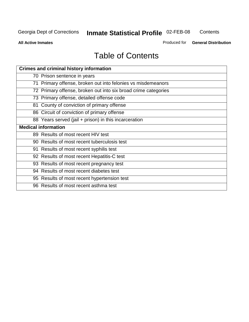**Contents** 

**All Active Inmates**

Produced for **General Distribution**

# Table of Contents

| <b>Crimes and criminal history information</b>                 |
|----------------------------------------------------------------|
| 70 Prison sentence in years                                    |
| 71 Primary offense, broken out into felonies vs misdemeanors   |
| 72 Primary offense, broken out into six broad crime categories |
| 73 Primary offense, detailed offense code                      |
| 81 County of conviction of primary offense                     |
| 86 Circuit of conviction of primary offense                    |
| 88 Years served (jail + prison) in this incarceration          |
| <b>Medical information</b>                                     |
| 89 Results of most recent HIV test                             |
| 90 Results of most recent tuberculosis test                    |
| 91 Results of most recent syphilis test                        |
| 92 Results of most recent Hepatitis-C test                     |
| 93 Results of most recent pregnancy test                       |
| 94 Results of most recent diabetes test                        |
| 95 Results of most recent hypertension test                    |
| 96 Results of most recent asthma test                          |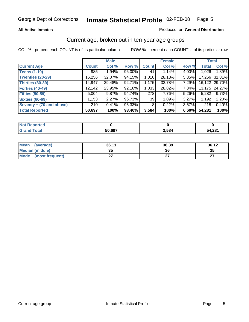#### **All Active Inmates**

#### Produced for **General Distribution**

#### Current age, broken out in ten-year age groups

|                          |              | <b>Male</b> |        |                 | <b>Female</b> |          |              | <b>Total</b>  |
|--------------------------|--------------|-------------|--------|-----------------|---------------|----------|--------------|---------------|
| <b>Current Age</b>       | <b>Count</b> | Col %       | Row %  | <b>Count</b>    | Col %         | Row %    | <b>Total</b> | Col %         |
| <b>Teens (1-19)</b>      | 985          | $1.94\%$    | 96.00% | 41              | 1.14%         | 4.00%    | 1,026        | 1.89%         |
| <b>Twenties (20-29)</b>  | 16,256       | 32.07%      | 94.15% | 1,010           | 28.18%        | $5.85\%$ |              | 17,266 31.81% |
| <b>Thirties (30-39)</b>  | 14,947       | 29.48%      | 92.71% | 1,175           | 32.78%        | $7.29\%$ |              | 16,122 29.70% |
| <b>Forties (40-49)</b>   | 12,142       | 23.95%      | 92.16% | 1,033           | 28.82%        | 7.84%    |              | 13,175 24.27% |
| <b>Fifties (50-59)</b>   | 5,004        | $9.87\%$    | 94.74% | 278             | 7.76%         | $5.26\%$ | 5,282        | 9.73%         |
| <b>Sixties (60-69)</b>   | 1,153        | 2.27%       | 96.73% | 39 <sub>1</sub> | 1.09%         | $3.27\%$ | 1,192        | 2.20%         |
| Seventy + (70 and above) | 210          | 0.41%       | 96.33% | 8 <sup>1</sup>  | 0.22%         | $3.67\%$ | 218          | 0.40%         |
| <b>Total Reported</b>    | 50,697       | 100%        | 93.40% | 3,584           | 100%          | 6.60%    | 54,281       | 100%          |

| <b>Not Reported</b> |        |      |        |
|---------------------|--------|------|--------|
| <b>Fotal</b>        | 50,697 | 584, | 54,281 |

| <b>Mean</b><br>(average) | 36.11     | 36.39 | 36.12     |
|--------------------------|-----------|-------|-----------|
| Median (middle)          | 25<br>JJ. | 36    | 35        |
| Mode<br>(most frequent)  |           |       | ^7<br>. . |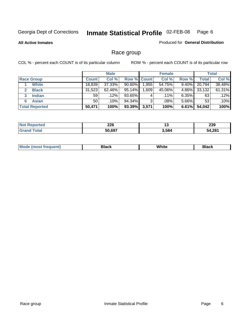**All Active Inmates**

#### Produced for **General Distribution**

### Race group

|                       |              | <b>Male</b> |                    |          | <b>Female</b> |          |        | <b>Total</b> |
|-----------------------|--------------|-------------|--------------------|----------|---------------|----------|--------|--------------|
| <b>Race Group</b>     | <b>Count</b> | Col %       | <b>Row % Count</b> |          | Col %         | Row %    | Total  | Col %        |
| <b>White</b>          | 18,839       | 37.33%      | 90.60%             | ا 955. ا | 54.75%        | 9.40%    | 20,794 | 38.48%       |
| <b>Black</b>          | 31,523       | $62.46\%$   | 95.14%             | .609     | 45.06%        | 4.86%    | 33,132 | 61.31%       |
| <b>Indian</b><br>3    | 59           | $.12\%$     | 93.65%             | 4        | $.11\%$       | $6.35\%$ | 63     | .12%         |
| <b>Asian</b>          | 50           | .10%        | 94.34%             | 3        | .08%          | $5.66\%$ | 53     | .10%         |
| <b>Total Reported</b> | 50,471       | 100%        | $93.39\%$          | 3,571    | 100%          | 6.61%    | 54,042 | 100%         |

|        | 226<br>$\sim$ | יי    | ooc<br>മാ |
|--------|---------------|-------|-----------|
| $\sim$ | 50.697<br>ווכ | 3,584 | 54.281    |

|  | $Mc$ | Black | White<br>$ -$ | 21904<br>DIACK |
|--|------|-------|---------------|----------------|
|--|------|-------|---------------|----------------|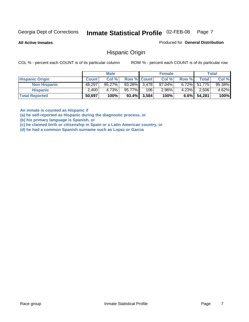**All Active Inmates**

Produced for **General Distribution**

#### Hispanic Origin

COL % - percent each COUNT is of its particular column ROW % - percent each COUNT is of its particular row

|                        |              | <b>Male</b> |                    |                | <b>Female</b> |         |                 | <b>Total</b> |
|------------------------|--------------|-------------|--------------------|----------------|---------------|---------|-----------------|--------------|
| <b>Hispanic Origin</b> | <b>Count</b> | Col %       | <b>Row % Count</b> |                | Col %         | Row %   | <b>Total</b>    | Col %        |
| <b>Non Hispanic</b>    | 48,297       | $95.27\%$   | 93.28% 3,478       |                | $97.04\%$     |         | $6.72\%$ 51,775 | 95.38%       |
| <b>Hispanic</b>        | 2,400        | 4.73%       | 95.77%             | 106            | $2.96\%$      | 4.23%   | 2,506           | $4.62\%$     |
| <b>Total Reported</b>  | 50,697       | 100%        |                    | $93.4\%$ 3,584 | 100%          | $6.6\%$ | 54,281          | 100%         |

**An inmate is counted as Hispanic if** 

**(a) he self-reported as Hispanic during the diagnostic process, or** 

**(b) his primary language is Spanish, or** 

**(c) he claimed birth or citizenship in Spain or a Latin American country, or** 

**(d) he had a common Spanish surname such as Lopez or Garcia**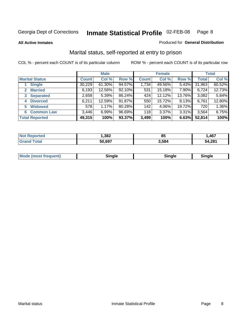**All Active Inmates**

#### Produced for **General Distribution**

### Marital status, self-reported at entry to prison

|                                  | <b>Male</b>  |           |        | <b>Female</b> |        |          | <b>Total</b> |        |
|----------------------------------|--------------|-----------|--------|---------------|--------|----------|--------------|--------|
| <b>Marital Status</b>            | <b>Count</b> | Col %     | Row %  | <b>Count</b>  | Col %  | Row %    | <b>Total</b> | Col %  |
| <b>Single</b>                    | 30,229       | $61.30\%$ | 94.57% | 1,734         | 49.56% | $5.43\%$ | 31,963       | 60.52% |
| <b>Married</b><br>$\mathbf{2}^-$ | 6,193        | 12.56%    | 92.10% | 531           | 15.18% | 7.90%    | 6,724        | 12.73% |
| <b>Separated</b><br>3            | 2,658        | 5.39%     | 86.24% | 424           | 12.12% | 13.76%   | 3,082        | 5.84%  |
| <b>Divorced</b><br>4             | 6,211        | 12.59%    | 91.87% | 550           | 15.72% | 8.13%    | 6,761        | 12.80% |
| <b>Widowed</b><br>5              | 578          | 1.17%     | 80.28% | 142           | 4.06%  | 19.72%   | 720          | 1.36%  |
| <b>Common Law</b><br>6.          | 3,446        | 6.99%     | 96.69% | 118           | 3.37%  | 3.31%    | 3,564        | 6.75%  |
| <b>Total Reported</b>            | 49,315       | 100%      | 93.37% | 3,499         | 100%   | 6.63%    | 52,814       | 100%   |

| ,382   | oг<br>υJ | .467   |
|--------|----------|--------|
| 50.697 | 584ء ت   | 54,281 |

|  | Mode (most f<br>freauent) | `ınale |  | `inale |
|--|---------------------------|--------|--|--------|
|--|---------------------------|--------|--|--------|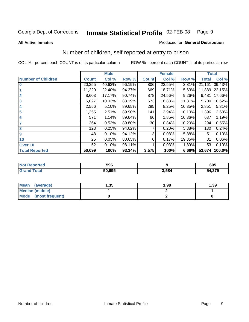**All Active Inmates**

#### Produced for **General Distribution**

### Number of children, self reported at entry to prison

|                           | <b>Male</b>  |        |        |              | <b>Female</b> |        | <b>Total</b> |        |
|---------------------------|--------------|--------|--------|--------------|---------------|--------|--------------|--------|
| <b>Number of Children</b> | <b>Count</b> | Col %  | Row %  | <b>Count</b> | Col %         | Row %  | <b>Total</b> | Col %  |
| $\bf{0}$                  | 20,355       | 40.63% | 96.19% | 806          | 22.55%        | 3.81%  | 21,161       | 39.43% |
|                           | 11,220       | 22.40% | 94.37% | 669          | 18.71%        | 5.63%  | 11,889       | 22.15% |
| $\overline{2}$            | 8,603        | 17.17% | 90.74% | 878          | 24.56%        | 9.26%  | 9,481        | 17.66% |
| 3                         | 5,027        | 10.03% | 88.19% | 673          | 18.83%        | 11.81% | 5,700        | 10.62% |
| 4                         | 2,556        | 5.10%  | 89.65% | 295          | 8.25%         | 10.35% | 2,851        | 5.31%  |
| 5                         | 1,255        | 2.51%  | 89.90% | 141          | 3.94%         | 10.10% | 1,396        | 2.60%  |
| $6\phantom{a}$            | 571          | 1.14%  | 89.64% | 66           | 1.85%         | 10.36% | 637          | 1.19%  |
| 7                         | 264          | 0.53%  | 89.80% | 30           | 0.84%         | 10.20% | 294          | 0.55%  |
| 8                         | 123          | 0.25%  | 94.62% |              | 0.20%         | 5.38%  | 130          | 0.24%  |
| 9                         | 48           | 0.10%  | 94.12% | 3            | 0.08%         | 5.88%  | 51           | 0.10%  |
| 10                        | 25           | 0.05%  | 80.65% | 6            | 0.17%         | 19.35% | 31           | 0.06%  |
| Over 10                   | 52           | 0.10%  | 98.11% |              | 0.03%         | 1.89%  | 53           | 0.10%  |
| <b>Total Reported</b>     | 50,099       | 100%   | 93.34% | 3,575        | 100%          | 6.66%  | 53,674       | 100.0% |

| 596           |      | 605                   |
|---------------|------|-----------------------|
| EN CAE<br>בעס | .584 | חדר<br>54<br>)4.Z / J |

| <b>Mean</b><br>(average) | 1.35 | 1.98 | .39 |
|--------------------------|------|------|-----|
| <b>Median (middle)</b>   |      |      |     |
| Mode<br>(most frequent)  |      |      |     |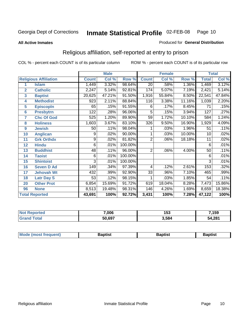#### **All Active Inmates**

#### Produced for **General Distribution**

### Religious affiliation, self-reported at entry to prison

|                         | <b>Male</b>                  |              |        |         |                 | <b>Female</b> |        | <b>Total</b>    |        |
|-------------------------|------------------------------|--------------|--------|---------|-----------------|---------------|--------|-----------------|--------|
|                         | <b>Religious Affiliation</b> | <b>Count</b> | Col %  | Row %   | <b>Count</b>    | Col %         | Row %  | <b>Total</b>    | Col %  |
| 1                       | <b>Islam</b>                 | 1,449        | 3.32%  | 98.64%  | $\overline{20}$ | .58%          | 1.36%  | 1,469           | 3.12%  |
| $\overline{2}$          | <b>Catholic</b>              | 2,247        | 5.14%  | 92.81%  | 174             | 5.07%         | 7.19%  | 2,421           | 5.14%  |
| $\overline{\mathbf{3}}$ | <b>Baptist</b>               | 20,625       | 47.21% | 91.50%  | 1,916           | 55.84%        | 8.50%  | 22,541          | 47.84% |
| 4                       | <b>Methodist</b>             | 923          | 2.11%  | 88.84%  | 116             | 3.38%         | 11.16% | 1,039           | 2.20%  |
| 5                       | <b>EpiscopIn</b>             | 65           | .15%   | 91.55%  | 6               | .17%          | 8.45%  | $\overline{71}$ | .15%   |
| 6                       | <b>Presbytrn</b>             | 122          | .28%   | 96.06%  | $\overline{5}$  | .15%          | 3.94%  | 127             | .27%   |
| 7                       | <b>Chc Of God</b>            | 525          | 1.20%  | 89.90%  | 59              | 1.72%         | 10.10% | 584             | 1.24%  |
| 8                       | <b>Holiness</b>              | 1,603        | 3.67%  | 83.10%  | 326             | 9.50%         | 16.90% | 1,929           | 4.09%  |
| $\boldsymbol{9}$        | <b>Jewish</b>                | 50           | .11%   | 98.04%  |                 | .03%          | 1.96%  | 51              | .11%   |
| 10                      | <b>Anglican</b>              | 9            | .02%   | 90.00%  |                 | .03%          | 10.00% | 10              | .02%   |
| 11                      | <b>Grk Orthdx</b>            | 9            | .02%   | 81.82%  | $\overline{2}$  | .06%          | 18.18% | 11              | .02%   |
| 12                      | <b>Hindu</b>                 | 6            | .01%   | 100.00% |                 |               |        | 6               | .01%   |
| 13                      | <b>Buddhist</b>              | 48           | .11%   | 96.00%  | $\overline{2}$  | .06%          | 4.00%  | 50              | .11%   |
| 14                      | <b>Taoist</b>                | 6            | .01%   | 100.00% |                 |               |        | 6               | .01%   |
| 15                      | <b>Shintoist</b>             | 3            | .01%   | 100.00% |                 |               |        | 3               | .01%   |
| 16                      | <b>Seven D Ad</b>            | 149          | .34%   | 97.39%  | 4               | .12%          | 2.61%  | 153             | .32%   |
| 17                      | <b>Jehovah Wt</b>            | 432          | .99%   | 92.90%  | 33              | .96%          | 7.10%  | 465             | .99%   |
| 18                      | <b>Latr Day S</b>            | 53           | .12%   | 98.15%  |                 | .03%          | 1.85%  | 54              | .11%   |
| 20                      | <b>Other Prot</b>            | 6,854        | 15.69% | 91.72%  | 619             | 18.04%        | 8.28%  | 7,473           | 15.86% |
| 96                      | <b>None</b>                  | 8,513        | 19.48% | 98.31%  | 146             | 4.26%         | 1.69%  | 8,659           | 18.38% |
|                         | <b>Total Reported</b>        | 43,691       | 100%   | 92.72%  | 3,431           | 100%          | 7.28%  | 47,122          | 100%   |

| med | 7,006  | 153   | ,159   |  |
|-----|--------|-------|--------|--|
|     | 50,697 | 3,584 | 54,281 |  |

| <b>Mode</b><br>frequent)<br>umost | 3aptist | 3aptist | <b>Baptist</b> |
|-----------------------------------|---------|---------|----------------|
|                                   |         |         |                |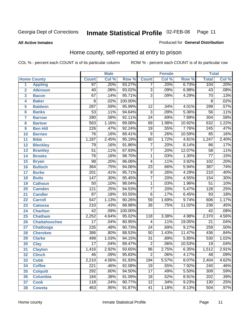#### **All Active Inmates**

#### Produced for **General Distribution**

### Home county, self-reported at entry to prison

|                |                      |                  | <b>Male</b> |         |                           | <b>Female</b> |        | <b>Total</b>     |       |
|----------------|----------------------|------------------|-------------|---------|---------------------------|---------------|--------|------------------|-------|
|                | <b>Home County</b>   | <b>Count</b>     | Col %       | Row %   | <b>Count</b>              | Col %         | Row %  | <b>Total</b>     | Col % |
| 1              | <b>Appling</b>       | 97               | .20%        | 93.27%  | 7                         | .20%          | 6.73%  | 104              | .20%  |
| $\overline{2}$ | <b>Atkinson</b>      | 40               | .08%        | 93.02%  | $\overline{3}$            | .09%          | 6.98%  | 43               | .08%  |
| 3              | <b>Bacon</b>         | 67               | .14%        | 95.71%  | $\overline{\overline{3}}$ | .09%          | 4.29%  | $\overline{70}$  | .13%  |
| 4              | <b>Baker</b>         | 8                | .02%        | 100.00% |                           |               |        | 8                | .02%  |
| 5              | <b>Baldwin</b>       | $\overline{287}$ | .59%        | 95.99%  | 12                        | .34%          | 4.01%  | 299              | .57%  |
| $6\phantom{a}$ | <b>Banks</b>         | $\overline{53}$  | .11%        | 94.64%  | $\overline{3}$            | .09%          | 5.36%  | $\overline{56}$  | .11%  |
| $\overline{7}$ | <b>Barrow</b>        | 280              | .58%        | 92.11%  | $\overline{24}$           | .69%          | 7.89%  | 304              | .58%  |
| 8              | <b>Bartow</b>        | 563              | 1.16%       | 89.08%  | 69                        | 1.98%         | 10.92% | 632              | 1.22% |
| 9              | <b>Ben Hill</b>      | $\overline{226}$ | .47%        | 92.24%  | $\overline{19}$           | .55%          | 7.76%  | 245              | .47%  |
| 10             | <b>Berrien</b>       | $\overline{76}$  | .16%        | 89.41%  | $\overline{9}$            | .26%          | 10.59% | 85               | .16%  |
| 11             | <b>Bibb</b>          | 1,187            | 2.45%       | 95.19%  | 60                        | 1.72%         | 4.81%  | 1,247            | 2.40% |
| 12             | <b>Bleckley</b>      | 79               | .16%        | 91.86%  | $\overline{7}$            | .20%          | 8.14%  | 86               | .17%  |
| 13             | <b>Brantley</b>      | $\overline{51}$  | .11%        | 87.93%  | $\overline{7}$            | .20%          | 12.07% | $\overline{58}$  | .11%  |
| 14             | <b>Brooks</b>        | $\overline{76}$  | .16%        | 98.70%  | $\overline{1}$            | .03%          | 1.30%  | $\overline{77}$  | .15%  |
| 15             | <b>Bryan</b>         | $\overline{98}$  | .20%        | 96.08%  | $\overline{4}$            | .11%          | 3.92%  | 102              | .20%  |
| 16             | <b>Bulloch</b>       | 364              | .75%        | 94.06%  | $\overline{23}$           | .66%          | 5.94%  | 387              | .74%  |
| 17             | <b>Burke</b>         | $\overline{201}$ | .41%        | 95.71%  | $\overline{9}$            | .26%          | 4.29%  | $\overline{210}$ | .40%  |
| 18             | <b>Butts</b>         | $\overline{147}$ | .30%        | 95.45%  | $\overline{7}$            | .20%          | 4.55%  | 154              | .30%  |
| 19             | <b>Calhoun</b>       | 50               | .10%        | 98.04%  | 1                         | .03%          | 1.96%  | $\overline{51}$  | .10%  |
| 20             | <b>Camden</b>        | $\overline{121}$ | .25%        | 94.53%  | $\overline{7}$            | .20%          | 5.47%  | 128              | .25%  |
| 21             | <b>Candler</b>       | $\overline{87}$  | .18%        | 93.55%  | $\overline{6}$            | .17%          | 6.45%  | $\overline{93}$  | .18%  |
| 22             | <b>Carroll</b>       | $\overline{547}$ | 1.13%       | 90.26%  | $\overline{59}$           | 1.69%         | 9.74%  | 606              | 1.17% |
| 23             | <b>Catoosa</b>       | $\overline{210}$ | .43%        | 88.98%  | $\overline{26}$           | .75%          | 11.02% | 236              | .45%  |
| 24             | <b>Charlton</b>      | $\overline{42}$  | .09%        | 100.00% |                           |               |        | 42               | .08%  |
| 25             | <b>Chatham</b>       | 2,252            | 4.64%       | 95.02%  | $\overline{118}$          | 3.38%         | 4.98%  | 2,370            | 4.56% |
| 26             | <b>Chattahoochee</b> | $\overline{17}$  | .04%        | 80.95%  | 4                         | .11%          | 19.05% | $\overline{21}$  | .04%  |
| 27             | <b>Chattooga</b>     | 235              | .48%        | 90.73%  | $\overline{24}$           | .69%          | 9.27%  | 259              | .50%  |
| 28             | <b>Cherokee</b>      | 386              | .80%        | 88.53%  | $\overline{50}$           | 1.43%         | 11.47% | 436              | .84%  |
| 29             | <b>Clarke</b>        | 499              | 1.03%       | 94.15%  | $\overline{31}$           | .89%          | 5.85%  | 530              | 1.02% |
| 30             | <b>Clay</b>          | $\overline{17}$  | .04%        | 89.47%  | $\overline{2}$            | .06%          | 10.53% | $\overline{19}$  | .04%  |
| 31             | <b>Clayton</b>       | 1,416            | 2.92%       | 93.65%  | $\overline{96}$           | 2.75%         | 6.35%  | 1,512            | 2.91% |
| 32             | <b>Clinch</b>        | $\overline{46}$  | .09%        | 95.83%  | $\overline{2}$            | .06%          | 4.17%  | $\overline{48}$  | .09%  |
| 33             | <b>Cobb</b>          | 2,210            | 4.56%       | 91.93%  | 194                       | 5.57%         | 8.07%  | 2,404            | 4.62% |
| 34             | <b>Coffee</b>        | $\overline{221}$ | .46%        | 92.08%  | $\overline{19}$           | .55%          | 7.92%  | 240              | .46%  |
| 35             | <b>Colquitt</b>      | 292              | .60%        | 94.50%  | $\overline{17}$           | .49%          | 5.50%  | 309              | .59%  |
| 36             | <b>Columbia</b>      | 184              | .38%        | 91.09%  | 18                        | .52%          | 8.91%  | 202              | .39%  |
| 37             | <b>Cook</b>          | 118              | .24%        | 90.77%  | $\overline{12}$           | .34%          | 9.23%  | 130              | .25%  |
| 38             | <b>Coweta</b>        | 463              | .95%        | 91.87%  | $\overline{41}$           | 1.18%         | 8.13%  | 504              | .97%  |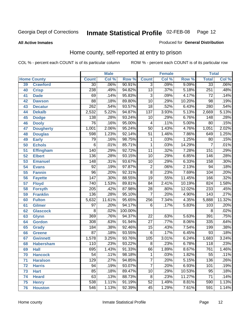#### **All Active Inmates**

#### Produced for **General Distribution**

### Home county, self-reported at entry to prison

|                 |                    |                  | <b>Male</b> |         |                 | <b>Female</b> |        | <b>Total</b>     |                            |
|-----------------|--------------------|------------------|-------------|---------|-----------------|---------------|--------|------------------|----------------------------|
|                 | <b>Home County</b> | <b>Count</b>     | Col %       | Row %   | <b>Count</b>    | Col %         | Row %  | <b>Total</b>     | $\overline{\text{Col }^9}$ |
| 39              | <b>Crawford</b>    | $\overline{30}$  | .06%        | 90.91%  | $\overline{3}$  | .09%          | 9.09%  | $\overline{33}$  | $.06\%$                    |
| 40              | <b>Crisp</b>       | 238              | .49%        | 94.82%  | $\overline{13}$ | .37%          | 5.18%  | 251              | .48%                       |
| 41              | <b>Dade</b>        | 69               | .14%        | 95.83%  | $\overline{3}$  | .09%          | 4.17%  | $\overline{72}$  | .14%                       |
| 42              | <b>Dawson</b>      | $\overline{88}$  | .18%        | 89.80%  | $\overline{10}$ | .29%          | 10.20% | $\overline{98}$  | .19%                       |
| 43              | <b>Decatur</b>     | $\overline{262}$ | .54%        | 93.57%  | $\overline{18}$ | .52%          | 6.43%  | 280              | .54%                       |
| 44              | <b>Dekalb</b>      | 2,532            | 5.22%       | 94.87%  | 137             | 3.93%         | 5.13%  | 2,669            | 5.13%                      |
| 45              | <b>Dodge</b>       | 138              | .28%        | 93.24%  | 10              | .29%          | 6.76%  | 148              | .28%                       |
| 46              | <b>Dooly</b>       | $\overline{76}$  | .16%        | 95.00%  | 4               | .11%          | 5.00%  | $\overline{80}$  | .15%                       |
| 47              | <b>Dougherty</b>   | 1,001            | 2.06%       | 95.24%  | $\overline{50}$ | 1.43%         | 4.76%  | 1,051            | 2.02%                      |
| 48              | <b>Douglas</b>     | 598              | 1.23%       | 92.14%  | $\overline{51}$ | 1.46%         | 7.86%  | 649              | 1.25%                      |
| 49              | <b>Early</b>       | 79               | .16%        | 98.75%  | 1               | .03%          | 1.25%  | $\overline{80}$  | .15%                       |
| 50              | <b>Echols</b>      | 6                | .01%        | 85.71%  | $\mathbf 1$     | .03%          | 14.29% | 7                | .01%                       |
| $\overline{51}$ | <b>Effingham</b>   | 140              | .29%        | 92.72%  | $\overline{11}$ | .32%          | 7.28%  | 151              | .29%                       |
| 52              | <b>Elbert</b>      | 136              | .28%        | 93.15%  | $\overline{10}$ | .29%          | 6.85%  | 146              | .28%                       |
| 53              | <b>Emanuel</b>     | 148              | .31%        | 93.67%  | $\overline{10}$ | .29%          | 6.33%  | 158              | .30%                       |
| 54              | <b>Evans</b>       | 92               | .19%        | 97.87%  | $\overline{2}$  | .06%          | 2.13%  | 94               | .18%                       |
| 55              | <b>Fannin</b>      | $\overline{96}$  | .20%        | 92.31%  | $\overline{8}$  | .23%          | 7.69%  | 104              | .20%                       |
| 56              | <b>Fayette</b>     | $\overline{147}$ | .30%        | 88.55%  | $\overline{19}$ | .55%          | 11.45% | 166              | .32%                       |
| 57              | <b>Floyd</b>       | 740              | 1.53%       | 89.81%  | $\overline{84}$ | 2.41%         | 10.19% | 824              | 1.58%                      |
| 58              | <b>Forsyth</b>     | $\overline{205}$ | .42%        | 87.98%  | $\overline{28}$ | .80%          | 12.02% | 233              | .45%                       |
| 59              | <b>Franklin</b>    | 136              | .28%        | 95.10%  | $\overline{7}$  | .20%          | 4.90%  | $\overline{143}$ | .27%                       |
| 60              | <b>Fulton</b>      | 5,632            | 11.61%      | 95.65%  | 256             | 7.34%         | 4.35%  | 5,888            | 11.32%                     |
| 61              | Gilmer             | 97               | .20%        | 94.17%  | 6               | .17%          | 5.83%  | 103              | .20%                       |
| 62              | <b>Glascock</b>    | 8                | .02%        | 100.00% |                 |               |        | $\overline{8}$   | .02%                       |
| 63              | <b>Glynn</b>       | 369              | .76%        | 94.37%  | $\overline{22}$ | .63%          | 5.63%  | 391              | .75%                       |
| 64              | <b>Gordon</b>      | 308              | .63%        | 91.94%  | $\overline{27}$ | .77%          | 8.06%  | 335              | .64%                       |
| 65              | <b>Grady</b>       | 184              | .38%        | 92.46%  | $\overline{15}$ | .43%          | 7.54%  | 199              | .38%                       |
| 66              | <b>Greene</b>      | $\overline{87}$  | .18%        | 93.55%  | 6               | .17%          | 6.45%  | $\overline{93}$  | .18%                       |
| 67              | <b>Gwinnett</b>    | 1,578            | 3.25%       | 93.76%  | 105             | 3.01%         | 6.24%  | 1,683            | 3.24%                      |
| 68              | <b>Habersham</b>   | 110              | .23%        | 93.22%  | $\overline{8}$  | .23%          | 6.78%  | 118              | .23%                       |
| 69              | <b>Hall</b>        | $\overline{695}$ | 1.43%       | 91.33%  | 66              | 1.89%         | 8.67%  | 761              | 1.46%                      |
| 70              | <b>Hancock</b>     | $\overline{54}$  | .11%        | 98.18%  | 1               | .03%          | 1.82%  | 55               | .11%                       |
| 71              | <b>Haralson</b>    | 129              | .27%        | 94.85%  | $\overline{7}$  | .20%          | 5.15%  | 136              | .26%                       |
| 72              | <b>Harris</b>      | 94               | .19%        | 93.07%  | $\overline{7}$  | .20%          | 6.93%  | 101              | .19%                       |
| 73              | <b>Hart</b>        | 85               | .18%        | 89.47%  | $\overline{10}$ | .29%          | 10.53% | $\overline{95}$  | .18%                       |
| 74              | <b>Heard</b>       | 63               | .13%        | 88.73%  | $\overline{8}$  | .23%          | 11.27% | $\overline{71}$  | .14%                       |
| 75              | <b>Henry</b>       | $\overline{538}$ | 1.11%       | 91.19%  | $\overline{52}$ | 1.49%         | 8.81%  | 590              | 1.13%                      |
| 76              | <b>Houston</b>     | 546              | 1.13%       | 92.39%  | 45              | 1.29%         | 7.61%  | 591              | 1.14%                      |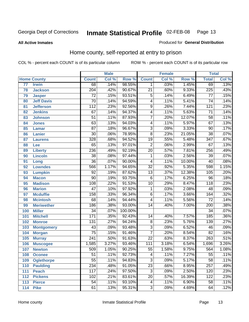**All Active Inmates**

#### Produced for **General Distribution**

### Home county, self-reported at entry to prison

|                 |                    |                  | <b>Male</b> |         |                           | <b>Female</b> |        | <b>Total</b>     |       |
|-----------------|--------------------|------------------|-------------|---------|---------------------------|---------------|--------|------------------|-------|
|                 | <b>Home County</b> | <b>Count</b>     | Col %       | Row %   | <b>Count</b>              | Col %         | Row %  | <b>Total</b>     | CoI%  |
| $\overline{77}$ | <b>Irwin</b>       | 68               | .14%        | 98.55%  | 1                         | .03%          | 1.45%  | 69               | .13%  |
| 78              | <b>Jackson</b>     | $\overline{204}$ | .42%        | 90.67%  | $\overline{21}$           | .60%          | 9.33%  | 225              | .43%  |
| 79              | <b>Jasper</b>      | $\overline{72}$  | .15%        | 93.51%  | 5                         | .14%          | 6.49%  | $\overline{77}$  | .15%  |
| 80              | <b>Jeff Davis</b>  | $\overline{70}$  | .14%        | 94.59%  | 4                         | .11%          | 5.41%  | $\overline{74}$  | .14%  |
| 81              | <b>Jefferson</b>   | $\overline{112}$ | .23%        | 92.56%  | $\overline{9}$            | .26%          | 7.44%  | 121              | .23%  |
| 82              | <b>Jenkins</b>     | $\overline{67}$  | .14%        | 94.37%  | 4                         | .11%          | 5.63%  | $\overline{71}$  | .14%  |
| 83              | <b>Johnson</b>     | $\overline{51}$  | .11%        | 87.93%  | $\overline{7}$            | .20%          | 12.07% | $\overline{58}$  | .11%  |
| 84              | <b>Jones</b>       | 63               | .13%        | 94.03%  | 4                         | .11%          | 5.97%  | $\overline{67}$  | .13%  |
| 85              | <b>Lamar</b>       | $\overline{87}$  | .18%        | 96.67%  | $\overline{3}$            | .09%          | 3.33%  | $\overline{90}$  | .17%  |
| 86              | <b>Lanier</b>      | $\overline{30}$  | .06%        | 78.95%  | $\overline{8}$            | .23%          | 21.05% | $\overline{38}$  | .07%  |
| 87              | <b>Laurens</b>     | $\overline{328}$ | .68%        | 94.52%  | $\overline{19}$           | .55%          | 5.48%  | $\overline{347}$ | .67%  |
| 88              | <b>Lee</b>         | $\overline{65}$  | .13%        | 97.01%  | $\overline{2}$            | .06%          | 2.99%  | 67               | .13%  |
| 89              | <b>Liberty</b>     | 236              | .49%        | 92.19%  | $\overline{20}$           | .57%          | 7.81%  | 256              | .49%  |
| 90              | <b>Lincoln</b>     | $\overline{38}$  | .08%        | 97.44%  | 1                         | .03%          | 2.56%  | $\overline{39}$  | .07%  |
| 91              | Long               | $\overline{36}$  | .07%        | 90.00%  | 4                         | .11%          | 10.00% | $\overline{40}$  | .08%  |
| 92              | <b>Lowndes</b>     | 566              | 1.17%       | 94.65%  | $\overline{32}$           | .92%          | 5.35%  | 598              | 1.15% |
| 93              | <b>Lumpkin</b>     | $\overline{92}$  | .19%        | 87.62%  | $\overline{13}$           | .37%          | 12.38% | 105              | .20%  |
| 94              | <b>Macon</b>       | $\overline{90}$  | .19%        | 93.75%  | 6                         | .17%          | 6.25%  | 96               | .18%  |
| 95              | <b>Madison</b>     | 108              | .22%        | 91.53%  | $\overline{10}$           | .29%          | 8.47%  | 118              | .23%  |
| 96              | <b>Marion</b>      | $\overline{47}$  | .10%        | 97.92%  | $\mathbf 1$               | .03%          | 2.08%  | $\overline{48}$  | .09%  |
| 97              | <b>Mcduffie</b>    | 158              | .33%        | 96.34%  | $\overline{6}$            | .17%          | 3.66%  | 164              | .32%  |
| 98              | <b>Mcintosh</b>    | $\overline{68}$  | .14%        | 94.44%  | 4                         | .11%          | 5.56%  | $\overline{72}$  | .14%  |
| 99              | <b>Meriwether</b>  | 186              | .38%        | 93.00%  | $\overline{14}$           | .40%          | 7.00%  | 200              | .38%  |
| 100             | <b>Miller</b>      | $\overline{34}$  | .07%        | 100.00% |                           |               |        | $\overline{34}$  | .07%  |
| 101             | <b>Mitchell</b>    | 171              | .35%        | 92.43%  | 14                        | .40%          | 7.57%  | 185              | .36%  |
| 102             | <b>Monroe</b>      | $\overline{131}$ | .27%        | 94.24%  | $\overline{8}$            | .23%          | 5.76%  | 139              | .27%  |
| 103             | <b>Montgomery</b>  | $\overline{43}$  | .09%        | 93.48%  | $\overline{3}$            | .09%          | 6.52%  | 46               | .09%  |
| 104             | <b>Morgan</b>      | $\overline{75}$  | .15%        | 91.46%  | $\overline{7}$            | .20%          | 8.54%  | $\overline{82}$  | .16%  |
| 105             | <b>Murray</b>      | $\overline{241}$ | .50%        | 91.63%  | $\overline{22}$           | .63%          | 8.37%  | 263              | .51%  |
| 106             | <b>Muscogee</b>    | 1,585            | 3.27%       | 93.46%  | $\overline{111}$          | 3.18%         | 6.54%  | 1,696            | 3.26% |
| 107             | <b>Newton</b>      | $\overline{509}$ | 1.05%       | 90.25%  | $\overline{55}$           | 1.58%         | 9.75%  | 564              | 1.08% |
| 108             | <b>Oconee</b>      | 51               | .11%        | 92.73%  | 4                         | .11%          | 7.27%  | 55               | .11%  |
| 109             | <b>Oglethorpe</b>  | $\overline{55}$  | .11%        | 94.83%  | $\overline{\overline{3}}$ | .09%          | 5.17%  | $\overline{58}$  | .11%  |
| 110             | <b>Paulding</b>    | 234              | .48%        | 91.05%  | $\overline{23}$           | .66%          | 8.95%  | 257              | .49%  |
| 111             | <b>Peach</b>       | 117              | .24%        | 97.50%  | $\overline{\overline{3}}$ | .09%          | 2.50%  | 120              | .23%  |
| 112             | <b>Pickens</b>     | 102              | .21%        | 83.61%  | $\overline{20}$           | .57%          | 16.39% | 122              | .23%  |
| 113             | <b>Pierce</b>      | $\overline{54}$  | .11%        | 93.10%  | 4                         | .11%          | 6.90%  | 58               | .11%  |
| 114             | <b>Pike</b>        | 61               | .13%        | 95.31%  | $\overline{3}$            | .09%          | 4.69%  | 64               | .12%  |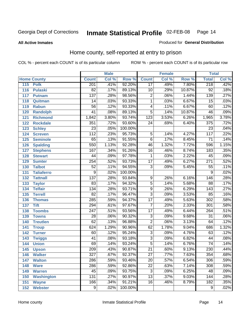**All Active Inmates**

#### Produced for **General Distribution**

### Home county, self-reported at entry to prison

|     |                    |                  | <b>Male</b> |         |                         | <b>Female</b> |        | <b>Total</b>     |                            |
|-----|--------------------|------------------|-------------|---------|-------------------------|---------------|--------|------------------|----------------------------|
|     | <b>Home County</b> | <b>Count</b>     | Col %       | Row %   | <b>Count</b>            | Col %         | Row %  | <b>Total</b>     | $\overline{\text{Col }^9}$ |
| 115 | <b>Polk</b>        | 201              | .41%        | 92.20%  | $\overline{17}$         | .49%          | 7.80%  | 218              | .42%                       |
| 116 | <b>Pulaski</b>     | $\overline{82}$  | .17%        | 89.13%  | $\overline{10}$         | .29%          | 10.87% | $\overline{92}$  | .18%                       |
| 117 | <b>Putnam</b>      | $\overline{137}$ | .28%        | 98.56%  | $\overline{2}$          | .06%          | 1.44%  | 139              | .27%                       |
| 118 | Quitman            | 14               | .03%        | 93.33%  | $\overline{1}$          | .03%          | 6.67%  | $\overline{15}$  | .03%                       |
| 119 | <b>Rabun</b>       | $\overline{56}$  | .12%        | 93.33%  | $\overline{\mathbf{4}}$ | .11%          | 6.67%  | 60               | .12%                       |
| 120 | <b>Randolph</b>    | $\overline{41}$  | .08%        | 89.13%  | $\overline{5}$          | .14%          | 10.87% | 46               | .09%                       |
| 121 | <b>Richmond</b>    | 1,842            | 3.80%       | 93.74%  | $\overline{123}$        | 3.53%         | 6.26%  | 1,965            | 3.78%                      |
| 122 | <b>Rockdale</b>    | 351              | .72%        | 93.60%  | $\overline{24}$         | .69%          | 6.40%  | 375              | .72%                       |
| 123 | <b>Schley</b>      | $\overline{23}$  | .05%        | 100.00% |                         |               |        | $\overline{23}$  | .04%                       |
| 124 | <b>Screven</b>     | $\overline{112}$ | .23%        | 95.73%  | 5                       | .14%          | 4.27%  | 117              | .22%                       |
| 125 | <b>Seminole</b>    | 65               | .13%        | 91.55%  | $\overline{6}$          | .17%          | 8.45%  | $\overline{71}$  | .14%                       |
| 126 | <b>Spalding</b>    | 550              | 1.13%       | 92.28%  | 46                      | 1.32%         | 7.72%  | 596              | 1.15%                      |
| 127 | <b>Stephens</b>    | 167              | .34%        | 91.26%  | $\overline{16}$         | .46%          | 8.74%  | 183              | .35%                       |
| 128 | <b>Stewart</b>     | $\overline{44}$  | .09%        | 97.78%  | 1                       | .03%          | 2.22%  | $\overline{45}$  | .09%                       |
| 129 | <b>Sumter</b>      | 254              | .52%        | 93.73%  | $\overline{17}$         | .49%          | 6.27%  | $\overline{271}$ | .52%                       |
| 130 | <b>Talbot</b>      | $\overline{52}$  | .11%        | 94.55%  | $\overline{3}$          | .09%          | 5.45%  | 55               | .11%                       |
| 131 | <b>Taliaferro</b>  | $\overline{9}$   | .02%        | 100.00% |                         |               |        | 9                | .02%                       |
| 132 | <b>Tattnall</b>    | 137              | .28%        | 93.84%  | 9                       | .26%          | 6.16%  | 146              | .28%                       |
| 133 | <b>Taylor</b>      | 83               | .17%        | 94.32%  | $\overline{5}$          | .14%          | 5.68%  | $\overline{88}$  | .17%                       |
| 134 | <b>Telfair</b>     | 134              | .28%        | 93.71%  | $\overline{9}$          | .26%          | 6.29%  | $\overline{143}$ | .27%                       |
| 135 | <b>Terrell</b>     | $\overline{82}$  | .17%        | 96.47%  | $\overline{3}$          | .09%          | 3.53%  | 85               | .16%                       |
| 136 | <b>Thomas</b>      | 285              | .59%        | 94.37%  | $\overline{17}$         | .49%          | 5.63%  | 302              | .58%                       |
| 137 | <b>Tift</b>        | 294              | .61%        | 97.67%  | $\overline{7}$          | .20%          | 2.33%  | $\overline{301}$ | .58%                       |
| 138 | <b>Toombs</b>      | $\overline{247}$ | .51%        | 93.56%  | $\overline{17}$         | .49%          | 6.44%  | 264              | .51%                       |
| 139 | <b>Towns</b>       | $\overline{28}$  | .06%        | 90.32%  | $\overline{3}$          | .09%          | 9.68%  | $\overline{31}$  | .06%                       |
| 140 | <b>Treutlen</b>    | 62               | .13%        | 96.88%  | $\overline{2}$          | .06%          | 3.13%  | 64               | .12%                       |
| 141 | <b>Troup</b>       | 624              | 1.29%       | 90.96%  | 62                      | 1.78%         | 9.04%  | 686              | 1.32%                      |
| 142 | <b>Turner</b>      | 60               | .12%        | 95.24%  | $\overline{3}$          | .09%          | 4.76%  | 63               | .12%                       |
| 143 | <b>Twiggs</b>      | $\overline{41}$  | .08%        | 93.18%  | $\overline{3}$          | .09%          | 6.82%  | 44               | .08%                       |
| 144 | <b>Union</b>       | 69               | .14%        | 93.24%  | $\overline{5}$          | .14%          | 6.76%  | $\overline{74}$  | .14%                       |
| 145 | <b>Upson</b>       | $\overline{209}$ | .43%        | 90.87%  | $\overline{21}$         | .60%          | 9.13%  | 230              | .44%                       |
| 146 | <b>Walker</b>      | 327              | .67%        | 92.37%  | 27                      | .77%          | 7.63%  | 354              | .68%                       |
| 147 | <b>Walton</b>      | 286              | .59%        | 93.46%  | $\overline{20}$         | .57%          | 6.54%  | 306              | .59%                       |
| 148 | <b>Ware</b>        | 286              | .59%        | 92.86%  | $\overline{22}$         | .63%          | 7.14%  | 308              | .59%                       |
| 149 | <b>Warren</b>      | 45               | .09%        | 93.75%  | $\overline{3}$          | .09%          | 6.25%  | 48               | .09%                       |
| 150 | <b>Washington</b>  | 131              | .27%        | 90.97%  | $\overline{13}$         | .37%          | 9.03%  | 144              | .28%                       |
| 151 | <b>Wayne</b>       | 166              | .34%        | 91.21%  | $\overline{16}$         | .46%          | 8.79%  | 182              | .35%                       |
| 152 | <b>Webster</b>     | $\overline{9}$   | .02%        | 100.00% |                         |               |        | $\overline{9}$   | .02%                       |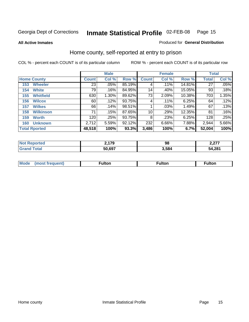#### **All Active Inmates**

#### Produced for **General Distribution**

### Home county, self-reported at entry to prison

|                    |                      | <b>Male</b>  |       |        |              | <b>Female</b> | <b>Total</b> |        |       |
|--------------------|----------------------|--------------|-------|--------|--------------|---------------|--------------|--------|-------|
| <b>Home County</b> |                      | <b>Count</b> | Col % | Row %  | <b>Count</b> | Col %         | Row %        | Total  | Col % |
| 153                | <b>Wheeler</b>       | 23           | .05%  | 85.19% | 4            | .11%          | 14.81%       | 27     | .05%  |
| 154                | <b>White</b>         | 79           | .16%  | 84.95% | 14           | .40%          | 15.05%       | 93     | .18%  |
| 155                | <b>Whitfield</b>     | 630          | 1.30% | 89.62% | 73           | 2.09%         | 10.38%       | 703    | 1.35% |
| 156                | <b>Wilcox</b>        | 60           | .12%  | 93.75% | 4            | $.11\%$       | 6.25%        | 64     | .12%  |
| 157                | <b>Wilkes</b>        | 66           | .14%  | 98.51% |              | .03%          | 1.49%        | 67     | .13%  |
| 158                | <b>Wilkinson</b>     | 71           | .15%  | 87.65% | 10           | .29%          | 12.35%       | 81     | .16%  |
| 159                | <b>Worth</b>         | 120          | .25%  | 93.75% | 8            | .23%          | 6.25%        | 128    | .25%  |
| 160                | <b>Unknown</b>       | 2,712        | 5.59% | 92.12% | 232          | 6.66%         | 7.88%        | 2,944  | 5.66% |
|                    | <b>Total Rported</b> | 48,518       | 100%  | 93.3%  | 3,486        | 100%          | 6.7%         | 52,004 | 100%  |

| N.     | 170    | 98    | דדה ו        |
|--------|--------|-------|--------------|
| porteo | --     |       | L.LI I       |
|        | 50.697 | 584،، | 4,281<br>מרי |

| <b>Mode</b> | ™ulton | <b>ulton</b> | ulton |
|-------------|--------|--------------|-------|
|             |        |              |       |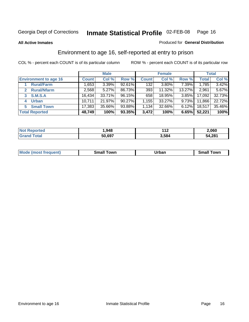**All Active Inmates**

#### Produced for **General Distribution**

### Environment to age 16, self-reported at entry to prison

|                                    | <b>Male</b>  |          |        | <b>Female</b> |        |          | <b>Total</b> |        |
|------------------------------------|--------------|----------|--------|---------------|--------|----------|--------------|--------|
| <b>Environment to age 16</b>       | <b>Count</b> | Col %    | Row %  | <b>Count</b>  | Col %  | Row %    | <b>Total</b> | Col %  |
| <b>Rural/Farm</b>                  | 1,653        | $3.39\%$ | 92.61% | 132           | 3.80%  | 7.39%    | 1,785        | 3.42%  |
| <b>Rural/Nfarm</b><br>$\mathbf{2}$ | 2,568        | 5.27%    | 86.73% | 393           | 11.32% | 13.27%   | 2,961        | 5.67%  |
| <b>S.M.S.A</b><br>3                | 16,434       | 33.71%   | 96.15% | 658           | 18.95% | $3.85\%$ | 17,092       | 32.73% |
| <b>Urban</b><br>4                  | 10,711       | 21.97%   | 90.27% | .155          | 33.27% | $9.73\%$ | 11,866       | 22.72% |
| <b>Small Town</b><br>5.            | 17,383       | 35.66%   | 93.88% | 1.134         | 32.66% | $6.12\%$ | 18,517       | 35.46% |
| <b>Total Reported</b>              | 48,749       | 100%     | 93.35% | 3,472         | 100%   | 6.65%    | 52,221       | 100%   |

| <b>Not Reported</b> | .948   | .     | 2,060  |
|---------------------|--------|-------|--------|
| ⊺otal<br>' Grand    | 50,697 | 3,584 | 54,281 |

| <b>Mode</b><br>frequent)<br>$\cdots$ | own<br>Small<br>_____ | Jrban<br>____ | ⊺owr<br>ан<br>_____ |
|--------------------------------------|-----------------------|---------------|---------------------|
|                                      |                       |               |                     |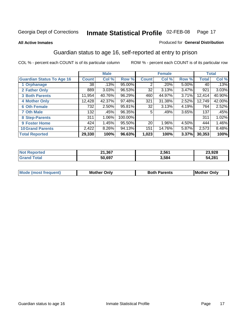#### **All Active Inmates**

#### Produced for **General Distribution**

### Guardian status to age 16, self-reported at entry to prison

|                                  |              | <b>Male</b> |         |              | <b>Female</b> |       |        | <b>Total</b> |
|----------------------------------|--------------|-------------|---------|--------------|---------------|-------|--------|--------------|
| <b>Guardian Status To Age 16</b> | <b>Count</b> | Col %       | Row %   | <b>Count</b> | Col %         | Row % | Total  | Col %        |
| 1 Orphanage                      | 38           | .13%        | 95.00%  | 2            | .20%          | 5.00% | 40     | .13%         |
| 2 Father Only                    | 889          | 3.03%       | 96.53%  | 32           | 3.13%         | 3.47% | 921    | 3.03%        |
| <b>3 Both Parents</b>            | 11,954       | 40.76%      | 96.29%  | 460          | 44.97%        | 3.71% | 12,414 | 40.90%       |
| <b>4 Mother Only</b>             | 12,428       | 42.37%      | 97.48%  | 321          | 31.38%        | 2.52% | 12,749 | 42.00%       |
| <b>6 Oth Female</b>              | 732          | 2.50%       | 95.81%  | 32           | 3.13%         | 4.19% | 764    | 2.52%        |
| <b>7 Oth Male</b>                | 132          | .45%        | 96.35%  | 5            | .49%          | 3.65% | 137    | .45%         |
| 8 Step-Parents                   | 311          | 1.06%       | 100.00% |              |               |       | 311    | 1.02%        |
| 9 Foster Home                    | 424          | 1.45%       | 95.50%  | 20           | 1.96%         | 4.50% | 444    | 1.46%        |
| <b>10 Grand Parents</b>          | 2,422        | 8.26%       | 94.13%  | 151          | 14.76%        | 5.87% | 2,573  | 8.48%        |
| <b>Total Reported</b>            | 29,330       | 100%        | 96.63%  | 1,023        | 100%          | 3.37% | 30,353 | 100%         |

| NG   | .1,367<br>ົ<br>- . , | 2,561 | 23,928 |
|------|----------------------|-------|--------|
| . Gr | 50.697               | 584,د | 54,281 |

| Mode | Onlv<br>Mot | <b>Roth</b><br>Parents | <b>IMot</b><br>Onlv<br>∵hei |
|------|-------------|------------------------|-----------------------------|
|      |             |                        |                             |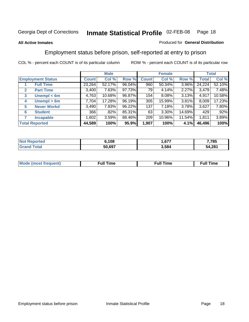#### **All Active Inmates**

#### Produced for **General Distribution**

### Employment status before prison, self-reported at entry to prison

|                                  |              | <b>Male</b> |        |              | <b>Female</b> |        |        | <b>Total</b> |
|----------------------------------|--------------|-------------|--------|--------------|---------------|--------|--------|--------------|
| <b>Employment Status</b>         | <b>Count</b> | Col %       | Row %  | <b>Count</b> | Col %         | Row %  | Total  | Col %        |
| <b>Full Time</b>                 | 23,264       | 52.17%      | 96.04% | 960          | $50.34\%$     | 3.96%  | 24,224 | 52.10%       |
| <b>Part Time</b><br>$\mathbf{2}$ | 3,400        | 7.63%       | 97.73% | 79           | 4.14%         | 2.27%  | 3,479  | 7.48%        |
| Unempl $<$ 6m<br>3               | 4,763        | 10.68%      | 96.87% | 154          | $8.08\%$      | 3.13%  | 4,917  | 10.58%       |
| Unempl > 6m<br>4                 | 7,704        | 17.28%      | 96.19% | 305          | 15.99%        | 3.81%  | 8,009  | 17.23%       |
| <b>Never Workd</b><br>5          | 3,490        | 7.83%       | 96.22% | 137          | 7.18%         | 3.78%  | 3,627  | 7.80%        |
| <b>Student</b><br>6              | 366          | .82%        | 85.31% | 63           | $3.30\%$      | 14.69% | 429    | .92%         |
| 7<br><b>Incapable</b>            | 1,602        | 3.59%       | 88.46% | 209          | 10.96%        | 11.54% | 1,811  | 3.89%        |
| <b>Total Reported</b>            | 44,589       | 100%        | 95.9%  | 1,907        | 100%          | 4.1%   | 46,496 | 100%         |

| ,108   | $ -$<br>، ٥٥ | 7,785       |
|--------|--------------|-------------|
| 50.697 | 3,584        | 4,281<br>54 |

| <b>M</b> ດ | the contract of the contract of the contract of the contract of the contract of the contract of the contract of | the contract of the contract of the contract of the contract of the contract of the contract of the contract of | ----<br><b>Full Time</b> |
|------------|-----------------------------------------------------------------------------------------------------------------|-----------------------------------------------------------------------------------------------------------------|--------------------------|
|            |                                                                                                                 |                                                                                                                 |                          |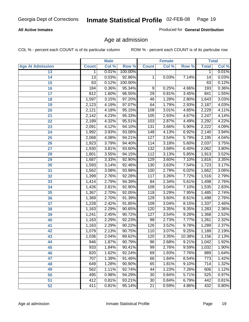#### **All Active Inmates**

Produced for **General Distribution**

### Age at admission

|                         |                 | <b>Male</b> |         |                  | <b>Female</b> |        |              | <b>Total</b> |
|-------------------------|-----------------|-------------|---------|------------------|---------------|--------|--------------|--------------|
| <b>Age At Admission</b> | <b>Count</b>    | Col %       | Row %   | <b>Count</b>     | Col %         | Row %  | <b>Total</b> | Col %        |
| 13                      | 1               | 0.01%       | 100.00% |                  |               |        | 1            | 0.01%        |
| 14                      | $\overline{13}$ | 0.03%       | 92.86%  | 1                | 0.03%         | 7.14%  | 14           | 0.03%        |
| 15                      | 63              | 0.12%       | 100.00% |                  |               |        | 63           | 0.12%        |
| 16                      | 184             | 0.36%       | 95.34%  | 9                | 0.25%         | 4.66%  | 193          | 0.36%        |
| $\overline{17}$         | 812             | 1.60%       | 96.55%  | $\overline{29}$  | 0.81%         | 3.45%  | 841          | 1.55%        |
| 18                      | 1,597           | 3.15%       | 97.20%  | 46               | 1.28%         | 2.80%  | 1,643        | 3.03%        |
| 19                      | 2,123           | 4.19%       | 97.07%  | 64               | 1.79%         | 2.93%  | 2,187        | 4.03%        |
| 20                      | 2,121           | 4.18%       | 95.15%  | 108              | 3.01%         | 4.85%  | 2,229        | 4.11%        |
| 21                      | 2,142           | 4.23%       | 95.33%  | 105              | 2.93%         | 4.67%  | 2,247        | 4.14%        |
| 22                      | 2,189           | 4.32%       | 95.51%  | 103              | 2.87%         | 4.49%  | 2,292        | 4.22%        |
| 23                      | 2,091           | 4.12%       | 94.10%  | 131              | 3.66%         | 5.90%  | 2,222        | 4.09%        |
| 24                      | 1,992           | 3.93%       | 93.08%  | 148              | 4.13%         | 6.92%  | 2,140        | 3.94%        |
| $\overline{25}$         | 2,068           | 4.08%       | 94.21%  | $\overline{127}$ | 3.54%         | 5.79%  | 2,195        | 4.04%        |
| 26                      | 1,923           | 3.79%       | 94.40%  | 114              | 3.18%         | 5.60%  | 2,037        | 3.75%        |
| 27                      | 1,930           | 3.81%       | 93.60%  | 132              | 3.68%         | 6.40%  | 2,062        | 3.80%        |
| 28                      | 1,801           | 3.55%       | 94.15%  | 112              | 3.13%         | 5.85%  | 1,913        | 3.52%        |
| 29                      | 1,687           | 3.33%       | 92.90%  | 129              | 3.60%         | 7.10%  | 1,816        | 3.35%        |
| 30                      | 1,593           | 3.14%       | 92.46%  | 130              | 3.63%         | 7.54%  | 1,723        | 3.17%        |
| 31                      | 1,562           | 3.08%       | 93.98%  | 100              | 2.79%         | 6.02%  | 1,662        | 3.06%        |
| 32                      | 1,399           | 2.76%       | 92.28%  | 117              | 3.26%         | 7.72%  | 1,516        | 2.79%        |
| 33                      | 1,414           | 2.79%       | 94.39%  | 84               | 2.34%         | 5.61%  | 1,498        | 2.76%        |
| 34                      | 1,426           | 2.81%       | 92.90%  | 109              | 3.04%         | 7.10%  | 1,535        | 2.83%        |
| 35                      | 1,367           | 2.70%       | 92.05%  | 118              | 3.29%         | 7.95%  | 1,485        | 2.74%        |
| 36                      | 1,369           | 2.70%       | 91.39%  | 129              | 3.60%         | 8.61%  | 1,498        | 2.76%        |
| $\overline{37}$         | 1,228           | 2.42%       | 91.85%  | 109              | 3.04%         | 8.15%  | 1,337        | 2.46%        |
| 38                      | 1,163           | 2.29%       | 90.65%  | 120              | 3.35%         | 9.35%  | 1,283        | 2.36%        |
| 39                      | 1,241           | 2.45%       | 90.72%  | 127              | 3.54%         | 9.28%  | 1,368        | 2.52%        |
| 40                      | 1,163           | 2.29%       | 92.23%  | 98               | 2.73%         | 7.77%  | 1,261        | 2.32%        |
| 41                      | 1,163           | 2.29%       | 90.22%  | 126              | 3.52%         | 9.78%  | 1,289        | 2.37%        |
| 42                      | 1,079           | 2.13%       | 90.75%  | 110              | 3.07%         | 9.25%  | 1,189        | 2.19%        |
| 43                      | 1,036           | 2.04%       | 89.62%  | 120              | 3.35%         | 10.38% | 1,156        | 2.13%        |
| 44                      | 946             | 1.87%       | 90.79%  | 96               | 2.68%         | 9.21%  | 1,042        | 1.92%        |
| 45                      | 933             | 1.84%       | 90.41%  | 99               | 2.76%         | 9.59%  | 1,032        | 1.90%        |
| 46                      | 820             | 1.62%       | 92.24%  | 69               | 1.93%         | 7.76%  | 889          | 1.64%        |
| 47                      | 707             | 1.39%       | 91.46%  | 66               | 1.84%         | 8.54%  | 773          | 1.42%        |
| 48                      | 649             | 1.28%       | 90.90%  | 65               | 1.81%         | 9.10%  | 714          | 1.32%        |
| 49                      | 562             | 1.11%       | 92.74%  | 44               | 1.23%         | 7.26%  | 606          | 1.12%        |
| 50                      | 495             | 0.98%       | 94.29%  | 30               | 0.84%         | 5.71%  | 525          | 0.97%        |
| 51                      | 412             | 0.81%       | 93.21%  | $\overline{30}$  | 0.84%         | 6.79%  | 442          | 0.81%        |
| 52                      | 411             | 0.81%       | 95.14%  | $\overline{21}$  | 0.59%         | 4.86%  | 432          | 0.80%        |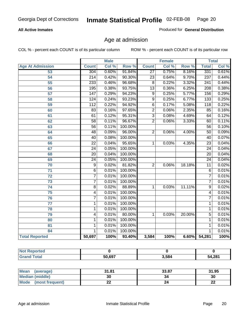#### **All Active Inmates**

Produced for **General Distribution**

### Age at admission

|                         | <b>Male</b>      |       | <b>Female</b> |                 |       | <b>Total</b> |                  |       |
|-------------------------|------------------|-------|---------------|-----------------|-------|--------------|------------------|-------|
| <b>Age At Admission</b> | <b>Count</b>     | Col % | Row %         | <b>Count</b>    | Col % | Row %        | <b>Total</b>     | Col % |
| 53                      | 304              | 0.60% | 91.84%        | $\overline{27}$ | 0.75% | 8.16%        | 331              | 0.61% |
| 54                      | 214              | 0.42% | 90.30%        | $\overline{23}$ | 0.64% | 9.70%        | $\overline{237}$ | 0.44% |
| 55                      | 233              | 0.46% | 96.68%        | $\overline{8}$  | 0.22% | 3.32%        | 241              | 0.44% |
| $\overline{56}$         | 195              | 0.38% | 93.75%        | $\overline{13}$ | 0.36% | 6.25%        | $\overline{208}$ | 0.38% |
| 57                      | $\overline{147}$ | 0.29% | 94.23%        | $\overline{9}$  | 0.25% | 5.77%        | 156              | 0.29% |
| 58                      | 124              | 0.24% | 93.23%        | $\overline{9}$  | 0.25% | 6.77%        | $\overline{133}$ | 0.25% |
| 59                      | 112              | 0.22% | 94.92%        | $\overline{6}$  | 0.17% | 5.08%        | 118              | 0.22% |
| 60                      | $\overline{83}$  | 0.16% | 97.65%        | $\overline{2}$  | 0.06% | 2.35%        | 85               | 0.16% |
| 61                      | 61               | 0.12% | 95.31%        | $\overline{3}$  | 0.08% | 4.69%        | 64               | 0.12% |
| 62                      | $\overline{58}$  | 0.11% | 96.67%        | $\overline{2}$  | 0.06% | 3.33%        | 60               | 0.11% |
| 63                      | $\overline{56}$  | 0.11% | 100.00%       |                 |       |              | 56               | 0.10% |
| 64                      | 48               | 0.09% | 96.00%        | $\overline{2}$  | 0.06% | 4.00%        | $\overline{50}$  | 0.09% |
| 65                      | 40               | 0.08% | 100.00%       |                 |       |              | 40               | 0.07% |
| 66                      | $\overline{22}$  | 0.04% | 95.65%        | $\mathbf{1}$    | 0.03% | 4.35%        | $\overline{23}$  | 0.04% |
| 67                      | 24               | 0.05% | 100.00%       |                 |       |              | $\overline{24}$  | 0.04% |
| 68                      | $\overline{20}$  | 0.04% | 100.00%       |                 |       |              | $\overline{20}$  | 0.04% |
| 69                      | $\overline{24}$  | 0.05% | 100.00%       |                 |       |              | $\overline{24}$  | 0.04% |
| 70                      | 9                | 0.02% | 81.82%        | $\overline{2}$  | 0.06% | 18.18%       | $\overline{11}$  | 0.02% |
| 71                      | $\overline{6}$   | 0.01% | 100.00%       |                 |       |              | 6                | 0.01% |
| $\overline{72}$         | $\overline{7}$   | 0.01% | 100.00%       |                 |       |              | 7                | 0.01% |
| 73                      | $\overline{7}$   | 0.01% | 100.00%       |                 |       |              | 7                | 0.01% |
| 74                      | 8                | 0.02% | 88.89%        | 1               | 0.03% | 11.11%       | $\overline{9}$   | 0.02% |
| 75                      | 4                | 0.01% | 100.00%       |                 |       |              | 4                | 0.01% |
| 76                      | $\overline{7}$   | 0.01% | 100.00%       |                 |       |              | 7                | 0.01% |
| 77                      | 1                | 0.01% | 100.00%       |                 |       |              | 1                | 0.01% |
| 78                      | 1                | 0.01% | 100.00%       |                 |       |              | 1                | 0.01% |
| 79                      | 4                | 0.01% | 80.00%        | 1               | 0.03% | 20.00%       | 5                | 0.01% |
| 80                      | 1                | 0.01% | 100.00%       |                 |       |              | 1                | 0.01% |
| 81                      | 1                | 0.01% | 100.00%       |                 |       |              | 1                | 0.01% |
| 84                      | 1                | 0.01% | 100.00%       |                 |       |              | 1                | 0.01% |
| <b>Total Reported</b>   | 50,697           | 100%  | 93.40%        | 3,584           | 100%  | 6.60%        | 54,281           | 100%  |

| <b>Not Reported</b> |        |       |        |
|---------------------|--------|-------|--------|
| <b>'Grand Total</b> | 50,697 | 3,584 | 54,281 |

| <b>Mean</b><br>(average) | 31.81 | 33.87 | 31.95   |
|--------------------------|-------|-------|---------|
| <b>Median (middle)</b>   | 30    | 34    | 30      |
| Mode<br>(most frequent)  | --    |       | …<br>LL |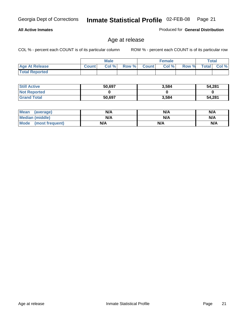#### **All Active Inmates**

Produced for **General Distribution**

### Age at release

|                       | <b>Male</b>  |       |       | <b>Female</b> |       |       | Total        |       |
|-----------------------|--------------|-------|-------|---------------|-------|-------|--------------|-------|
| <b>Age At Release</b> | <b>Count</b> | Col % | Row % | <b>Count</b>  | Col % | Row % | <b>Total</b> | Col % |
| <b>Total Reported</b> |              |       |       |               |       |       |              |       |

| <b>Still Active</b> | 50,697 | 3,584 | 54,281 |
|---------------------|--------|-------|--------|
| <b>Not Reported</b> |        |       |        |
| <b>Grand Total</b>  | 50,697 | 3,584 | 54,281 |

| Mean (average)       | N/A | N/A | N/A |
|----------------------|-----|-----|-----|
| Median (middle)      | N/A | N/A | N/A |
| Mode (most frequent) | N/A | N/A | N/A |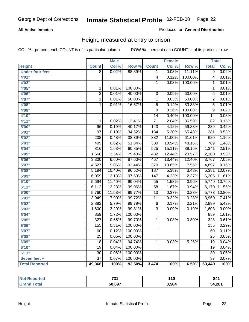#### **All Active Inmates**

#### Produced for **General Distribution**

### Height, measured at entry to prison

|                        |                  | <b>Male</b> |         |                  | <b>Female</b> |         | <b>Total</b>    |        |
|------------------------|------------------|-------------|---------|------------------|---------------|---------|-----------------|--------|
| <b>Height</b>          | <b>Count</b>     | Col %       | Row %   | <b>Count</b>     | Col %         | Row %   | <b>Total</b>    | Col %  |
| <b>Under four feet</b> | $\overline{8}$   | 0.02%       | 88.89%  | 1                | 0.03%         | 11.11%  | $\overline{9}$  | 0.02%  |
| 4'01''                 |                  |             |         | $\overline{4}$   | 0.12%         | 100.00% | $\overline{4}$  | 0.01%  |
| 4'03''                 |                  |             |         | $\overline{1}$   | 0.03%         | 100.00% | 1               | 0.01%  |
| 4'05"                  | $\mathbf{1}$     | 0.01%       | 100.00% |                  |               |         | $\mathbf{1}$    | 0.01%  |
| 4'06"                  | $\overline{2}$   | 0.01%       | 40.00%  | $\overline{3}$   | 0.09%         | 60.00%  | $\overline{5}$  | 0.01%  |
| 4'07"                  | $\overline{1}$   | 0.01%       | 50.00%  | $\overline{1}$   | 0.03%         | 50.00%  | $\overline{2}$  | 0.01%  |
| 4'08"                  | $\overline{1}$   | 0.01%       | 16.67%  | $\overline{5}$   | 0.14%         | 83.33%  | $\overline{6}$  | 0.01%  |
| 4'09"                  |                  |             |         | $\overline{9}$   | 0.26%         | 100.00% | $\overline{9}$  | 0.02%  |
| 4'10"                  |                  |             |         | $\overline{14}$  | 0.40%         | 100.00% | $\overline{14}$ | 0.03%  |
| 4'11''                 | 11               | 0.02%       | 13.41%  | $\overline{71}$  | 2.04%         | 86.59%  | $\overline{82}$ | 0.15%  |
| 5'00''                 | 96               | 0.19%       | 40.17%  | $\overline{143}$ | 4.12%         | 59.83%  | 239             | 0.45%  |
| 5'01''                 | $\overline{97}$  | 0.19%       | 34.52%  | 184              | 5.30%         | 65.48%  | 281             | 0.53%  |
| 5'02''                 | 238              | 0.48%       | 38.39%  | 382              | 11.00%        | 61.61%  | 620             | 1.16%  |
| 5'03''                 | 409              | 0.82%       | 51.84%  | 380              | 10.94%        | 48.16%  | 789             | 1.48%  |
| 5'04"                  | 816              | 1.63%       | 60.85%  | 525              | 15.11%        | 39.15%  | 1,341           | 2.51%  |
| 5'05''                 | 1,668            | 3.34%       | 79.43%  | 432              | 12.44%        | 20.57%  | 2,100           | 3.93%  |
| 5'06''                 | 3,300            | 6.60%       | 87.60%  | 467              | 13.44%        | 12.40%  | 3,767           | 7.05%  |
| 5'07''                 | 4,527            | 9.06%       | 92.44%  | 370              | 10.65%        | 7.56%   | 4,897           | 9.16%  |
| 5'08''                 | 5,194            | 10.40%      | 96.52%  | 187              | 5.38%         | 3.48%   | 5,381           | 10.07% |
| 5'09''                 | 6,059            | 12.13%      | 97.63%  | $\overline{147}$ | 4.23%         | 2.37%   | 6,206           | 11.61% |
| 5'10''                 | 5,694            | 11.40%      | 99.04%  | $\overline{55}$  | 1.58%         | 0.96%   | 5,749           | 10.76% |
| 5'11''                 | 6,112            | 12.23%      | 99.06%  | $\overline{58}$  | 1.67%         | 0.94%   | 6,170           | 11.55% |
| 6'00''                 | 5,760            | 11.53%      | 99.77%  | $\overline{13}$  | 0.37%         | 0.23%   | 5,773           | 10.80% |
| 6'01''                 | 3,949            | 7.90%       | 99.72%  | $\overline{11}$  | 0.32%         | 0.28%   | 3,960           | 7.41%  |
| 6'02''                 | 2,893            | 5.79%       | 99.79%  | 6                | 0.17%         | 0.21%   | 2,899           | 5.42%  |
| 6'03''                 | 1,600            | 3.20%       | 99.81%  | $\overline{3}$   | 0.09%         | 0.19%   | 1,603           | 3.00%  |
| 6'04''                 | 859              | 1.72%       | 100.00% |                  |               |         | 859             | 1.61%  |
| 6'05''                 | $\overline{327}$ | 0.65%       | 99.70%  | 1                | 0.03%         | 0.30%   | 328             | 0.61%  |
| 6'06''                 | 155              | 0.31%       | 100.00% |                  |               |         | 155             | 0.29%  |
| 6'07''                 | 60               | 0.12%       | 100.00% |                  |               |         | 60              | 0.11%  |
| 6'08''                 | $\overline{25}$  | 0.05%       | 100.00% |                  |               |         | $\overline{25}$ | 0.05%  |
| 6'09''                 | $\overline{18}$  | 0.04%       | 94.74%  | $\mathbf{1}$     | 0.03%         | 5.26%   | $\overline{19}$ | 0.04%  |
| 6'10''                 | $\overline{19}$  | 0.04%       | 100.00% |                  |               |         | $\overline{19}$ | 0.04%  |
| 6'11''                 | $\overline{30}$  | 0.06%       | 100.00% |                  |               |         | $\overline{30}$ | 0.06%  |
| Seven feet +           | $\overline{37}$  | 0.07%       | 100.00% |                  |               |         | $\overline{37}$ | 0.07%  |
| <b>Total Reported</b>  | 49,966           | 100%        | 93.50%  | 3,474            | 100%          | 6.50%   | 53,440          | 100%   |

| Reported    | 724    | 10     | 841    |
|-------------|--------|--------|--------|
| NO:         | ו כ    | $\sim$ |        |
| <b>Tota</b> | 50,697 | 3,584  | 54,281 |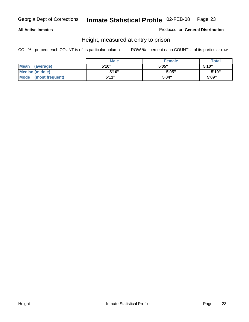#### **All Active Inmates**

Produced for **General Distribution**

### Height, measured at entry to prison

|                        | <b>Male</b> | <b>Female</b> | <b>Total</b> |
|------------------------|-------------|---------------|--------------|
| Mean (average)         | 5'10"       | 5'05"         | 5'10''       |
| <b>Median (middle)</b> | 5'10''      | 5'05"         | 5'10''       |
| Mode (most frequent)   | 5'11"       | 5'04"         | 5'09"        |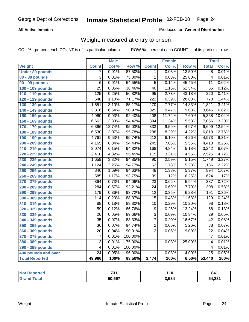#### **All Active Inmates**

#### Produced for **General Distribution**

### Weight, measured at entry to prison

|                        |                  | <b>Male</b> |         |                  | <b>Female</b> |        | <b>Total</b>    |        |
|------------------------|------------------|-------------|---------|------------------|---------------|--------|-----------------|--------|
| Weight                 | <b>Count</b>     | Col %       | Row %   | <b>Count</b>     | Col %         | Row %  | <b>Total</b>    | Col %  |
| <b>Under 80 pounds</b> | 7                | 0.01%       | 87.50%  | 1.               | 0.03%         | 12.50% | $\overline{8}$  | 0.01%  |
| 80 - 89 pounds         | $\overline{3}$   | 0.01%       | 75.00%  | $\overline{1}$   | 0.03%         | 25.00% | $\overline{4}$  | 0.01%  |
| 90 - 99 pounds         | $\overline{6}$   | 0.01%       | 54.55%  | $\overline{5}$   | 0.14%         | 45.45% | $\overline{11}$ | 0.02%  |
| 100 - 109 pounds       | $\overline{25}$  | 0.05%       | 38.46%  | $\overline{40}$  | 1.15%         | 61.54% | $\overline{65}$ | 0.12%  |
| 110 - 119 pounds       | $\overline{125}$ | 0.25%       | 56.82%  | $\overline{95}$  | 2.73%         | 43.18% | 220             | 0.41%  |
| 120 - 129 pounds       | $\overline{548}$ | 1.10%       | 71.17%  | $\overline{222}$ | 6.39%         | 28.83% | 770             | 1.44%  |
| 130 - 139 pounds       | 1,551            | 3.10%       | 85.17%  | 270              | 7.77%         | 14.83% | 1,821           | 3.41%  |
| 140 - 149 pounds       | 3,316            | 6.64%       | 90.97%  | $\overline{329}$ | 9.47%         | 9.03%  | 3,645           | 6.82%  |
| 150 - 159 pounds       | 4,960            | 9.93%       | 92.40%  | 408              | 11.74%        | 7.60%  | 5,368           | 10.04% |
| 160 - 169 pounds       | 6,662            | 13.33%      | 94.42%  | 394              | 11.34%        | 5.58%  | 7,056           | 13.20% |
| 170 - 179 pounds       | 6,366            | 12.74%      | 95.03%  | 333              | 9.59%         | 4.97%  | 6,699           | 12.54% |
| 180 - 189 pounds       | 6,530            | 13.07%      | 95.78%  | 288              | 8.29%         | 4.22%  | 6,818           | 12.76% |
| 190 - 199 pounds       | 4,761            | 9.53%       | 95.74%  | $\overline{212}$ | 6.10%         | 4.26%  | 4,973           | 9.31%  |
| 200 - 209 pounds       | 4,165            | 8.34%       | 94.44%  | $\overline{245}$ | 7.05%         | 5.56%  | 4,410           | 8.25%  |
| 210 - 219 pounds       | 3,074            | 6.15%       | 94.82%  | 168              | 4.84%         | 5.18%  | 3,242           | 6.07%  |
| 220 - 229 pounds       | 2,410            | 4.82%       | 95.45%  | $\overline{115}$ | 3.31%         | 4.55%  | 2,525           | 4.72%  |
| 230 - 239 pounds       | 1,659            | 3.32%       | 94.85%  | $\overline{90}$  | 2.59%         | 5.15%  | 1,749           | 3.27%  |
| 240 - 249 pounds       | 1,124            | 2.25%       | 94.77%  | 62               | 1.78%         | 5.23%  | 1,186           | 2.22%  |
| 250 - 259 pounds       | 846              | 1.69%       | 94.63%  | 48               | 1.38%         | 5.37%  | 894             | 1.67%  |
| 260 - 269 pounds       | 585              | 1.17%       | 93.75%  | $\overline{39}$  | 1.12%         | 6.25%  | 624             | 1.17%  |
| 270 - 279 pounds       | 364              | 0.73%       | 94.06%  | $\overline{23}$  | 0.66%         | 5.94%  | 387             | 0.72%  |
| 280 - 289 pounds       | 284              | 0.57%       | 92.21%  | $\overline{24}$  | 0.69%         | 7.79%  | 308             | 0.58%  |
| 290 - 299 pounds       | 179              | 0.36%       | 93.72%  | $\overline{12}$  | 0.35%         | 6.28%  | 191             | 0.36%  |
| 300 - 309 pounds       | 114              | 0.23%       | 88.37%  | $\overline{15}$  | 0.43%         | 11.63% | 129             | 0.24%  |
| 310 - 319 pounds       | 88               | 0.18%       | 89.80%  | $\overline{10}$  | 0.29%         | 10.20% | 98              | 0.18%  |
| 320 - 329 pounds       | $\overline{59}$  | 0.12%       | 86.76%  | $\overline{9}$   | 0.26%         | 13.24% | 68              | 0.13%  |
| 330 - 339 pounds       | $\overline{26}$  | 0.05%       | 89.66%  | $\overline{3}$   | 0.09%         | 10.34% | $\overline{29}$ | 0.05%  |
| 340 - 349 pounds       | $\overline{35}$  | 0.07%       | 83.33%  | $\overline{7}$   | 0.20%         | 16.67% | $\overline{42}$ | 0.08%  |
| 350 - 359 pounds       | $\overline{36}$  | 0.07%       | 94.74%  | $\overline{2}$   | 0.06%         | 5.26%  | $\overline{38}$ | 0.07%  |
| 360 - 369 pounds       | 20               | 0.04%       | 90.91%  | $\overline{2}$   | 0.06%         | 9.09%  | $\overline{22}$ | 0.04%  |
| 370 - 379 pounds       | $\overline{7}$   | 0.01%       | 100.00% |                  |               |        | 7               | 0.01%  |
| 380 - 389 pounds       | $\overline{3}$   | 0.01%       | 75.00%  | 1                | 0.03%         | 25.00% | 4               | 0.01%  |
| 390 - 399 pounds       | $\overline{4}$   | 0.01%       | 100.00% |                  |               |        | 4               | 0.01%  |
| 400 pounds and over    | $\overline{24}$  | 0.05%       | 96.00%  | 1                | 0.03%         | 4.00%  | $\overline{25}$ | 0.05%  |
| <b>Total Reported</b>  | 49,966           | 100%        | 93.50%  | 3,474            | 100%          | 6.50%  | 53,440          | 100%   |

| orted<br>NO. | ラクイ    | 14 M<br>1 V | 841    |
|--------------|--------|-------------|--------|
| `ota⊾        | 50,697 | 3,584       | 54,281 |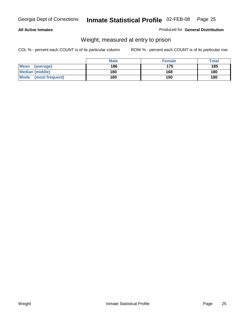#### **All Active Inmates**

#### Produced for **General Distribution**

### Weight, measured at entry to prison

|                          | <b>Male</b> | <b>Female</b> | Total |
|--------------------------|-------------|---------------|-------|
| <b>Mean</b><br>(average) | 186         | 175           | 185   |
| <b>Median (middle)</b>   | 180         | 168           | 180   |
| Mode<br>(most frequent)  | 180         | 150           | 180   |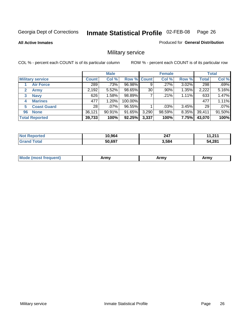**All Active Inmates**

Produced for **General Distribution**

### Military service

|                             |              | <b>Male</b> |                    |       | <b>Female</b> |       |              | <b>Total</b> |
|-----------------------------|--------------|-------------|--------------------|-------|---------------|-------|--------------|--------------|
| <b>Military service</b>     | <b>Count</b> | Col %       | <b>Row % Count</b> |       | Col %         | Row % | <b>Total</b> | Col %        |
| <b>Air Force</b>            | 289          | $.73\%$     | 96.98%             | 9     | .27%          | 3.02% | 298          | .69%         |
| $\mathbf{2}$<br><b>Army</b> | 2,192        | 5.52%       | 98.65%             | 30    | .90%          | 1.35% | 2,222        | 5.16%        |
| <b>Navy</b><br>3            | 626          | 1.58%       | 98.89%             |       | .21%          | 1.11% | 633          | 1.47%        |
| <b>Marines</b><br>4         | 477          | 1.20%       | 100.00%            |       |               |       | 477          | 1.11%        |
| <b>Coast Guard</b><br>5     | 28           | $.07\%$     | 96.55%             |       | .03%          | 3.45% | 29           | .07%         |
| <b>None</b><br>96           | 36,121       | 90.91%      | 91.65%             | 3,290 | 98.59%        | 8.35% | 39,411       | 91.50%       |
| <b>Total Reported</b>       | 39,733       | 100%        | 92.25%             | 3,337 | 100%          | 7.75% | 43,070       | 100%         |

| วrted<br>NO.   | 10,964 | 247   | . n.i<br>. " |
|----------------|--------|-------|--------------|
| ⊺otaı<br>"Gra. | 50,697 | 3.584 | 54,281       |

|  | <b>Mode</b><br>reauent)<br>.ost ir | Army | Army | Army |
|--|------------------------------------|------|------|------|
|--|------------------------------------|------|------|------|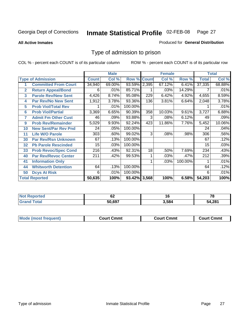#### **All Active Inmates**

#### Produced for **General Distribution**

### Type of admission to prison

|                |                             |                  | <b>Male</b> |                    |     | <b>Female</b> |         |              | <b>Total</b> |
|----------------|-----------------------------|------------------|-------------|--------------------|-----|---------------|---------|--------------|--------------|
|                | <b>Type of Admission</b>    | <b>Count</b>     | Col %       | <b>Row % Count</b> |     | Col %         | Row %   | <b>Total</b> | Col %        |
|                | <b>Committed From Court</b> | 34,940           | 69.00%      | 93.59% 2,395       |     | 67.12%        | 6.41%   | 37,335       | 68.88%       |
| $\overline{2}$ | <b>Return Appeal/Bond</b>   | 6                | .01%        | 85.71%             |     | .03%          | 14.29%  |              | .01%         |
| 3              | <b>Parole Rev/New Sent</b>  | 4,426            | 8.74%       | 95.08%             | 229 | 6.42%         | 4.92%   | 4,655        | 8.59%        |
| 4              | <b>Par Rev/No New Sent</b>  | 1,912            | 3.78%       | 93.36%             | 136 | 3.81%         | 6.64%   | 2,048        | 3.78%        |
| 5              | <b>Prob Viol/Total Rev</b>  |                  | .01%        | 100.00%            |     |               |         |              | .01%         |
| 6              | <b>Prob Viol/Partial</b>    | 3,369            | 6.65%       | 90.39%             | 358 | 10.03%        | 9.61%   | 3,727        | 6.88%        |
| 7              | <b>Admit Fm Other Cust</b>  | 46               | .09%        | 93.88%             | 3   | .08%          | 6.12%   | 49           | .09%         |
| 9              | <b>Prob Rev/Remainder</b>   | 5,029            | 9.93%       | 92.24%             | 423 | 11.86%        | 7.76%   | 5,452        | 10.06%       |
| 10             | <b>New Sent/Par Rev Pnd</b> | 24               | .05%        | 100.00%            |     |               |         | 24           | .04%         |
| 11             | <b>Life W/O Parole</b>      | 303              | .60%        | 99.02%             | 3   | .08%          | .98%    | 306          | .56%         |
| 30             | <b>Par Rev/Rsn Unknown</b>  | 67               | .13%        | 100.00%            |     |               |         | 67           | .12%         |
| 32             | <b>Pb Parole Rescinded</b>  | 15 <sub>15</sub> | .03%        | 100.00%            |     |               |         | 15           | .03%         |
| 33             | <b>Prob Revoc/Spec Cond</b> | 216              | .43%        | 92.31%             | 18  | .50%          | 7.69%   | 234          | .43%         |
| 40             | <b>Par Rev/Revoc Center</b> | 211              | .42%        | 99.53%             |     | .03%          | .47%    | 212          | .39%         |
| 41             | <b>Information Only</b>     |                  |             |                    |     | .03%          | 100.00% |              | .01%         |
| 44             | <b>Whitworth Detention</b>  | 64               | .13%        | 100.00%            |     |               |         | 64           | .12%         |
| 50             | <b>Dcys At Risk</b>         | 6                | .01%        | 100.00%            |     |               |         | 6            | .01%         |
|                | <b>Total Reported</b>       | 50,635           | 100%        | 93.42% 3,568       |     | 100%          | 6.58%   | 54,203       | 100%         |

| <b>Not Reported</b> |        |       | 70<br>1 С |
|---------------------|--------|-------|-----------|
| īota.<br>Grs        | 50,697 | 3,584 | 54,281    |

| <b>Court Cmmt</b><br><b>Court Cmmt</b><br>Court Cmmt |                             |  |  |
|------------------------------------------------------|-----------------------------|--|--|
|                                                      | <b>Mode (most frequent)</b> |  |  |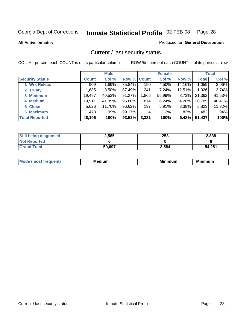**All Active Inmates**

#### Produced for **General Distribution**

### Current / last security status

|                        |              | <b>Male</b> |             |       | <b>Female</b> |          |              | <b>Total</b> |
|------------------------|--------------|-------------|-------------|-------|---------------|----------|--------------|--------------|
| <b>Security Status</b> | <b>Count</b> | Col %       | Row % Count |       | Col %         | Row %    | <b>Total</b> | Col %        |
| 1 Wrk Releas           | 909          | 1.89%       | 85.84%      | 150   | 4.50%         | 14.16%   | 1,059        | 2.06%        |
| 2 Trusty               | .685         | 3.50%       | 87.49%      | 241   | 7.24%         | 12.51%   | 1,926        | 3.74%        |
| 3 Minimum              | 19,497       | 40.53%      | 91.27%      | .865  | 55.99%        | $8.73\%$ | 21,362       | 41.53%       |
| 4 Medium               | 19,911       | 41.39%      | 95.80%      | 874   | 26.24%        | 4.20%    | 20,785       | 40.41%       |
| 5 Close                | 5,626        | 11.70%      | 96.62%      | 197   | 5.91%         | 3.38%    | 5,823        | 11.32%       |
| 6 Maximum              | 478          | .99%        | 99.17%      | 4     | .12%          | .83%     | 482          | .94%         |
| <b>Total Reported</b>  | 48,106       | 100%        | 93.52%      | 3,331 | 100%          | 6.48%    | 51,437       | 100%         |

| <b>Still being diagnosed</b> | 2,585  | 253   | 2,838  |
|------------------------------|--------|-------|--------|
| <b>Not Reported</b>          |        |       |        |
| <b>Grand Total</b>           | 50,697 | 3,584 | 54,281 |

| M | <br><br> | ALL HAY |
|---|----------|---------|
|   |          |         |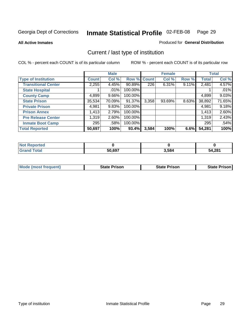**All Active Inmates**

#### Produced for **General Distribution**

### Current / last type of institution

|                            |        | <b>Male</b> |             |       | <b>Female</b> |       |              | <b>Total</b> |
|----------------------------|--------|-------------|-------------|-------|---------------|-------|--------------|--------------|
| <b>Type of Institution</b> | Count  | Col %       | Row % Count |       | Col %         | Row % | <b>Total</b> | Col %        |
| <b>Transitional Center</b> | 2,255  | 4.45%       | 90.89%      | 226   | 6.31%         | 9.11% | 2,481        | 4.57%        |
| <b>State Hospital</b>      |        | $.01\%$     | 100.00%     |       |               |       |              | .01%         |
| <b>County Camp</b>         | 4,899  | $9.66\%$    | 100.00%     |       |               |       | 4,899        | 9.03%        |
| <b>State Prison</b>        | 35,534 | 70.09%      | 91.37%      | 3,358 | 93.69%        | 8.63% | 38,892       | 71.65%       |
| <b>Private Prison</b>      | 4,981  | 9.83%       | 100.00%     |       |               |       | 4,981        | 9.18%        |
| <b>Prison Annex</b>        | 1,413  | 2.79%       | 100.00%     |       |               |       | 1,413        | 2.60%        |
| <b>Pre Release Center</b>  | 1,319  | 2.60%       | 100.00%     |       |               |       | 1,319        | 2.43%        |
| <b>Inmate Boot Camp</b>    | 295    | .58%        | 100.00%     |       |               |       | 295          | .54%         |
| <b>Total Reported</b>      | 50,697 | 100%        | 93.4%       | 3,584 | 100%          | 6.6%  | 54,281       | 100%         |

| ported<br>' Not              |        |       |        |
|------------------------------|--------|-------|--------|
| <b>c</b> otal<br><b>Gran</b> | 50,697 | 3,584 | 54,281 |

| <b>Mode (most frequent)</b> | <b>State Prison</b> | <b>State Prison</b> | <b>State Prison I</b> |
|-----------------------------|---------------------|---------------------|-----------------------|
|                             |                     |                     |                       |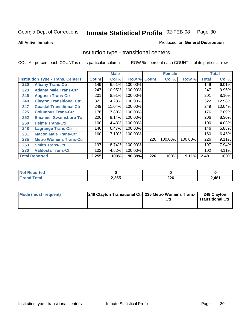**All Active Inmates**

#### Produced for **General Distribution**

### Institution type - transitional centers

|     |                                          |              | <b>Male</b> |         |              | <b>Female</b> |         |              | <b>Total</b> |
|-----|------------------------------------------|--------------|-------------|---------|--------------|---------------|---------|--------------|--------------|
|     | <b>Institution Type - Trans. Centers</b> | <b>Count</b> | Col %       | Row %   | <b>Count</b> | Col %         | Row %   | <b>Total</b> | Col %        |
| 220 | <b>Albany Trans-Ctr</b>                  | 149          | 6.61%       | 100.00% |              |               |         | 149          | 6.01%        |
| 223 | <b>Atlanta Male Trans-Ctr</b>            | 247          | 10.95%      | 100.00% |              |               |         | 247          | $9.96\%$     |
| 246 | <b>Augusta Trans-Ctr</b>                 | 201          | 8.91%       | 100.00% |              |               |         | 201          | 8.10%        |
| 249 | <b>Clayton Transitional Ctr</b>          | 322          | 14.28%      | 100.00% |              |               |         | 322          | 12.98%       |
| 247 | <b>Coastal Transitional Ctr</b>          | 249          | 11.04%      | 100.00% |              |               |         | 249          | 10.04%       |
| 225 | <b>Columbus Trans-Ctr</b>                | 176          | 7.80%       | 100.00% |              |               |         | 176          | 7.09%        |
| 252 | <b>Emanuel-Swainsboro Tc</b>             | 206          | 9.14%       | 100.00% |              |               |         | 206          | 8.30%        |
| 250 | <b>Helms Trans-Ctr</b>                   | 100          | 4.43%       | 100.00% |              |               |         | 100          | 4.03%        |
| 248 | <b>Lagrange Trans Ctr</b>                | 146          | 6.47%       | 100.00% |              |               |         | 146          | 5.88%        |
| 231 | <b>Macon Male Trans-Ctr</b>              | 160          | 7.10%       | 100.00% |              |               |         | 160          | 6.45%        |
| 235 | <b>Metro Womens Trans-Ctr</b>            |              |             |         | 226          | 100.00%       | 100.00% | 226          | 9.11%        |
| 253 | <b>Smith Trans-Ctr</b>                   | 197          | 8.74%       | 100.00% |              |               |         | 197          | 7.94%        |
| 230 | <b>Valdosta Trans-Ctr</b>                | 102          | 4.52%       | 100.00% |              |               |         | 102          | 4.11%        |
|     | <b>Total Reported</b>                    | 2,255        | 100%        | 90.89%  | 226          | 100%          | 9.11%   | 2,481        | 100%         |

| rtea        |       |            |                                  |
|-------------|-------|------------|----------------------------------|
| <b>otal</b> | 2,255 | nne<br>ZZU | 2 <sub>481</sub><br>$-10.$<br>-- |

| Mode (most frequent) | 249 Clayton Transitional Ctr 235 Metro Womens Trans- | Ctr | 249 Clayton<br>Transitional Ctr |
|----------------------|------------------------------------------------------|-----|---------------------------------|
|                      |                                                      |     |                                 |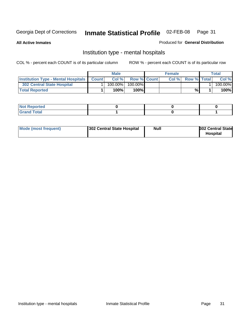**All Active Inmates**

#### Produced for **General Distribution**

### Institution type - mental hospitals

|                                                  | Male       |                    | <b>Female</b> |                    | Total   |
|--------------------------------------------------|------------|--------------------|---------------|--------------------|---------|
| <b>Institution Type - Mental Hospitals Count</b> | Col %      | <b>Row % Count</b> | Col%          | <b>Row % Total</b> | Col %   |
| 302 Central State Hospital                       | $100.00\%$ | 100.00%            |               |                    | 100.00% |
| <b>Total Reported</b>                            | 100%       | 100%I              |               | %                  | 100%    |

| Not Reported |  |  |
|--------------|--|--|
| <b>otal</b>  |  |  |

| Mode (most frequent)<br>302 Central State Hospital | Null | <b>302 Central State</b><br><b>Hospital</b> |
|----------------------------------------------------|------|---------------------------------------------|
|----------------------------------------------------|------|---------------------------------------------|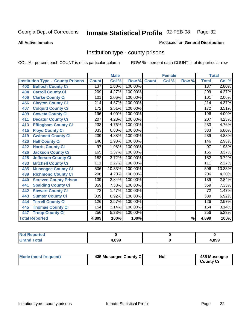#### **All Active Inmates**

#### Produced for **General Distribution**

### Institution type - county prisons

|                                          |                  | <b>Male</b> |         |              | <b>Female</b> |                          |                  | <b>Total</b> |
|------------------------------------------|------------------|-------------|---------|--------------|---------------|--------------------------|------------------|--------------|
| <b>Institution Type - County Prisons</b> | <b>Count</b>     | Col %       | Row %   | <b>Count</b> | Col %         | Row %                    | <b>Total</b>     | Col %        |
| <b>Bulloch County Ci</b><br>402          | 137              | 2.80%       | 100.00% |              |               |                          | 137              | 2.80%        |
| <b>Carroll County Ci</b><br>404          | $\overline{209}$ | 4.27%       | 100.00% |              |               |                          | $\overline{209}$ | 4.27%        |
| <b>Clarke County Ci</b><br>406           | 101              | 2.06%       | 100.00% |              |               |                          | 101              | 2.06%        |
| <b>Clayton County Ci</b><br>456          | 214              | 4.37%       | 100.00% |              |               |                          | $\overline{214}$ | 4.37%        |
| <b>Colquitt County Ci</b><br>407         | 172              | 3.51%       | 100.00% |              |               |                          | 172              | 3.51%        |
| <b>Coweta County Ci</b><br>409           | 196              | 4.00%       | 100.00% |              |               |                          | 196              | 4.00%        |
| <b>Decatur County Ci</b><br>411          | 207              | 4.23%       | 100.00% |              |               |                          | 207              | 4.23%        |
| <b>Effingham County Ci</b><br>413        | 233              | 4.76%       | 100.00% |              |               |                          | 233              | 4.76%        |
| <b>Floyd County Ci</b><br>415            | 333              | 6.80%       | 100.00% |              |               |                          | 333              | 6.80%        |
| <b>Gwinnett County Ci</b><br>419         | 239              | 4.88%       | 100.00% |              |               |                          | 239              | 4.88%        |
| <b>Hall County Ci</b><br>420             | 146              | 2.98%       | 100.00% |              |               |                          | 146              | 2.98%        |
| <b>Harris County Ci</b><br>422           | 97               | 1.98%       | 100.00% |              |               |                          | 97               | 1.98%        |
| <b>Jackson County Ci</b><br>426          | 165              | 3.37%       | 100.00% |              |               |                          | 165              | 3.37%        |
| <b>Jefferson County Ci</b><br>428        | 182              | 3.72%       | 100.00% |              |               |                          | 182              | 3.72%        |
| <b>Mitchell County Ci</b><br>433         | 111              | 2.27%       | 100.00% |              |               |                          | 111              | 2.27%        |
| <b>Muscogee County Ci</b><br>435         | 506              | 10.33%      | 100.00% |              |               |                          | 506              | 10.33%       |
| <b>Richmond County Ci</b><br>439         | $\overline{206}$ | 4.20%       | 100.00% |              |               |                          | $\overline{206}$ | 4.20%        |
| <b>Screven County Prison</b><br>440      | 139              | 2.84%       | 100.00% |              |               |                          | 139              | 2.84%        |
| <b>Spalding County Ci</b><br>441         | 359              | 7.33%       | 100.00% |              |               |                          | 359              | 7.33%        |
| <b>Stewart County Ci</b><br>442          | 72               | 1.47%       | 100.00% |              |               |                          | 72               | 1.47%        |
| <b>Sumter County Ci</b><br>443           | 339              | 6.92%       | 100.00% |              |               |                          | 339              | 6.92%        |
| <b>Terrell County Ci</b><br>444          | 126              | 2.57%       | 100.00% |              |               |                          | 126              | 2.57%        |
| <b>Thomas County Ci</b><br>445           | 154              | 3.14%       | 100.00% |              |               |                          | 154              | 3.14%        |
| <b>Troup County Ci</b><br>447            | 256              | 5.23%       | 100.00% |              |               |                          | 256              | 5.23%        |
| <b>Total Reported</b>                    | 4,899            | 100%        | 100%    |              |               | $\overline{\frac{9}{6}}$ | 4,899            | 100%         |

| -- | .899 | .899 |
|----|------|------|

| Mode (most frequent) | 435 Muscogee County Ci | <b>Null</b> | 435 Muscogee     |
|----------------------|------------------------|-------------|------------------|
|                      |                        |             | <b>County Ci</b> |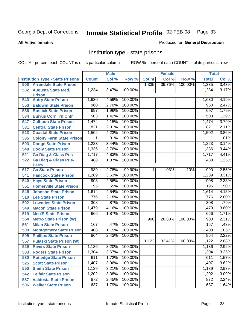**All Active Inmates**

#### Produced for **General Distribution**

### Institution type - state prisons

|     |                                            |              | <b>Male</b> |         |                | <b>Female</b> |         | <b>Total</b>     |       |
|-----|--------------------------------------------|--------------|-------------|---------|----------------|---------------|---------|------------------|-------|
|     | <b>Institution Type - State Prisons</b>    | <b>Count</b> | Col %       | Row %   | <b>Count</b>   | Col %         | Row %   | <b>Total</b>     | Col % |
| 508 | <b>Arrendale State Prison</b>              |              |             |         | 1,335          | 39.76%        | 100.00% | 1,335            | 3.43% |
| 532 | <b>Augusta State Med.</b><br><b>Prison</b> | 1,234        | 3.47%       | 100.00% |                |               |         | 1,234            | 3.17% |
| 543 | <b>Autry State Prison</b>                  | 1,630        | 4.59%       | 100.00% |                |               |         | 1,630            | 4.19% |
| 553 | <b>Baldwin State Prison</b>                | 960          | 2.70%       | 100.00% |                |               |         | 960              | 2.47% |
| 536 | <b>Bostick State Prison</b>                | 697          | 1.96%       | 100.00% |                |               |         | 697              | 1.79% |
| 534 | <b>Burrus Corr Trn Cntr</b>                | 503          | 1.42%       | 100.00% |                |               |         | 503              | 1.29% |
| 547 | <b>Calhoun State Prison</b>                | 1,474        | 4.15%       | 100.00% |                |               |         | 1,474            | 3.79% |
| 531 | <b>Central State Prison</b>                | 821          | 2.31%       | 100.00% |                |               |         | 821              | 2.11% |
| 523 | <b>Coastal State Prison</b>                | 1,502        | 4.23%       | 100.00% |                |               |         | 1,502            | 3.86% |
| 535 | <b>Colony Farm State Prison</b>            | 1            | .01%        | 100.00% |                |               |         | 1                | .01%  |
| 503 | <b>Dodge State Prison</b>                  | 1,223        | 3.44%       | 100.00% |                |               |         | 1,223            | 3.14% |
| 548 | <b>Dooly State Prison</b>                  | 1,336        | 3.76%       | 100.00% |                |               |         | 1,336            | 3.44% |
| 521 | <b>Ga Diag &amp; Class Pris</b>            | 1,717        | 4.83%       | 100.00% |                |               |         | 1,717            | 4.41% |
| 522 | <b>Ga Diag &amp; Class Pris-</b>           | 488          | 1.37%       | 100.00% |                |               |         | 488              | 1.25% |
|     | <b>Perm</b>                                |              |             |         |                |               |         |                  |       |
| 517 | <b>Ga State Prison</b>                     | 989          | 2.78%       | 99.90%  | $\overline{1}$ | .03%          | .10%    | 990              | 2.55% |
| 541 | <b>Hancock State Prison</b>                | 1,289        | 3.63%       | 100.00% |                |               |         | 1,289            | 3.31% |
| 540 | <b>Hays State Prison</b>                   | 908          | 2.56%       | 100.00% |                |               |         | 908              | 2.33% |
| 551 | <b>Homerville State Prison</b>             | 195          | .55%        | 100.00% |                |               |         | 195              | .50%  |
| 545 | <b>Johnson State Prison</b>                | 1,614        | 4.54%       | 100.00% |                |               |         | 1,614            | 4.15% |
| 510 | <b>Lee State Prison</b>                    | 776          | 2.18%       | 100.00% |                |               |         | 776              | 2.00% |
| 502 | <b>Lowndes State Prison</b>                | 308          | .87%        | 100.00% |                |               |         | 308              | .79%  |
| 549 | <b>Macon State Prison</b>                  | 1,479        | 4.16%       | 100.00% |                |               |         | 1,479            | 3.80% |
| 519 | <b>Men'S State Prison</b>                  | 666          | 1.87%       | 100.00% |                |               |         | 666              | 1.71% |
| 554 | <b>Metro State Prison (W)</b>              |              |             |         | 900            | 26.80%        | 100.00% | $\overline{900}$ | 2.31% |
| 561 | <b>Milan State Prison</b>                  | 167          | .47%        | 100.00% |                |               |         | 167              | .43%  |
| 509 | <b>Montgomery State Prison</b>             | 408          | 1.15%       | 100.00% |                |               |         | 408              | 1.05% |
| 505 | <b>Phillips State Prison</b>               | 864          | 2.43%       | 100.00% |                |               |         | 864              | 2.22% |
| 557 | <b>Pulaski State Prison (W)</b>            |              |             |         | 1,122          | 33.41%        | 100.00% | 1,122            | 2.88% |
| 529 | <b>Rivers State Prison</b>                 | 1,136        | 3.20%       | 100.00% |                |               |         | 1,136            | 2.92% |
| 533 | <b>Rogers State Prison</b>                 | 1,304        | $3.67\%$    | 100.00% |                |               |         | 1,304            | 3.35% |
| 530 | <b>Rutledge State Prison</b>               | 611          | 1.72%       | 100.00% |                |               |         | 611              | 1.57% |
| 525 | <b>Scott State Prison</b>                  | 1,407        | 3.96%       | 100.00% |                |               |         | 1,407            | 3.62% |
| 550 | <b>Smith State Prison</b>                  | 1,139        | 3.21%       | 100.00% |                |               |         | 1,139            | 2.93% |
| 542 | <b>Telfair State Prison</b>                | 1,202        | 3.38%       | 100.00% |                |               |         | 1,202            | 3.09% |
| 537 | <b>Valdosta State Prison</b>               | 872          | 2.45%       | 100.00% |                |               |         | 872              | 2.24% |
| 506 | <b>Walker State Prison</b>                 | 637          | 1.79%       | 100.00% |                |               |         | 637              | 1.64% |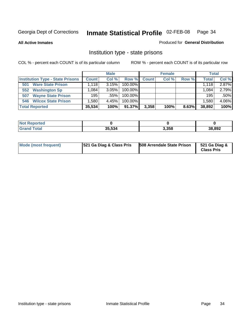**All Active Inmates**

#### Produced for **General Distribution**

### Institution type - state prisons

|                                         |              | <b>Male</b> |            |              | <b>Female</b> |       | <b>Total</b> |       |
|-----------------------------------------|--------------|-------------|------------|--------------|---------------|-------|--------------|-------|
| <b>Institution Type - State Prisons</b> | <b>Count</b> | Col %       | Row %      | <b>Count</b> | Col %         | Row % | <b>Total</b> | Col % |
| <b>Ware State Prison</b><br>501         | l.118 l      | 3.15%       | 100.00%    |              |               |       | 1.118        | 2.87% |
| <b>Washington Sp</b><br>552             | .084         | $3.05\%$    | $100.00\%$ |              |               |       | 1.084        | 2.79% |
| <b>Wayne State Prison</b><br>507        | 195          | .55%        | $100.00\%$ |              |               |       | 195          | .50%  |
| <b>Wilcox State Prison</b><br>546       | .580         | 4.45%       | $100.00\%$ |              |               |       | 1,580        | 4.06% |
| <b>Total Reported</b>                   | 35,534       | 100%        | 91.37%     | 3,358        | 100%          | 8.63% | 38,892       | 100%  |

| N <sub>of</sub><br>Reported |        |       |        |
|-----------------------------|--------|-------|--------|
| <b>Total</b>                | 35,534 | 3,358 | 38,892 |

| <b>Mode (most frequent)</b> | <b>521 Ga Diag &amp; Class Pris</b> | 508 Arrendale State Prison | 521 Ga Diag &<br><b>Class Pris</b> |
|-----------------------------|-------------------------------------|----------------------------|------------------------------------|
|-----------------------------|-------------------------------------|----------------------------|------------------------------------|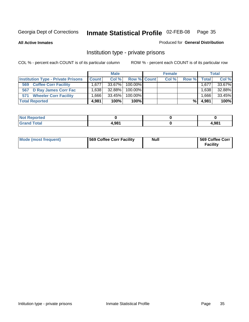**All Active Inmates**

#### Produced for **General Distribution**

### Institution type - private prisons

|                                           |              | <b>Male</b> |             | <b>Female</b> |       |              | <b>Total</b> |
|-------------------------------------------|--------------|-------------|-------------|---------------|-------|--------------|--------------|
| <b>Institution Type - Private Prisons</b> | <b>Count</b> | Col %       | Row % Count | Col %         | Row % | <b>Total</b> | Col %        |
| <b>Coffee Corr Facility</b><br>569        | 1.677        | 33.67%      | 100.00%     |               |       | 1,677        | 33.67%       |
| 567 D Ray James Corr Fac                  | .638         | 32.88%      | 100.00%     |               |       | 1.638        | 32.88%       |
| <b>Wheeler Corr Facility</b><br>571       | ∴666⊥        | 33.45%      | 100.00%     |               |       | 866.         | 33.45%       |
| <b>Total Reported</b>                     | 4,981        | 100%        | 100%        |               | %     | 4,981        | 100%         |

| <b>Not</b><br><b>Reported</b>               |       |       |
|---------------------------------------------|-------|-------|
| <b>Total</b><br>$\mathbf{v}$ . $\mathbf{u}$ | 1.981 | 1,981 |

| <b>Mode (most frequent)</b> | 569 Coffee Corr Facility | <b>Null</b> | 569 Coffee Corr<br><b>Facility</b> |
|-----------------------------|--------------------------|-------------|------------------------------------|
|-----------------------------|--------------------------|-------------|------------------------------------|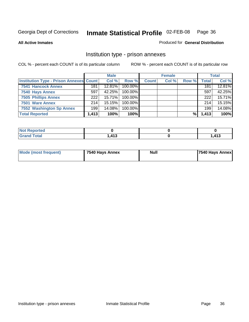#### **All Active Inmates**

#### Produced for **General Distribution**

### Institution type - prison annexes

|                                                | <b>Male</b> |           | <b>Female</b> |              |       | <b>Total</b> |              |        |
|------------------------------------------------|-------------|-----------|---------------|--------------|-------|--------------|--------------|--------|
| <b>Institution Type - Prison Annexes Count</b> |             | Col %     | Row %         | <b>Count</b> | Col % | Row %        | <b>Total</b> | Col %  |
| <b>7541 Hancock Annex</b>                      | 181         | 12.81%    | 100.00%       |              |       |              | 181          | 12.81% |
| 7540 Hays Annex                                | 597         | 42.25%    | 100.00%       |              |       |              | 597          | 42.25% |
| <b>7505 Phillips Annex</b>                     | 222         | 15.71%    | 100.00%       |              |       |              | 222          | 15.71% |
| 7501 Ware Annex                                | 214         | $15.15\%$ | $100.00\%$    |              |       |              | 214          | 15.15% |
| 7552 Washington Sp Annex                       | 199         | 14.08%    | 100.00%       |              |       |              | 199          | 14.08% |
| <b>Total Reported</b>                          | 1,413       | 100%      | 100%          |              |       | %            | 1,413        | 100%   |

| . Reported<br><b>Not</b>    |                           |        |
|-----------------------------|---------------------------|--------|
| <b>Total</b><br><b>Grar</b> | $\overline{112}$<br>ں ہے. | 413, ، |

| Mode (most frequent) | 7540 Hays Annex | <b>Null</b> | <b>7540 Hays Annex</b> |
|----------------------|-----------------|-------------|------------------------|
|                      |                 |             |                        |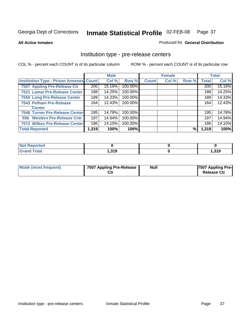### **All Active Inmates**

### Produced for **General Distribution**

## Institution type - pre-release centers

|                                         |       | <b>Male</b> |         |              | <b>Female</b> |       |              | <b>Total</b> |
|-----------------------------------------|-------|-------------|---------|--------------|---------------|-------|--------------|--------------|
| Institution Type - Prison Annexes Count |       | Col %       | Row %   | <b>Count</b> | Col %         | Row % | <b>Total</b> | Col %        |
| 7507 Appling Pre-Release Ctr            | 200   | 15.16%      | 100.00% |              |               |       | 200          | 15.16%       |
| 7521 Lamar Pre-Release Center           | 188   | 14.25%      | 100.00% |              |               |       | 188          | 14.25%       |
| 7550 Long Pre-Release Center            | 189   | 14.33%      | 100.00% |              |               |       | 189          | 14.33%       |
| 7543 Pelham Pre-Release                 | 164   | 12.43%      | 100.00% |              |               |       | 164          | 12.43%       |
| <b>Center</b>                           |       |             |         |              |               |       |              |              |
| 7546 Turner Pre-Release Center          | 195   | 14.78%      | 100.00% |              |               |       | 195          | 14.78%       |
| 556 Western Pre-Release Cntr            | 197   | 14.94%      | 100.00% |              |               |       | 197          | 14.94%       |
| 7572 Wilkes Pre-Release Center          | 186   | 14.10%      | 100.00% |              |               |       | 186          | 14.10%       |
| <b>Total Reported</b>                   | 1,319 | 100%        | 100%    |              |               | %     | 1,319        | 100%         |

| <b>Reported</b> |     |         |
|-----------------|-----|---------|
| <b>Total</b>    | 210 | 210     |
| <b>Grand</b>    | .   | 1.J I J |

| Mode (most frequent) | 7507 Appling Pre-Release<br>Ctr | <b>Null</b> | 7507 Appling Pre-<br><b>Release Ctr</b> |
|----------------------|---------------------------------|-------------|-----------------------------------------|
|----------------------|---------------------------------|-------------|-----------------------------------------|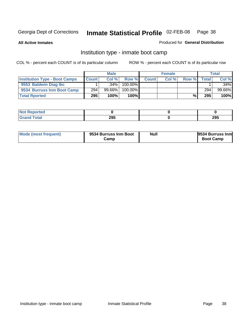**All Active Inmates**

### Produced for **General Distribution**

## Institution type - inmate boot camp

|                                      |              | <b>Male</b> |            |              | <b>Female</b> |       |                  | <b>Total</b> |
|--------------------------------------|--------------|-------------|------------|--------------|---------------|-------|------------------|--------------|
| <b>Institution Type - Boot Camps</b> | <b>Count</b> | Col %       | Row %      | <b>Count</b> | Col %         | Row % | $\mathsf{Total}$ | Col %        |
| 9553 Baldwin Diag Ibc                |              | $.34\%$     | $100.00\%$ |              |               |       |                  | $.34\%$      |
| 9534 Burruss Inm Boot Camp           | 294          | $99.66\%$   | 100.00%    |              |               |       | 294              | 99.66%       |
| <b>Total Rported</b>                 | 295          | 100%        | 100%       |              |               | %\    | 295              | 100%         |

| τeα          |     |     |
|--------------|-----|-----|
| <b>intal</b> | 295 | 295 |

| Mode (most frequent) | 9534 Burruss Inm Boot<br>Camp | Null | 9534 Burruss Inm<br><b>Boot Camp</b> |
|----------------------|-------------------------------|------|--------------------------------------|
|----------------------|-------------------------------|------|--------------------------------------|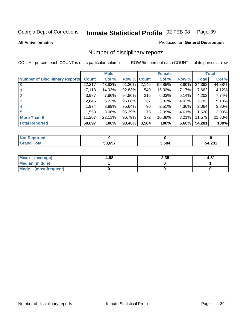**All Active Inmates**

### Produced for **General Distribution**

## Number of disciplinary reports

|                                       |              | <b>Male</b> |        |              | <b>Female</b> |          |              | <b>Total</b> |
|---------------------------------------|--------------|-------------|--------|--------------|---------------|----------|--------------|--------------|
| <b>Number of Disciplinary Reports</b> | <b>Count</b> | Col %       | Row %  | <b>Count</b> | Col %         | Row %    | <b>Total</b> | Col %        |
|                                       | 22,217       | 43.82%      | 91.20% | 2,145        | 59.85%        | 8.80%    | 24,362       | 44.88%       |
|                                       | 7,113        | 14.03%      | 92.83% | 549          | 15.32%        | 7.17%    | 7,662        | 14.12%       |
| $\mathbf{2}$                          | 3,987        | 7.86%       | 94.86% | 216          | 6.03%         | 5.14%    | 4,203        | 7.74%        |
| 3                                     | 2,646        | 5.22%       | 95.08% | 137          | 3.82%         | 4.92%    | 2,783        | 5.13%        |
|                                       | 1,974        | 3.89%       | 95.64% | 90           | 2.51%         | 4.36%    | 2,064        | 3.80%        |
| 5                                     | ,553         | $3.06\%$    | 95.39% | 75           | 2.09%         | $4.61\%$ | 1,628        | 3.00%        |
| <b>More Than 5</b>                    | 11,207       | 22.11%      | 96.79% | 372          | 10.38%        | $3.21\%$ | 11,579       | 21.33%       |
| <b>Total Reported</b>                 | 50,697       | 100%        | 93.40% | 3,584        | 100%          | 6.60%    | 54,281       | 100%         |

| ______ | 50.697 | 5.584 | 294 |
|--------|--------|-------|-----|

| Mean (average)         | 4.98 | 2.35 | 4.81 |
|------------------------|------|------|------|
| <b>Median (middle)</b> |      |      |      |
| Mode (most frequent)   |      |      |      |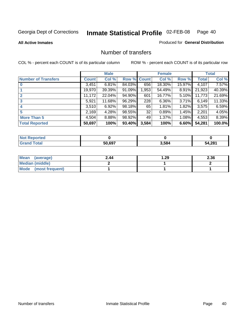### **All Active Inmates**

### Produced for **General Distribution**

## Number of transfers

|                            |              | <b>Male</b> |        |              | <b>Female</b> |          |              | <b>Total</b> |
|----------------------------|--------------|-------------|--------|--------------|---------------|----------|--------------|--------------|
| <b>Number of Transfers</b> | <b>Count</b> | Col %       | Row %  | <b>Count</b> | Col %         | Row %    | <b>Total</b> | Col %        |
|                            | 3,451        | 6.81%       | 84.03% | 656          | 18.30%        | 15.97%   | 4,107        | $7.57\%$     |
|                            | 19,970       | 39.39%      | 91.09% | 1,953        | 54.49%        | 8.91%    | 21,923       | 40.39%       |
|                            | 11,172       | 22.04%      | 94.90% | 601          | 16.77%        | 5.10%    | 11,773       | 21.69%       |
| 3                          | 5,921        | $11.68\%$   | 96.29% | 228          | 6.36%         | 3.71%    | 6,149        | 11.33%       |
|                            | 3,510        | 6.92%       | 98.18% | 65           | 1.81%         | $1.82\%$ | 3,575        | 6.59%        |
| 5                          | 2,169        | 4.28%       | 98.55% | 32           | 0.89%         | 1.45%    | 2,201        | 4.05%        |
| <b>More Than 5</b>         | 4,504        | 8.88%       | 98.92% | 49           | 1.37%         | $1.08\%$ | 4,553        | 8.39%        |
| <b>Total Reported</b>      | 50,697       | 100%        | 93.40% | 3,584        | 100%          | 6.60%    | 54,281       | 100.0%       |

| ______ | 50.697 | 5.584 | 294 |
|--------|--------|-------|-----|

| Mean (average)       | 2.44 | ∣.29 | 2.36 |
|----------------------|------|------|------|
| Median (middle)      |      |      |      |
| Mode (most frequent) |      |      |      |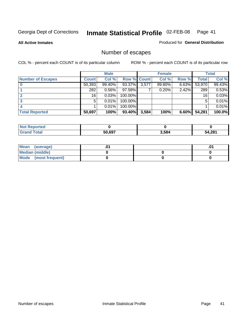**All Active Inmates**

### Produced for **General Distribution**

## Number of escapes

|                          |         | <b>Male</b> |             |       | <b>Female</b> |          |              | <b>Total</b> |
|--------------------------|---------|-------------|-------------|-------|---------------|----------|--------------|--------------|
| <b>Number of Escapes</b> | Count l | Col %       | Row % Count |       | Col %         | Row %    | <b>Total</b> | Col %        |
|                          | 50,393  | 99.40%      | 93.37%      | 3,577 | 99.80%        | 6.63%    | 53,970       | 99.43%       |
|                          | 282     | 0.56%       | 97.58%      |       | 0.20%         | 2.42%    | 289          | 0.53%        |
|                          | 16      | 0.03%       | 100.00%     |       |               |          | 16           | 0.03%        |
|                          | 5.      | 0.01%       | 100.00%     |       |               |          | 5            | 0.01%        |
|                          |         | 0.01%       | 100.00%     |       |               |          |              | 0.01%        |
| <b>Total Reported</b>    | 50,697  | 100%        | 93.40%      | 3,584 | 100%          | $6.60\%$ | 54,281       | 100.0%       |

| тео |        |       |       |
|-----|--------|-------|-------|
|     | 50.697 | 3,584 | 4,281 |

| <b>Mean</b><br>(average) |  | .0 |
|--------------------------|--|----|
| Median (middle)          |  |    |
| Mode (most frequent)     |  |    |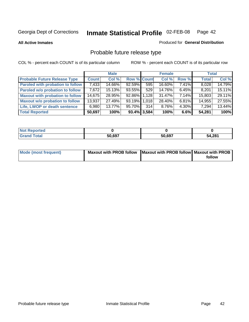**All Active Inmates**

### Produced for **General Distribution**

## Probable future release type

|                                         |              | <b>Male</b> |                    |                | <b>Female</b> |          | <b>Total</b> |        |
|-----------------------------------------|--------------|-------------|--------------------|----------------|---------------|----------|--------------|--------|
| <b>Probable Future Release Type</b>     | <b>Count</b> | Col %       | <b>Row % Count</b> |                | Col %         | Row %    | <b>Total</b> | Col %  |
| <b>Paroled with probation to follow</b> | 7,433        | 14.66%      | 92.59%             | 595            | 16.60%        | 7.41%    | 8,028        | 14.79% |
| Paroled w/o probation to follow         | 7,672        | 15.13%      | 93.55%             | 529            | 14.76%        | $6.45\%$ | 8,201        | 15.11% |
| <b>Maxout with probation to follow</b>  | 14,675       | 28.95%      | 92.86% 1.128       |                | 31.47%        | $7.14\%$ | 15,803       | 29.11% |
| <b>Maxout w/o probation to follow</b>   | 13,937       | 27.49%      | 93.19% 1.018       |                | 28.40%        | $6.81\%$ | 14,955       | 27.55% |
| Life, LWOP or death sentence            | 6,980        | 13.77%      | 95.70%             | 314            | 8.76%         | $4.30\%$ | 7,294        | 13.44% |
| <b>Total Reported</b>                   | 50,697       | 100%        |                    | $93.4\%$ 3,584 | 100%          | $6.6\%$  | 54,281       | 100%   |

| ported                      |        |        |        |
|-----------------------------|--------|--------|--------|
| <b>Total</b><br><b>Grar</b> | 50,697 | 50,697 | 54,281 |

| Mode (most frequent) | Maxout with PROB follow   Maxout with PROB follow   Maxout with PROB |        |
|----------------------|----------------------------------------------------------------------|--------|
|                      |                                                                      | follow |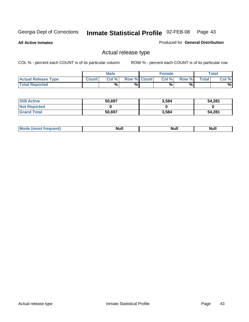**All Active Inmates**

Produced for **General Distribution**

## Actual release type

|                            |              | <b>Male</b> |                    | <b>Female</b> |        |       | $\tau$ otal |
|----------------------------|--------------|-------------|--------------------|---------------|--------|-------|-------------|
| <b>Actual Release Type</b> | <b>Count</b> | Col %       | <b>Row % Count</b> | Col %         | Row %I | Total | Col %       |
| <b>Total Reported</b>      |              | $\%$        | %                  | %             | %      |       | %           |

| <b>Still Active</b> | 50,697 | 3,584 | 54,281 |
|---------------------|--------|-------|--------|
| <b>Not Reported</b> |        |       |        |
| <b>Grand Total</b>  | 50,697 | 3,584 | 54,281 |

| M<br>____<br>_____ | NI | Null | $\cdots$ |
|--------------------|----|------|----------|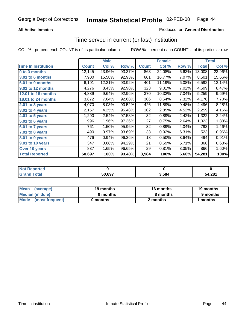### **All Active Inmates**

## Produced for **General Distribution**

## Time served in current (or last) institution

|                              |              | <b>Male</b> |        |              | <b>Female</b> |       |              | <b>Total</b> |
|------------------------------|--------------|-------------|--------|--------------|---------------|-------|--------------|--------------|
| <b>Time In Institution</b>   | <b>Count</b> | Col %       | Row %  | <b>Count</b> | Col %         | Row % | <b>Total</b> | Col %        |
| 0 to 3 months                | 12,145       | 23.96%      | 93.37% | 863          | 24.08%        | 6.63% | 13,008       | 23.96%       |
| 3.01 to 6 months             | 7,900        | 15.58%      | 92.93% | 601          | 16.77%        | 7.07% | 8,501        | 15.66%       |
| 6.01 to 9 months             | 6,191        | 12.21%      | 93.92% | 401          | 11.19%        | 6.08% | 6,592        | 12.14%       |
| 9.01 to 12 months            | 4,276        | 8.43%       | 92.98% | 323          | 9.01%         | 7.02% | 4,599        | 8.47%        |
| <b>12.01 to 18 months</b>    | 4,889        | 9.64%       | 92.96% | 370          | 10.32%        | 7.04% | 5,259        | 9.69%        |
| 18.01 to 24 months           | 3,872        | 7.64%       | 92.68% | 306          | 8.54%         | 7.32% | 4,178        | 7.70%        |
| 2.01 to 3 years              | 4,070        | 8.03%       | 90.52% | 426          | 11.89%        | 9.48% | 4,496        | 8.28%        |
| 3.01 to 4 years              | 2,157        | 4.25%       | 95.48% | 102          | 2.85%         | 4.52% | 2,259        | 4.16%        |
| $\overline{4.01}$ to 5 years | 1,290        | 2.54%       | 97.58% | 32           | 0.89%         | 2.42% | 1,322        | 2.44%        |
| 5.01 to 6 years              | 996          | 1.96%       | 97.36% | 27           | 0.75%         | 2.64% | 1,023        | 1.88%        |
| 6.01 to 7 years              | 761          | 1.50%       | 95.96% | 32           | 0.89%         | 4.04% | 793          | 1.46%        |
| 7.01 to 8 years              | 490          | 0.97%       | 93.69% | 33           | 0.92%         | 6.31% | 523          | 0.96%        |
| 8.01 to 9 years              | 476          | 0.94%       | 96.36% | 18           | 0.50%         | 3.64% | 494          | 0.91%        |
| 9.01 to 10 years             | 347          | 0.68%       | 94.29% | 21           | 0.59%         | 5.71% | 368          | 0.68%        |
| Over 10 years                | 837          | 1.65%       | 96.65% | 29           | 0.81%         | 3.35% | 866          | 1.60%        |
| <b>Total Reported</b>        | 50,697       | 100%        | 93.40% | 3,584        | 100%          | 6.60% | 54,281       | 100%         |

| <b>Not Reported</b> |        |      |        |
|---------------------|--------|------|--------|
| <b>Total</b>        | 50.697 | .584 | 54.281 |

| <b>Mean</b><br>(average) | 19 months | 16 months | 19 months |  |
|--------------------------|-----------|-----------|-----------|--|
| Median (middle)          | 9 months  | 8 months  | 9 months  |  |
| Mode<br>(most frequent)  | 0 months  | 2 months  | months    |  |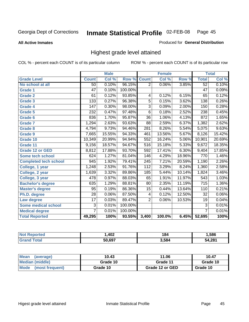**All Active Inmates**

### Produced for **General Distribution**

## Highest grade level attained

|                              |                  | <b>Male</b> |         |                  | <b>Female</b> |        |                  | <b>Total</b> |
|------------------------------|------------------|-------------|---------|------------------|---------------|--------|------------------|--------------|
| <b>Grade Level</b>           | <b>Count</b>     | Col %       | Row %   | <b>Count</b>     | Col %         | Row %  | <b>Total</b>     | Col %        |
| No school at all             | 50               | 0.10%       | 96.15%  | $\overline{2}$   | 0.06%         | 3.85%  | $\overline{52}$  | 0.10%        |
| <b>Grade 1</b>               | $\overline{47}$  | 0.10%       | 100.00% |                  |               |        | $\overline{47}$  | 0.09%        |
| <b>Grade 2</b>               | 61               | 0.12%       | 93.85%  | 4                | 0.12%         | 6.15%  | 65               | 0.12%        |
| <b>Grade 3</b>               | 133              | 0.27%       | 96.38%  | $\overline{5}$   | 0.15%         | 3.62%  | 138              | 0.26%        |
| <b>Grade 4</b>               | $\overline{147}$ | 0.30%       | 98.00%  | $\overline{3}$   | 0.09%         | 2.00%  | 150              | 0.28%        |
| <b>Grade 5</b>               | 232              | 0.47%       | 97.48%  | $\overline{6}$   | 0.18%         | 2.52%  | 238              | 0.45%        |
| Grade 6                      | 836              | 1.70%       | 95.87%  | $\overline{36}$  | 1.06%         | 4.13%  | 872              | 1.65%        |
| <b>Grade 7</b>               | 1,294            | 2.63%       | 93.63%  | $\overline{88}$  | 2.59%         | 6.37%  | 1,382            | 2.62%        |
| <b>Grade 8</b>               | 4,794            | 9.73%       | 94.46%  | 281              | 8.26%         | 5.54%  | 5,075            | 9.63%        |
| Grade 9                      | 7,665            | 15.55%      | 94.33%  | 461              | 13.56%        | 5.67%  | 8,126            | 15.42%       |
| Grade 10                     | 10,349           | 20.99%      | 94.94%  | 552              | 16.24%        | 5.06%  | 10,901           | 20.69%       |
| Grade 11                     | 9,156            | 18.57%      | 94.67%  | $\overline{516}$ | 15.18%        | 5.33%  | 9,672            | 18.35%       |
| <b>Grade 12 or GED</b>       | 8,812            | 17.88%      | 93.70%  | 592              | 17.41%        | 6.30%  | 9,404            | 17.85%       |
| <b>Some tech school</b>      | 624              | 1.27%       | 81.04%  | 146              | 4.29%         | 18.96% | 770              | 1.46%        |
| <b>Completed tech school</b> | 945              | 1.92%       | 79.41%  | $\overline{245}$ | 7.21%         | 20.59% | 1,190            | 2.26%        |
| College, 1 year              | 1,248            | 2.53%       | 91.76%  | 112              | 3.29%         | 8.24%  | 1,360            | 2.58%        |
| College, 2 year              | 1,639            | 3.32%       | 89.86%  | 185              | 5.44%         | 10.14% | 1,824            | 3.46%        |
| College, 3 year              | 478              | 0.97%       | 88.03%  | 65               | 1.91%         | 11.97% | 543              | 1.03%        |
| <b>Bachelor's degree</b>     | 635              | 1.29%       | 88.81%  | $\overline{80}$  | 2.35%         | 11.19% | $\overline{715}$ | 1.36%        |
| <b>Master's degree</b>       | 95               | 0.19%       | 86.36%  | 15               | 0.44%         | 13.64% | 110              | 0.21%        |
| Ph.D. degree                 | $\overline{28}$  | 0.06%       | 87.50%  | 4                | 0.12%         | 12.50% | 32               | $0.06\%$     |
| Law degree                   | $\overline{17}$  | 0.03%       | 89.47%  | $\overline{2}$   | 0.06%         | 10.53% | 19               | 0.04%        |
| Some medical school          | $\overline{3}$   | 0.01%       | 100.00% |                  |               |        | $\overline{3}$   | 0.01%        |
| <b>Medical degree</b>        | $\overline{7}$   | 0.01%       | 100.00% |                  |               |        | $\overline{7}$   | 0.01%        |
| <b>Total Reported</b>        | 49,295           | 100%        | 93.55%  | 3,400            | 100.0%        | 6.45%  | 52,695           | 100%         |

| ,402                            | 10A<br>0٠. | .586  |
|---------------------------------|------------|-------|
| $E^{\wedge}$ $C^{\wedge}$<br>ы. | : 584      | 1.204 |

| <b>Mean</b><br>(average)       | 10.43    | 11.06           | 10.47    |
|--------------------------------|----------|-----------------|----------|
| Median (middle)                | Grade 10 | Grade 11        | Grade 10 |
| <b>Mode</b><br>(most frequent) | Grade 10 | Grade 12 or GED | Grade 10 |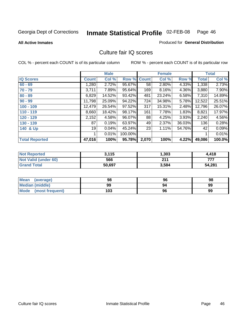Produced for **General Distribution**

### **All Active Inmates**

## Culture fair IQ scores

|                       |              | <b>Male</b> |         |              | <b>Female</b> |        |              | <b>Total</b> |
|-----------------------|--------------|-------------|---------|--------------|---------------|--------|--------------|--------------|
| <b>IQ Scores</b>      | <b>Count</b> | Col %       | Row %   | <b>Count</b> | Col %         | Row %  | <b>Total</b> | Col %        |
| $60 - 69$             | ,280         | 2.72%       | 95.67%  | 58           | 2.80%         | 4.33%  | 1,338        | 2.73%        |
| $70 - 79$             | 3,711        | 7.89%       | 95.64%  | 169          | 8.16%         | 4.36%  | 3,880        | 7.90%        |
| $80 - 89$             | 6,829        | 14.52%      | 93.42%  | 481          | 23.24%        | 6.58%  | 7,310        | 14.89%       |
| $90 - 99$             | 11,798       | 25.09%      | 94.22%  | 724          | 34.98%        | 5.78%  | 12,522       | 25.51%       |
| $100 - 109$           | 12,479       | 26.54%      | 97.52%  | 317          | 15.31%        | 2.48%  | 12,796       | 26.07%       |
| $110 - 119$           | 8,660        | 18.42%      | 98.17%  | 161          | 7.78%         | 1.83%  | 8,821        | 17.97%       |
| 120 - 129             | 2,152        | 4.58%       | 96.07%  | 88           | 4.25%         | 3.93%  | 2,240        | 4.56%        |
| 130 - 139             | 87           | 0.19%       | 63.97%  | 49           | 2.37%         | 36.03% | 136          | 0.28%        |
| 140 & Up              | 19           | 0.04%       | 45.24%  | 23           | 1.11%         | 54.76% | 42           | 0.09%        |
|                       |              | 0.01%       | 100.00% |              |               |        | 1            | 0.01%        |
| <b>Total Reported</b> | 47,016       | 100%        | 95.78%  | 2,070        | 100%          | 4.22%  | 49,086       | 100.0%       |

| <b>Not Reported</b>  | 3,115  | 303. ا | 4.418  |
|----------------------|--------|--------|--------|
| Not Valid (under 60) | 566    | 211    | 777    |
| <b>Grand Total</b>   | 50,697 | 3,584  | 54,281 |

| <b>Mean</b><br>(average) | 98  | 96 | 98 |
|--------------------------|-----|----|----|
| <b>Median (middle)</b>   | 99  | 94 | 99 |
| Mode (most frequent)     | 103 | 96 | 99 |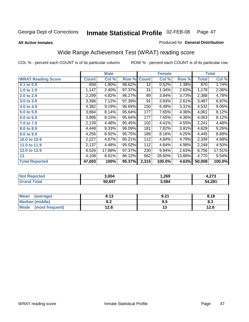### **All Active Inmates**

### Produced for **General Distribution**

## Wide Range Achievement Test (WRAT) reading score

|                           |              | <b>Male</b> |        |                 | <b>Female</b> |        |              | <b>Total</b> |
|---------------------------|--------------|-------------|--------|-----------------|---------------|--------|--------------|--------------|
| <b>WRAT Reading Score</b> | <b>Count</b> | Col %       | Row %  | <b>Count</b>    | Col %         | Row %  | <b>Total</b> | Col %        |
| $0.1$ to $0.9$            | 858          | $1.80\%$    | 98.62% | $\overline{12}$ | 0.52%         | 1.38%  | 870          | 1.74%        |
| 1.0 to 1.9                | 1,147        | 2.40%       | 97.37% | 31              | 1.34%         | 2.63%  | 1,178        | 2.36%        |
| 2.0 to 2.9                | 2,299        | 4.82%       | 96.27% | 89              | 3.84%         | 3.73%  | 2,388        | 4.78%        |
| 3.0 to 3.9                | 3,396        | 7.12%       | 97.39% | 91              | 3.93%         | 2.61%  | 3,487        | 6.97%        |
| 4.0 to 4.9                | 4,382        | 9.19%       | 96.69% | 150             | 6.48%         | 3.31%  | 4,532        | $9.06\%$     |
| 5.0 to 5.9                | 3,884        | 8.14%       | 95.64% | 177             | 7.65%         | 4.36%  | 4,061        | 8.12%        |
| 6.0 to 6.9                | 3,886        | 8.15%       | 95.64% | 177             | 7.65%         | 4.36%  | 4,063        | 8.12%        |
| 7.0 to 7.9                | 2,139        | 4.48%       | 95.45% | 102             | 4.41%         | 4.55%  | 2,241        | 4.48%        |
| 8.0 to 8.9                | 4,448        | 9.33%       | 96.09% | 181             | 7.82%         | 3.91%  | 4,629        | 9.26%        |
| 9.0 to 9.9                | 4,256        | 8.92%       | 95.75% | 189             | 8.16%         | 4.25%  | 4,445        | 8.89%        |
| 10.0 to 10.9              | 2,227        | 4.67%       | 95.21% | 112             | 4.84%         | 4.79%  | 2,339        | 4.68%        |
| 11.0 to 11.9              | 2,137        | 4.48%       | 95.02% | 112             | 4.84%         | 4.98%  | 2,249        | 4.50%        |
| 12.0 to 12.9              | 8,526        | 17.88%      | 97.37% | 230             | 9.94%         | 2.63%  | 8,756        | 17.51%       |
| 13                        | 4,108        | 8.61%       | 86.12% | 662             | 28.60%        | 13.88% | 4,770        | 9.54%        |
| <b>Total Reported</b>     | 47,693       | 100%        | 95.37% | 2,315           | 100.0%        | 4.63%  | 50,008       | 100.0%       |

| <b>rtec</b><br>NO | 3.004  | . 269. ، | ^7^<br>7. <i>l</i> i J |
|-------------------|--------|----------|------------------------|
|                   | 50.697 | 3,584    | 54,281                 |

| <b>Mean</b><br>(average)       | 8.13       | 9.21 | 8.18 |
|--------------------------------|------------|------|------|
| Median (middle)                | י ה<br>0.Z | 9.5  | ი.ა  |
| <b>Mode</b><br>(most frequent) | 12.8       | . .  | 12.8 |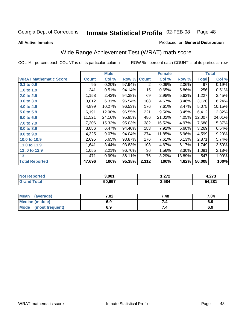**All Active Inmates**

### Produced for **General Distribution**

## Wide Range Achievement Test (WRAT) math score

|                              |              | <b>Male</b> |        |              | <b>Female</b> |        |              | <b>Total</b> |
|------------------------------|--------------|-------------|--------|--------------|---------------|--------|--------------|--------------|
| <b>WRAT Mathematic Score</b> | <b>Count</b> | Col %       | Row %  | <b>Count</b> | Col %         | Row %  | <b>Total</b> | Col %        |
| 0.1 to 0.9                   | 95           | 0.20%       | 97.94% | 2            | 0.09%         | 2.06%  | 97           | 0.19%        |
| 1.0 to 1.9                   | 241          | 0.51%       | 94.14% | 15           | 0.65%         | 5.86%  | 256          | 0.51%        |
| 2.0 to 2.9                   | 1,158        | 2.43%       | 94.38% | 69           | 2.98%         | 5.62%  | 1,227        | 2.45%        |
| 3.0 to 3.9                   | 3,012        | 6.31%       | 96.54% | 108          | 4.67%         | 3.46%  | 3,120        | 6.24%        |
| 4.0 to 4.9                   | 4,899        | 10.27%      | 96.53% | 176          | 7.61%         | 3.47%  | 5,075        | 10.15%       |
| 5.0 to 5.9                   | 6,191        | 12.98%      | 96.55% | 221          | 9.56%         | 3.45%  | 6,412        | 12.82%       |
| 6.0 to 6.9                   | 11,521       | 24.16%      | 95.95% | 486          | 21.02%        | 4.05%  | 12,007       | 24.01%       |
| 7.0 to 7.9                   | 7,306        | 15.32%      | 95.03% | 382          | 16.52%        | 4.97%  | 7,688        | 15.37%       |
| 8.0 to 8.9                   | 3,086        | 6.47%       | 94.40% | 183          | 7.92%         | 5.60%  | 3,269        | 6.54%        |
| 9.0 to 9.9                   | 4,325        | 9.07%       | 94.04% | 274          | 11.85%        | 5.96%  | 4,599        | 9.20%        |
| 10.0 to 10.9                 | 2,695        | 5.65%       | 93.87% | 176          | 7.61%         | 6.13%  | 2,871        | 5.74%        |
| 11.0 to 11.9                 | 1,641        | $3.44\%$    | 93.83% | 108          | 4.67%         | 6.17%  | 1,749        | 3.50%        |
| 12.0 to 12.9                 | 1,055        | 2.21%       | 96.70% | 36           | 1.56%         | 3.30%  | 1,091        | 2.18%        |
| 13                           | 471          | 0.99%       | 86.11% | 76           | 3.29%         | 13.89% | 547          | 1.09%        |
| <b>Total Reported</b>        | 47,696       | 100%        | 95.38% | 2,312        | 100%          | 4.62%  | 50,008       | 100%         |

| 3.001  | ר הר<br>I . <i>l l l</i> | ^7^    |
|--------|--------------------------|--------|
| 50.697 | 3,584                    | 54,281 |

| <b>Mean</b><br>(average)       | 7.02 | 7.48 | 7.04 |
|--------------------------------|------|------|------|
| Median (middle)                | 6.9  |      | 6.9  |
| <b>Mode</b><br>(most frequent) | 6.9  | 7.4  | 6.9  |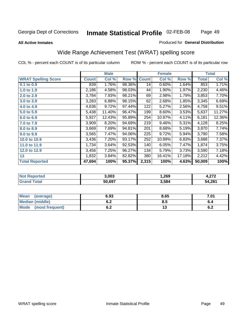### **All Active Inmates**

### Produced for **General Distribution**

## Wide Range Achievement Test (WRAT) spelling score

|                            |              | <b>Male</b> |        |              | <b>Female</b> |        |              | <b>Total</b> |
|----------------------------|--------------|-------------|--------|--------------|---------------|--------|--------------|--------------|
| <b>WRAT Spelling Score</b> | <b>Count</b> | Col %       | Row %  | <b>Count</b> | Col %         | Row %  | <b>Total</b> | Col %        |
| 0.1 to 0.9                 | 839          | 1.76%       | 98.36% | 14           | 0.60%         | 1.64%  | 853          | 1.71%        |
| 1.0 to 1.9                 | 2,186        | 4.58%       | 98.03% | 44           | 1.90%         | 1.97%  | 2,230        | 4.46%        |
| 2.0 to 2.9                 | 3,784        | 7.93%       | 98.21% | 69           | 2.98%         | 1.79%  | 3,853        | 7.70%        |
| 3.0 to 3.9                 | 3,283        | 6.88%       | 98.15% | 62           | 2.68%         | 1.85%  | 3,345        | 6.69%        |
| 4.0 to 4.9                 | 4,636        | 9.72%       | 97.44% | 122          | 5.27%         | 2.56%  | 4,758        | 9.51%        |
| 5.0 to 5.9                 | 5,438        | 11.40%      | 96.47% | 199          | 8.60%         | 3.53%  | 5,637        | 11.27%       |
| 6.0 to 6.9                 | 5,927        | 12.43%      | 95.89% | 254          | 10.97%        | 4.11%  | 6,181        | 12.36%       |
| 7.0 to 7.9                 | 3,909        | 8.20%       | 94.69% | 219          | 9.46%         | 5.31%  | 4,128        | 8.25%        |
| 8.0 to 8.9                 | 3,669        | 7.69%       | 94.81% | 201          | 8.68%         | 5.19%  | 3,870        | 7.74%        |
| 9.0 to 9.9                 | 3,565        | 7.47%       | 94.06% | 225          | 9.72%         | 5.94%  | 3,790        | 7.58%        |
| 10.0 to 10.9               | 3,436        | 7.20%       | 93.17% | 252          | 10.89%        | 6.83%  | 3,688        | 7.37%        |
| 11.0 to 11.9               | 1,734        | 3.64%       | 92.53% | 140          | 6.05%         | 7.47%  | 1,874        | 3.75%        |
| 12.0 to 12.9               | 3,456        | 7.25%       | 96.27% | 134          | 5.79%         | 3.73%  | 3,590        | 7.18%        |
| 13                         | 1,832        | 3.84%       | 82.82% | 380          | 16.41%        | 17.18% | 2,212        | 4.42%        |
| <b>Total Reported</b>      | 47,694       | 100%        | 95.37% | 2,315        | 100%          | 4.63%  | 50,009       | 100%         |

| 3,003  | . 269. ، | - 270  |
|--------|----------|--------|
| 50.697 | 3,584    | 54,281 |

| <b>Mean</b><br>(average) | 6.93               | 8.65 | 7.01 |
|--------------------------|--------------------|------|------|
| <b>Median (middle)</b>   | ρ Λ<br>0.Z         | 8.5  | v.4  |
| Mode<br>(most frequent)  | <u>. . </u><br>U.Z | ט ו  | v.z  |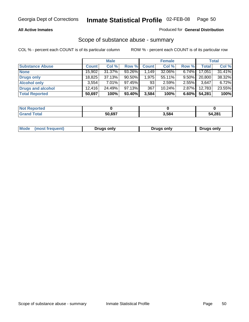### **All Active Inmates**

### Produced for **General Distribution**

## Scope of substance abuse - summary

|                        |              | <b>Male</b> |           |              | <b>Female</b> |          |              | <b>Total</b> |
|------------------------|--------------|-------------|-----------|--------------|---------------|----------|--------------|--------------|
| <b>Substance Abuse</b> | <b>Count</b> | Col %       | Row %     | <b>Count</b> | Col %         | Row %    | <b>Total</b> | Col %        |
| <b>None</b>            | 15,902       | 31.37%      | 93.26%    | 1,149        | 32.06%        | $6.74\%$ | 17,051       | 31.41%       |
| <b>Drugs only</b>      | 18.825       | 37.13%      | $90.50\%$ | 1,975        | 55.11%        | $9.50\%$ | 20,800       | 38.32%       |
| <b>Alcohol only</b>    | 3.554        | $7.01\%$    | $97.45\%$ | 93           | 2.59%         | $2.55\%$ | 3,647        | 6.72%        |
| Drugs and alcohol      | 12.416       | 24.49%      | $97.13\%$ | 367          | $10.24\%$     | $2.87\%$ | 12,783       | 23.55%       |
| <b>Total Reported</b>  | 50,697       | 100%        | 93.40%    | 3,584        | 100%          | 6.60%    | 54,281       | 100%         |

| <b>Not</b><br><b>Reported</b> |        |       |        |
|-------------------------------|--------|-------|--------|
| <b>Total</b>                  | 50.697 | 3,584 | 54,281 |

|  | Mode<br>(most frequent) | <b>Drugs only</b> | Drugs only | Drugs only |
|--|-------------------------|-------------------|------------|------------|
|--|-------------------------|-------------------|------------|------------|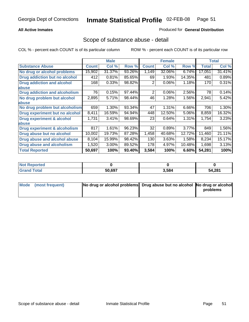### **All Active Inmates**

### Produced for **General Distribution**

## Scope of substance abuse - detail

|                                      |              | <b>Male</b> |        |              | <b>Female</b> |        |              | <b>Total</b> |
|--------------------------------------|--------------|-------------|--------|--------------|---------------|--------|--------------|--------------|
| <b>Substance Abuse</b>               | <b>Count</b> | Col %       | Row %  | <b>Count</b> | Col %         | Row %  | <b>Total</b> | Col %        |
| No drug or alcohol problems          | 15,902       | 31.37%      | 93.26% | 1,149        | 32.06%        | 6.74%  | 17,051       | 31.41%       |
| Drug addiction but no alcohol        | 412          | 0.81%       | 85.65% | 69           | 1.93%         | 14.35% | 481          | 0.89%        |
| <b>Drug addiction and alcohol</b>    | 168          | 0.33%       | 98.82% | 2            | 0.06%         | 1.18%  | 170          | 0.31%        |
| abuse                                |              |             |        |              |               |        |              |              |
| <b>Drug addiction and alcoholism</b> | 76           | 0.15%       | 97.44% | 2            | 0.06%         | 2.56%  | 78           | 0.14%        |
| No drug problem but alcohol          | 2,895        | 5.71%       | 98.44% | 46           | 1.28%         | 1.56%  | 2,941        | 5.42%        |
| abuse                                |              |             |        |              |               |        |              |              |
| No drug problem but alcoholism       | 659          | 1.30%       | 93.34% | 47           | 1.31%         | 6.66%  | 706          | 1.30%        |
| Drug experiment but no alcohol       | 8,411        | 16.59%      | 94.94% | 448          | 12.50%        | 5.06%  | 8,859        | 16.32%       |
| <b>Drug experiment &amp; alcohol</b> | 1,731        | 3.41%       | 98.69% | 23           | 0.64%         | 1.31%  | 1,754        | 3.23%        |
| <b>labuse</b>                        |              |             |        |              |               |        |              |              |
| Drug experiment & alcoholism         | 817          | 1.61%       | 96.23% | 32           | 0.89%         | 3.77%  | 849          | 1.56%        |
| Drug abuse but no alcohol            | 10,002       | 19.73%      | 87.28% | 1,458        | 40.68%        | 12.72% | 11,460       | 21.11%       |
| Drug abuse and alcohol abuse         | 8,104        | 15.99%      | 98.42% | 130          | 3.63%         | 1.58%  | 8,234        | 15.17%       |
| <b>Drug abuse and alcoholism</b>     | 1,520        | 3.00%       | 89.52% | 178          | 4.97%         | 10.48% | 1,698        | 3.13%        |
| <b>Total Reported</b>                | 50,697       | 100%        | 93.40% | 3,584        | 100%          | 6.60%  | 54,281       | 100%         |

| <b>Reported</b><br>' NOt |        |       |        |
|--------------------------|--------|-------|--------|
| <b>Total</b>             | 50.697 | 3.584 | 54,281 |

| Mode (most frequent) | No drug or alcohol problems Drug abuse but no alcohol No drug or alcohol |          |
|----------------------|--------------------------------------------------------------------------|----------|
|                      |                                                                          | problems |
|                      |                                                                          |          |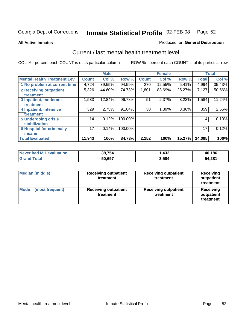**All Active Inmates**

### Produced for **General Distribution**

## Current / last mental health treatment level

|                                    |              | <b>Male</b> |         |              | <b>Female</b> |          |              | <b>Total</b> |
|------------------------------------|--------------|-------------|---------|--------------|---------------|----------|--------------|--------------|
| <b>Mental Health Treatment Lev</b> | <b>Count</b> | Col %       | Row %   | <b>Count</b> | Col %         | Row %    | <b>Total</b> | Col %        |
| 1 No problem at current time       | 4,724        | 39.55%      | 94.59%  | 270          | 12.55%        | 5.41%    | 4,994        | 35.43%       |
| 2 Receiving outpatient             | 5,326        | 44.60%      | 74.73%  | 1,801        | 83.69%        | 25.27%   | 7,127        | 50.56%       |
| treatment                          |              |             |         |              |               |          |              |              |
| 3 Inpatient, moderate              | 1,533        | 12.84%      | 96.78%  | 51           | 2.37%         | $3.22\%$ | 1,584        | 11.24%       |
| treatment                          |              |             |         |              |               |          |              |              |
| 4 Inpatient, intensive             | 329          | 2.75%       | 91.64%  | 30           | 1.39%         | 8.36%    | 359          | 2.55%        |
| treatment                          |              |             |         |              |               |          |              |              |
| <b>5 Undergoing crisis</b>         | 14           | 0.12%       | 100.00% |              |               |          | 14           | 0.10%        |
| stabilization                      |              |             |         |              |               |          |              |              |
| <b>6 Hospital for criminally</b>   | 17           | 0.14%       | 100.00% |              |               |          | 17           | 0.12%        |
| insane                             |              |             |         |              |               |          |              |              |
| <b>Total Evaluated</b>             | 11,943       | 100%        | 84.73%  | 2,152        | 100%          | 15.27%   | 14,095       | 100%         |

| Never had MH evaluation | 38.754 | 1,432 | 40,186 |
|-------------------------|--------|-------|--------|
| Total<br><b>Grand</b>   | 50,697 | 3,584 | 54,281 |

| <b>Median (middle)</b>         | <b>Receiving outpatient</b><br>treatment | <b>Receiving outpatient</b><br>treatment | <b>Receiving</b><br>outpatient<br>treatment |  |
|--------------------------------|------------------------------------------|------------------------------------------|---------------------------------------------|--|
| <b>Mode</b><br>(most frequent) | <b>Receiving outpatient</b><br>treatment | <b>Receiving outpatient</b><br>treatment | <b>Receiving</b><br>outpatient<br>treatment |  |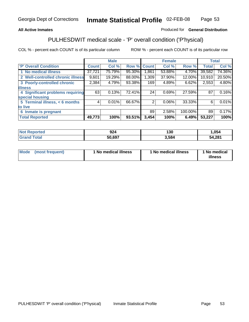## **All Active Inmates**

## Produced for **General Distribution**

# PULHESDWIT medical scale - 'P' overall condition ('P'hysical)

|                                   |                 | <b>Male</b> |        |              | <b>Female</b> |         |              | <b>Total</b> |
|-----------------------------------|-----------------|-------------|--------|--------------|---------------|---------|--------------|--------------|
| 'P' Overall Condition             | <b>Count</b>    | Col %       | Row %  | <b>Count</b> | Col %         | Row %   | <b>Total</b> | Col %        |
| 1 No medical illness              | 37,721          | 75.79%      | 95.30% | .861         | 53.88%        | 4.70%   | 39,582       | 74.36%       |
| 2 Well-controlled chronic illness | 9,601           | 19.29%      | 88.00% | 1,309        | 37.90%        | 12.00%  | 10,910       | 20.50%       |
| 3 Poorly-controlled chronic       | 2,384           | 4.79%       | 93.38% | 169          | 4.89%         | 6.62%   | 2,553        | 4.80%        |
| <b>illness</b>                    |                 |             |        |              |               |         |              |              |
| 4 Significant problems requiring  | 63              | 0.13%       | 72.41% | 24           | 0.69%         | 27.59%  | 87           | 0.16%        |
| special housing                   |                 |             |        |              |               |         |              |              |
| 5 Terminal illness, < 6 months    | $\vert 4 \vert$ | 0.01%       | 66.67% | 2            | $0.06\%$      | 33.33%  | 6            | 0.01%        |
| to live                           |                 |             |        |              |               |         |              |              |
| 6 Inmate is pregnant              |                 |             |        | 89           | 2.58%         | 100.00% | 89           | 0.17%        |
| <b>Total Reported</b>             | 49,773          | 100%        | 93.51% | 3,454        | 100%          | 6.49%   | 53,227       | 100%         |

| тес | nn.<br>JZ4 | ィっハ<br>טט ו | ,054   |
|-----|------------|-------------|--------|
|     | 50.697     | .584        | 54,281 |

| Mode | (most frequent) | 1 No medical illness | 1 No medical illness | 1 No medical<br>illness |
|------|-----------------|----------------------|----------------------|-------------------------|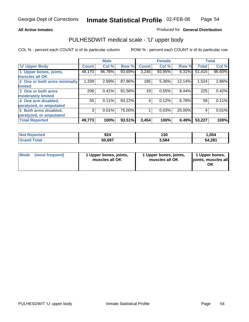### **All Active Inmates**

### Produced for **General Distribution**

## PULHESDWIT medical scale - 'U' upper body

|                              |              | <b>Male</b> |        |              | <b>Female</b> |        |              | <b>Total</b> |
|------------------------------|--------------|-------------|--------|--------------|---------------|--------|--------------|--------------|
| <b>U' Upper Body</b>         | <b>Count</b> | Col %       | Row %  | <b>Count</b> | Col %         | Row %  | <b>Total</b> | Col %        |
| 1 Upper bones, joints,       | 48,170       | 96.78%      | 93.69% | 3,245        | 93.95%        | 6.31%  | 51,415       | 96.60%       |
| muscles all OK               |              |             |        |              |               |        |              |              |
| 2 One or both arms minimally | 1,339        | 2.69%       | 87.86% | 185          | 5.36%         | 12.14% | 1,524        | 2.86%        |
| limited                      |              |             |        |              |               |        |              |              |
| 3 One or both arms           | 206          | 0.41%       | 91.56% | 19           | 0.55%         | 8.44%  | 225          | 0.42%        |
| moderately limited           |              |             |        |              |               |        |              |              |
| 4 One arm disabled,          | 55           | 0.11%       | 93.22% | 4            | 0.12%         | 6.78%  | 59           | 0.11%        |
| paralyzed, or amputated      |              |             |        |              |               |        |              |              |
| 5 Both arms disabled,        | 3            | 0.01%       | 75.00% |              | 0.03%         | 25.00% | 4            | 0.01%        |
| paralyzed, or amputated      |              |             |        |              |               |        |              |              |
| <b>Total Reported</b>        | 49,773       | 100%        | 93.51% | 3,454        | 100%          | 6.49%  | 53,227       | 100%         |

| <b>Reported</b><br><b>Not F</b> | 924    | 130   | .054   |
|---------------------------------|--------|-------|--------|
| ⊺otal<br>'Grano                 | 50,697 | 5.584 | 54,281 |

| <b>Mode</b> | (most frequent) | 1 Upper bones, joints,<br>muscles all OK | 1 Upper bones, joints,<br>muscles all OK | 1 Upper bones,<br>joints, muscles all<br>ΟK |
|-------------|-----------------|------------------------------------------|------------------------------------------|---------------------------------------------|
|-------------|-----------------|------------------------------------------|------------------------------------------|---------------------------------------------|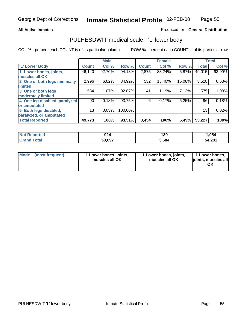### **All Active Inmates**

### Produced for **General Distribution**

## PULHESDWIT medical scale - 'L' lower body

|                                |                    | <b>Male</b> |         |              | <b>Female</b> |        |              | <b>Total</b> |
|--------------------------------|--------------------|-------------|---------|--------------|---------------|--------|--------------|--------------|
| <b>L' Lower Body</b>           | Count <sup>1</sup> | Col %       | Row %   | <b>Count</b> | Col %         | Row %  | <b>Total</b> | Col %        |
| 1 Lower bones, joints,         | 46,140             | 92.70%      | 94.13%  | 2,875        | 83.24%        | 5.87%  | 49,015       | 92.09%       |
| muscles all OK                 |                    |             |         |              |               |        |              |              |
| 2 One or both legs minimally   | 2,996              | 6.02%       | 84.92%  | 532          | 15.40%        | 15.08% | 3,528        | 6.63%        |
| limited                        |                    |             |         |              |               |        |              |              |
| 3 One or both legs             | 534                | 1.07%       | 92.87%  | 41           | 1.19%         | 7.13%  | 575          | 1.08%        |
| moderately limited             |                    |             |         |              |               |        |              |              |
| 4 One leg disabled, paralyzed, | 90                 | 0.18%       | 93.75%  | 6            | 0.17%         | 6.25%  | 96           | 0.18%        |
| or amputated                   |                    |             |         |              |               |        |              |              |
| 5 Both legs disabled,          | 13                 | 0.03%       | 100.00% |              |               |        | 13           | 0.02%        |
| paralyzed, or amputated        |                    |             |         |              |               |        |              |              |
| <b>Total Reported</b>          | 49,773             | 100%        | 93.51%  | 3,454        | 100%          | 6.49%  | 53,227       | 100%         |

| <b>Not Reported</b> | 924    | 130   | 054. ا |
|---------------------|--------|-------|--------|
| <b>Grand Total</b>  | 50,697 | 3,584 | 54,281 |

|  | Mode (most frequent) | 1 Lower bones, joints,<br>muscles all OK | 1 Lower bones, joints,<br>muscles all OK | 1 Lower bones,<br>joints, muscles all<br>ОK |
|--|----------------------|------------------------------------------|------------------------------------------|---------------------------------------------|
|--|----------------------|------------------------------------------|------------------------------------------|---------------------------------------------|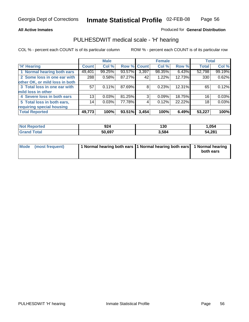**All Active Inmates**

### Produced for **General Distribution**

## PULHESDWIT medical scale - 'H' hearing

|                                |              | <b>Male</b> |             |       | <b>Female</b> |        | <b>Total</b> |        |
|--------------------------------|--------------|-------------|-------------|-------|---------------|--------|--------------|--------|
| <b>H'</b> Hearing              | <b>Count</b> | Col %       | Row % Count |       | Col %         | Row %  | <b>Total</b> | Col %  |
| 1 Normal hearing both ears     | 49,401       | 99.25%      | 93.57%      | 3,397 | 98.35%        | 6.43%  | 52,798       | 99.19% |
| 2 Some loss in one ear with    | 288          | 0.58%       | 87.27%      | 42    | 1.22%         | 12.73% | 330          | 0.62%  |
| other OK, or mild loss in both |              |             |             |       |               |        |              |        |
| 3 Total loss in one ear with   | 57           | $0.11\%$    | 87.69%      | 8     | 0.23%         | 12.31% | 65           | 0.12%  |
| mild loss in other             |              |             |             |       |               |        |              |        |
| 4 Severe loss in both ears     | 13           | 0.03%       | 81.25%      | 3     | 0.09%         | 18.75% | 16           | 0.03%  |
| 5 Total loss in both ears,     | 14           | 0.03%       | 77.78%      | 4     | 0.12%         | 22.22% | 18           | 0.03%  |
| requiring special housing      |              |             |             |       |               |        |              |        |
| <b>Total Reported</b>          | 49,773       | 100%        | 93.51%      | 3,454 | 100%          | 6.49%  | 53,227       | 100%   |

| วrted | 924    | 130   | .054   |
|-------|--------|-------|--------|
| 'ota  | 50.697 | 3,584 | 54,281 |

| Mode (most frequent) | 1 Normal hearing both ears 11 Normal hearing both ears 1 Normal hearing |           |
|----------------------|-------------------------------------------------------------------------|-----------|
|                      |                                                                         | both ears |
|                      |                                                                         |           |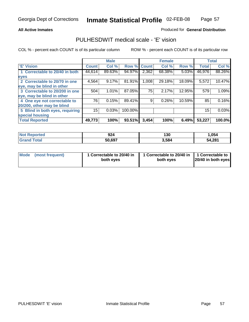### **All Active Inmates**

### Produced for **General Distribution**

## PULHESDWIT medical scale - 'E' vision

|                                 |              | <b>Male</b> |             |       | <b>Female</b> |        |              | <b>Total</b> |
|---------------------------------|--------------|-------------|-------------|-------|---------------|--------|--------------|--------------|
| 'E' Vision                      | <b>Count</b> | Col %       | Row % Count |       | Col %         | Row %  | <b>Total</b> | Col %        |
| 1 Correctable to 20/40 in both  | 44,614       | 89.63%      | 94.97%      | 2,362 | 68.38%        | 5.03%  | 46,976       | 88.26%       |
| eyes                            |              |             |             |       |               |        |              |              |
| 2 Correctable to 20/70 in one   | 4,564        | 9.17%       | 81.91%      | 1,008 | 29.18%        | 18.09% | 5,572        | 10.47%       |
| eye, may be blind in other      |              |             |             |       |               |        |              |              |
| 3 Correctable to 20/200 in one  | 504          | 1.01%       | 87.05%      | 75    | 2.17%         | 12.95% | 579          | 1.09%        |
| eye, may be blind in other      |              |             |             |       |               |        |              |              |
| 4 One eye not correctable to    | 76           | 0.15%       | 89.41%      | 9     | 0.26%         | 10.59% | 85           | 0.16%        |
| 20/200, other may be blind      |              |             |             |       |               |        |              |              |
| 5 Blind in both eyes, requiring | 15           | 0.03%       | 100.00%     |       |               |        | 15           | 0.03%        |
| special housing                 |              |             |             |       |               |        |              |              |
| <b>Total Reported</b>           | 49,773       | 100%        | 93.51%      | 3,454 | 100%          | 6.49%  | 53,227       | 100.0%       |

| <b>Not Reported</b> | 924    | 130   | 054,   |
|---------------------|--------|-------|--------|
| ⊺otai<br>Grs        | 50,697 | 3,584 | 54,281 |

| Mode | (most frequent) | 1 Correctable to 20/40 in<br>both eves | 1 Correctable to 20/40 in   1 Correctable to<br>both eves | 20/40 in both eyes |
|------|-----------------|----------------------------------------|-----------------------------------------------------------|--------------------|
|------|-----------------|----------------------------------------|-----------------------------------------------------------|--------------------|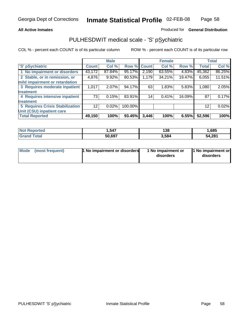### **All Active Inmates**

### Produced for **General Distribution**

## PULHESDWIT medical scale - 'S' pSychiatric

|                                        |              | <b>Male</b> |         |              | <b>Female</b> |        |              | <b>Total</b> |
|----------------------------------------|--------------|-------------|---------|--------------|---------------|--------|--------------|--------------|
| 'S' pSychiatric                        | <b>Count</b> | Col %       | Row %   | <b>Count</b> | Col %         | Row %  | <b>Total</b> | Col %        |
| 1 No impairment or disorders           | 43,172       | 87.84%      | 95.17%  | 2,190        | 63.55%        | 4.83%  | 45,362       | 86.25%       |
| 2 Stable, or in remission, or          | 4,876        | $9.92\%$    | 80.53%  | 1,179        | 34.21%        | 19.47% | 6,055        | 11.51%       |
| mild impairment or retardation         |              |             |         |              |               |        |              |              |
| 3 Requires moderate inpatient          | 1,017        | $2.07\%$    | 94.17%  | 63           | 1.83%         | 5.83%  | 1,080        | 2.05%        |
| treatment                              |              |             |         |              |               |        |              |              |
| 4 Requires intensive inpatient         | 73           | 0.15%       | 83.91%  | 14           | 0.41%         | 16.09% | 87           | 0.17%        |
| treatment                              |              |             |         |              |               |        |              |              |
| <b>5 Requires Crisis Stabilization</b> | 12           | 0.02%       | 100.00% |              |               |        | 12           | 0.02%        |
| Unit (CSU) inpatient care              |              |             |         |              |               |        |              |              |
| <b>Total Reported</b>                  | 49,150       | 100%        | 93.45%  | 3,446        | 100%          | 6.55%  | 52,596       | 100%         |

| <b>Not Reported</b> | ,547   | 138   | .,685  |
|---------------------|--------|-------|--------|
| $\mathsf{Total}$    | 50,697 | 3,584 | 54,281 |

| Mode (most frequent) | <b>1 No impairment or disorders</b> | 1 No impairment or<br>disorders | 1 No impairment or<br>disorders |
|----------------------|-------------------------------------|---------------------------------|---------------------------------|
|                      |                                     |                                 |                                 |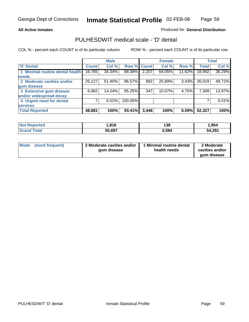### **All Active Inmates**

## Produced for **General Distribution**

## PULHESDWIT medical scale - 'D' dental

|                                 |              | <b>Male</b> |             |       | <b>Female</b> |        |              | <b>Total</b> |
|---------------------------------|--------------|-------------|-------------|-------|---------------|--------|--------------|--------------|
| 'D' Dental                      | <b>Count</b> | Col %       | Row % Count |       | Col %         | Row %  | <b>Total</b> | Col %        |
| 1 Minimal routine dental health | 16,785       | 34.34%      | 88.38%      | 2,207 | 64.05%        | 11.62% | 18,992       | 36.29%       |
| <b>needs</b>                    |              |             |             |       |               |        |              |              |
| 2 Moderate cavities and/or      | 25,127       | 51.40%      | 96.57%      | 892   | 25.89%        | 3.43%  | 26,019       | 49.72%       |
| gum disease                     |              |             |             |       |               |        |              |              |
| 3 Extensive gum disease         | 6,962        | 14.24%      | 95.25%      | 347   | 10.07%        | 4.75%  | 7,309        | 13.97%       |
| and/or widespread decay         |              |             |             |       |               |        |              |              |
| 4 Urgent need for dental        |              | 0.01%       | 100.00%     |       |               |        |              | $0.01\%$     |
| <b>services</b>                 |              |             |             |       |               |        |              |              |
| <b>Total Reported</b>           | 48,881       | 100%        | 93.41%      | 3,446 | 100%          | 6.59%  | 52,327       | 100%         |

| orted<br>NO.         | .816   | ס פי<br>סט ו | ,954   |
|----------------------|--------|--------------|--------|
| `ota⊾<br><b>Gran</b> | 50.697 | 3,584        | 54,281 |

| <b>Mode</b><br>(most frequent) | 2 Moderate cavities and/or<br>qum disease | Minimal routine dental<br>health needs | 2 Moderate<br>cavities and/or<br>qum disease |
|--------------------------------|-------------------------------------------|----------------------------------------|----------------------------------------------|
|                                |                                           |                                        |                                              |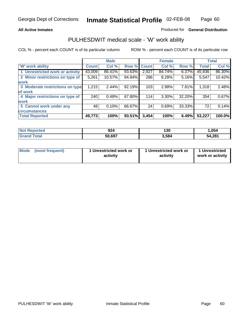### **All Active Inmates**

### Produced for **General Distribution**

## PULHESDWIT medical scale - 'W' work ability

|                                 |              | <b>Male</b> |        |              | <b>Female</b> |        |              | <b>Total</b> |
|---------------------------------|--------------|-------------|--------|--------------|---------------|--------|--------------|--------------|
| W' work ability                 | <b>Count</b> | Col %       | Row %  | <b>Count</b> | Col %         | Row %  | <b>Total</b> | Col %        |
| 1 Unrestricted work or activity | 43,009       | 86.41%      | 93.63% | 2,927        | 84.74%        | 6.37%  | 45,936       | 86.30%       |
| 2 Minor restrictions on type of | 5,261        | 10.57%      | 94.84% | 286          | 8.28%         | 5.16%  | 5,547        | 10.42%       |
| <b>work</b>                     |              |             |        |              |               |        |              |              |
| 3 Moderate restrictions on type | 1,215        | 2.44%       | 92.19% | 103          | 2.98%         | 7.81%  | 1,318        | 2.48%        |
| of work                         |              |             |        |              |               |        |              |              |
| 4 Major restrictions on type of | 240          | 0.48%       | 67.80% | 114          | 3.30%         | 32.20% | 354          | 0.67%        |
| <b>work</b>                     |              |             |        |              |               |        |              |              |
| 5 Cannot work under any         | 48           | 0.10%       | 66.67% | 24           | 0.69%         | 33.33% | 72           | 0.14%        |
| <b>circumstances</b>            |              |             |        |              |               |        |              |              |
| <b>Total Reported</b>           | 49,773       | 100%        | 93.51% | 3,454        | 100%          | 6.49%  | 53,227       | 100.0%       |

| <b>Not Reported</b>          | 924    | 130   | 054, ا |
|------------------------------|--------|-------|--------|
| <b>Total</b><br><b>Grand</b> | 50,697 | 3,584 | 54,281 |

| Mode | (most frequent) | 1 Unrestricted work or<br>activity | 1 Unrestricted work or<br>activity | 1 Unrestricted<br>work or activity |
|------|-----------------|------------------------------------|------------------------------------|------------------------------------|
|------|-----------------|------------------------------------|------------------------------------|------------------------------------|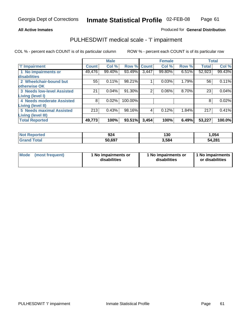### **All Active Inmates**

## Produced for **General Distribution**

## PULHESDWIT medical scale - 'I' impairment

|                                   |              | <b>Male</b> |         |                | <b>Female</b> |       | <b>Total</b> |        |
|-----------------------------------|--------------|-------------|---------|----------------|---------------|-------|--------------|--------|
| <b>T' Impairment</b>              | <b>Count</b> | Col %       |         | Row % Count    | Col %         | Row % | <b>Total</b> | Col %  |
| 1 No impairments or               | 49,476       | 99.40%      | 93.49%  | 3,447          | 99.80%        | 6.51% | 52,923       | 99.43% |
| <b>disabilities</b>               |              |             |         |                |               |       |              |        |
| 2 Wheelchair-bound but            | 55           | 0.11%       | 98.21%  |                | 0.03%         | 1.79% | 56           | 0.11%  |
| otherwise OK                      |              |             |         |                |               |       |              |        |
| <b>3 Needs low-level Assisted</b> | 21           | 0.04%       | 91.30%  | $\overline{2}$ | 0.06%         | 8.70% | 23           | 0.04%  |
| Living (level I)                  |              |             |         |                |               |       |              |        |
| 4 Needs moderate Assisted         | 8            | 0.02%       | 100.00% |                |               |       | 8            | 0.02%  |
| <b>Living (level II)</b>          |              |             |         |                |               |       |              |        |
| <b>5 Needs maximal Assisted</b>   | 213          | 0.43%       | 98.16%  | 4              | 0.12%         | 1.84% | 217          | 0.41%  |
| <b>Living (level III)</b>         |              |             |         |                |               |       |              |        |
| <b>Total Reported</b>             | 49,773       | 100%        | 93.51%  | 3,454          | 100%          | 6.49% | 53,227       | 100.0% |

| <b>Reported</b><br>'Not     | 924    | 130   | ,054   |
|-----------------------------|--------|-------|--------|
| <b>Total</b><br><b>Gram</b> | 50,697 | 3.584 | 54,281 |

| Mode | (most frequent) | 1 No impairments or<br>disabilities | 1 No impairments or<br>disabilities | 1 1 No impairments<br>or disabilities |
|------|-----------------|-------------------------------------|-------------------------------------|---------------------------------------|
|------|-----------------|-------------------------------------|-------------------------------------|---------------------------------------|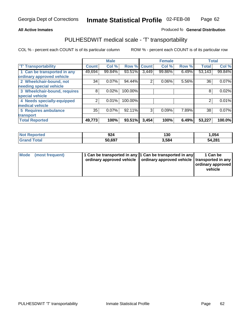#### **Inmate Statistical Profile** 02-FEB-08 Page Page 62

### All Active Inmates **All Active Inmates All Active Inmates Produced fo General Distribution**

## PULHESDWIT medical scale - 'T' transportability

|                              |              | <b>Male</b> |         |              | <b>Female</b> |       | <b>Total</b> |        |
|------------------------------|--------------|-------------|---------|--------------|---------------|-------|--------------|--------|
| <b>T' Transportability</b>   | <b>Count</b> | Col %       | Row %   | <b>Count</b> | Col %         | Row % | <b>Total</b> | Col %  |
| 1 Can be transported in any  | 49,694       | 99.84%      | 93.51%  | 3,449        | 99.86%        | 6.49% | 53,143       | 99.84% |
| ordinary approved vehicle    |              |             |         |              |               |       |              |        |
| 2 Wheelchair-bound, not      | 34           | 0.07%       | 94.44%  | 2            | 0.06%         | 5.56% | 36           | 0.07%  |
| needing special vehicle      |              |             |         |              |               |       |              |        |
| 3 Wheelchair-bound, requires | 8            | 0.02%       | 100.00% |              |               |       | 8            | 0.02%  |
| special vehicle              |              |             |         |              |               |       |              |        |
| 4 Needs specially-equipped   | 2            | 0.01%       | 100.00% |              |               |       | 2            | 0.01%  |
| medical vehicle              |              |             |         |              |               |       |              |        |
| <b>5 Requires ambulance</b>  | 35           | 0.07%       | 92.11%  | 3            | 0.09%         | 7.89% | 38           | 0.07%  |
| transport                    |              |             |         |              |               |       |              |        |
| <b>Total Reported</b>        | 49,773       | 100%        | 93.51%  | 3,454        | 100%          | 6.49% | 53,227       | 100.0% |

| <b>Not Reported</b> | 924    | 130   | ,054   |
|---------------------|--------|-------|--------|
| <b>Grand Total</b>  | 50,697 | 3,584 | 54,281 |

| Mode (most frequent) | 1 Can be transported in any 1 Can be transported in any | ordinary approved vehicle   ordinary approved vehicle   transported in any | 1 Can be<br>  ordinary approved  <br>vehicle |
|----------------------|---------------------------------------------------------|----------------------------------------------------------------------------|----------------------------------------------|
|                      |                                                         |                                                                            |                                              |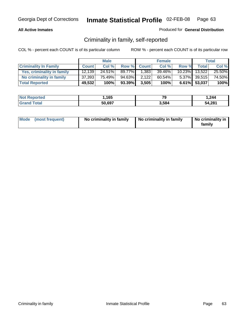### **All Active Inmates**

### Produced for **General Distribution**

## Criminality in family, self-reported

|                              |              | <b>Male</b> |        |              | <b>Female</b> |           |              | <b>Total</b> |
|------------------------------|--------------|-------------|--------|--------------|---------------|-----------|--------------|--------------|
| <b>Criminality In Family</b> | <b>Count</b> | Col %       | Row %  | <b>Count</b> | Col %         | Row %     | <b>Total</b> | Col %        |
| Yes, criminality in family   | 12.139       | 24.51%      | 89.77% | 1,383        | 39.46%        | $10.23\%$ | 13,522       | 25.50%       |
| No criminality in family     | 37,393       | 75.49%      | 94.63% | 2,122        | 60.54%        |           | 5.37% 39,515 | 74.50%       |
| <b>Total Reported</b>        | 49,532       | 100%        | 93.39% | 3,505        | 100%          |           | 6.61% 53,037 | 100%         |

| <b>Not Reported</b>          | 1,165  | 70<br>м | 244. ا |
|------------------------------|--------|---------|--------|
| <b>Grand</b><br><b>Total</b> | 50,697 | 5,584   | 54,281 |

|  | Mode (most frequent) | No criminality in family | No criminality in family | No criminality in<br>familv |
|--|----------------------|--------------------------|--------------------------|-----------------------------|
|--|----------------------|--------------------------|--------------------------|-----------------------------|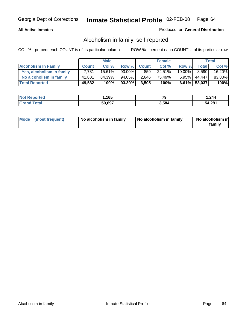### **All Active Inmates**

### Produced for **General Distribution**

## Alcoholism in family, self-reported

|                             |              | <b>Male</b> |           |              | <b>Female</b> |           |              | <b>Total</b> |
|-----------------------------|--------------|-------------|-----------|--------------|---------------|-----------|--------------|--------------|
| <b>Alcoholism In Family</b> | <b>Count</b> | Col %       | Row %     | <b>Count</b> | Col %         | Row %     | <b>Total</b> | Col %        |
| Yes, alcoholism in family   | 7.731        | $15.61\%$   | $90.00\%$ | 859          | 24.51%        | $10.00\%$ | 8.590        | 16.20%       |
| No alcoholism in family     | 41,801       | 84.39%      | 94.05%    | 2,646        | 75.49%        | $5.95\%$  | 44.447       | 83.80%       |
| <b>Total Reported</b>       | 49,532       | 100%        | 93.39%    | 3,505        | 100%          |           | 6.61% 53,037 | 100%         |

| <b>Not Reported</b> | .165،  | 79    | .244.، |
|---------------------|--------|-------|--------|
| <b>Tota</b>         | 50,697 | 5.584 | 54,281 |

|  | Mode (most frequent) | No alcoholism in family | No alcoholism in family | No alcoholism in<br>family |
|--|----------------------|-------------------------|-------------------------|----------------------------|
|--|----------------------|-------------------------|-------------------------|----------------------------|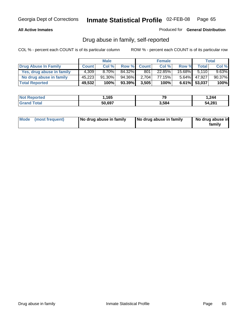### **All Active Inmates**

Produced for **General Distribution**

## Drug abuse in family, self-reported

|                           |              | <b>Male</b> |        |              | <b>Female</b> |           |              | <b>Total</b> |
|---------------------------|--------------|-------------|--------|--------------|---------------|-----------|--------------|--------------|
| Drug Abuse In Family      | <b>Count</b> | Col %       | Row %  | <b>Count</b> | Col %         | Row %     | <b>Total</b> | Col %        |
| Yes, drug abuse in family | 4.309        | $8.70\%$    | 84.32% | 801          | 22.85%        | $15.68\%$ | 5.110        | $9.63\%$     |
| No drug abuse in family   | 45,223       | 91.30%      | 94.36% | 2.704        | 77.15%        | $5.64\%$  | 47,927       | 90.37%       |
| <b>Total Reported</b>     | 49,532       | 100%        | 93.39% | 3,505        | 100%          |           | 6.61% 53,037 | 100%         |

| <b>Not Reported</b>          | 1,165  | 70<br>м | 244. ا |
|------------------------------|--------|---------|--------|
| <b>Grand</b><br><b>Total</b> | 50,697 | 5,584   | 54,281 |

|  | Mode (most frequent) | No drug abuse in family | No drug abuse in family | No drug abuse in<br>family |
|--|----------------------|-------------------------|-------------------------|----------------------------|
|--|----------------------|-------------------------|-------------------------|----------------------------|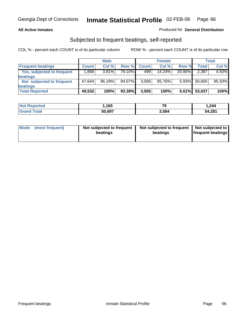### **All Active Inmates**

## Produced for **General Distribution**

## Subjected to frequent beatings, self-reported

|                                   |              | <b>Male</b> |                 |              | <b>Female</b> |        |              | Total  |
|-----------------------------------|--------------|-------------|-----------------|--------------|---------------|--------|--------------|--------|
| <b>Frequent beatings</b>          | <b>Count</b> | Col %       | Row %           | <b>Count</b> | Col%          | Row %  | <b>Total</b> | Col %  |
| <b>Yes, subjected to frequent</b> | ا 888.       | $3.81\%$    | 79.10% <b>I</b> | 499          | 14.24%        | 20.90% | 2,387        | 4.50%  |
| beatings                          |              |             |                 |              |               |        |              |        |
| Not subjected to frequent         | 47.644       | 96.19%      | 94.07%          | 3,006        | 85.76%        | 5.93%  | 50,650       | 95.50% |
| beatings                          |              |             |                 |              |               |        |              |        |
| <b>Total Reported</b>             | 49,532       | 100%        | 93.39%          | 3,505        | 100%          | 6.61%  | 53,037       | 100%   |

| rted\<br><b>NO</b>   | i,165  | --<br>Y | .244   |
|----------------------|--------|---------|--------|
| <i>i</i> otal<br>Gra | 50,697 | 3.584   | 54,281 |

| Mode (most frequent) | Not subjected to frequent<br>beatings | Not subjected to frequent<br>beatings | Not subjected to<br>frequent beatings |  |
|----------------------|---------------------------------------|---------------------------------------|---------------------------------------|--|
|                      |                                       |                                       |                                       |  |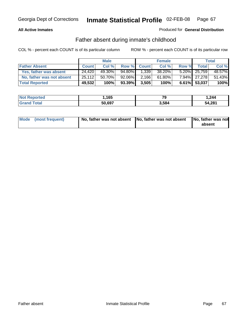### **All Active Inmates**

### Produced for **General Distribution**

## Father absent during inmate's childhood

|                           |              | <b>Male</b> |           |              | <b>Female</b> |       |              | Total  |
|---------------------------|--------------|-------------|-----------|--------------|---------------|-------|--------------|--------|
| <b>Father Absent</b>      | <b>Count</b> | Col %       | Row %     | <b>Count</b> | Col %         | Row % | <b>Total</b> | Col %  |
| Yes, father was absent    | 24.420       | 49.30%      | 94.80%    | 1,339        | 38.20%        |       | 5.20% 25,759 | 48.57% |
| No, father was not absent | 25,112       | 50.70%      | $92.06\%$ | 2,166        | $61.80\%$     |       | 7.94% 27.278 | 51.43% |
| <b>Total Reported</b>     | 49,532       | 100%        | 93.39%    | 3,505        | 100%          |       | 6.61% 53,037 | 100%   |

| <b>Not Reported</b> | .165،  | - -<br>ъ | .244   |
|---------------------|--------|----------|--------|
| <b>Grand Total</b>  | 50,697 | 3,584    | 54,281 |

| Mode (most frequent) |  | 「No, father was not absent ┃No, father was not absent ┃No, father was not | absent |
|----------------------|--|---------------------------------------------------------------------------|--------|
|----------------------|--|---------------------------------------------------------------------------|--------|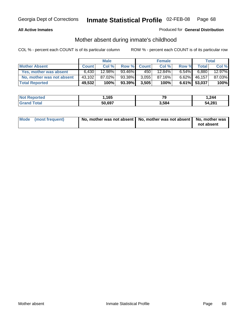### **All Active Inmates**

## Produced for **General Distribution**

## Mother absent during inmate's childhood

|                           |              | <b>Male</b> |        |              | <b>Female</b> |          |              | Total  |
|---------------------------|--------------|-------------|--------|--------------|---------------|----------|--------------|--------|
| <b>Mother Absent</b>      | <b>Count</b> | Col %       | Row %  | <b>Count</b> | Col %         | Row %    | <b>Total</b> | Col %  |
| Yes, mother was absent    | 6,430        | 12.98%      | 93.46% | 450          | 12.84%        | $6.54\%$ | 6,880        | 12.97% |
| No, mother was not absent | 43,102       | 87.02%      | 93.38% | 3,055        | 87.16%        | $6.62\%$ | 46,157       | 87.03% |
| <b>Total Reported</b>     | 49,532       | 100%        | 93.39% | 3,505        | 100%          |          | 6.61% 53,037 | 100%   |

| <b>Not Reported</b> | .165،  | 79    | .244   |
|---------------------|--------|-------|--------|
| Grand Total         | 50,697 | 3,584 | 54,281 |

| Mode (most frequent) | No, mother was not absent   No, mother was not absent   No, mother was | not absent |
|----------------------|------------------------------------------------------------------------|------------|
|----------------------|------------------------------------------------------------------------|------------|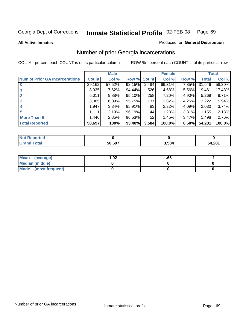### **All Active Inmates**

### Produced for **General Distribution**

## Number of prior Georgia incarcerations

|                                       |              | <b>Male</b> |        |              | <b>Female</b> |       |        | <b>Total</b> |
|---------------------------------------|--------------|-------------|--------|--------------|---------------|-------|--------|--------------|
| <b>Num of Prior GA Incarcerations</b> | <b>Count</b> | Col %       | Row %  | <b>Count</b> | Col %         | Row % | Total  | Col %        |
| $\bf{0}$                              | 29,162       | 57.52%      | 92.15% | 2,484        | 69.31%        | 7.85% | 31,646 | 58.30%       |
|                                       | 8,935        | 17.62%      | 94.44% | 526          | 14.68%        | 5.56% | 9,461  | 17.43%       |
|                                       | 5,011        | 9.88%       | 95.10% | 258          | 7.20%         | 4.90% | 5,269  | 9.71%        |
| 3                                     | 3,085        | 6.09%       | 95.75% | 137          | 3.82%         | 4.25% | 3,222  | 5.94%        |
|                                       | 1,947        | 3.84%       | 95.91% | 83           | 2.32%         | 4.09% | 2,030  | 3.74%        |
| 5                                     | 1,111        | 2.19%       | 96.19% | 44           | 1.23%         | 3.81% | 1,155  | 2.13%        |
| <b>More Than 5</b>                    | 1,446        | 2.85%       | 96.53% | 52           | 1.45%         | 3.47% | 1,498  | 2.76%        |
| <b>Total Reported</b>                 | 50,697       | 100%        | 93.40% | 3,584        | 100.0%        | 6.60% | 54,281 | 100.0%       |

| orted<br>NO  |        |       |        |  |  |
|--------------|--------|-------|--------|--|--|
| `otar<br>Gr. | 50.697 | 3.584 | 54.281 |  |  |

| Mean (average)       | l.O2 | .00 |  |
|----------------------|------|-----|--|
| Median (middle)      |      |     |  |
| Mode (most frequent) |      |     |  |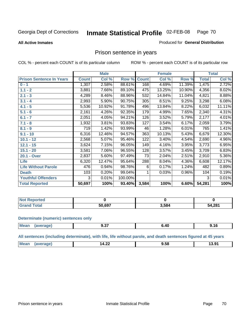### **All Active Inmates**

### Produced for **General Distribution**

## Prison sentence in years

COL % - percent each COUNT is of its particular column ROW % - percent each COUNT is of its particular row

|                                 |              | <b>Male</b> |         |              | <b>Female</b> |        |              | <b>Total</b> |
|---------------------------------|--------------|-------------|---------|--------------|---------------|--------|--------------|--------------|
| <b>Prison Sentence In Years</b> | <b>Count</b> | Col %       | Row %   | <b>Count</b> | Col %         | Row %  | <b>Total</b> | Col %        |
| $0 - 1$                         | 1,307        | 2.58%       | 88.61%  | 168          | 4.69%         | 11.39% | 1,475        | 2.72%        |
| $1.1 - 2$                       | 3,881        | 7.66%       | 89.10%  | 475          | 13.25%        | 10.90% | 4,356        | 8.02%        |
| $2.1 - 3$                       | 4,289        | 8.46%       | 88.96%  | 532          | 14.84%        | 11.04% | 4,821        | 8.88%        |
| $3.1 - 4$                       | 2,993        | 5.90%       | 90.75%  | 305          | 8.51%         | 9.25%  | 3,298        | 6.08%        |
| $4.1 - 5$                       | 5,536        | 10.92%      | 91.78%  | 496          | 13.84%        | 8.22%  | 6,032        | 11.11%       |
| $5.1 - 6$                       | 2,161        | 4.26%       | 92.35%  | 179          | 4.99%         | 7.65%  | 2,340        | 4.31%        |
| $6.1 - 7$                       | 2,051        | 4.05%       | 94.21%  | 126          | 3.52%         | 5.79%  | 2,177        | 4.01%        |
| $7.1 - 8$                       | 1,932        | 3.81%       | 93.83%  | 127          | 3.54%         | 6.17%  | 2,059        | 3.79%        |
| $8.1 - 9$                       | 719          | 1.42%       | 93.99%  | 46           | 1.28%         | 6.01%  | 765          | 1.41%        |
| $9.1 - 10$                      | 6,316        | 12.46%      | 94.57%  | 363          | 10.13%        | 5.43%  | 6,679        | 12.30%       |
| $10.1 - 12$                     | 2,568        | 5.07%       | 95.46%  | 122          | 3.40%         | 4.54%  | 2,690        | 4.96%        |
| $12.1 - 15$                     | 3,624        | 7.15%       | 96.05%  | 149          | 4.16%         | 3.95%  | 3,773        | 6.95%        |
| $15.1 - 20$                     | 3,581        | 7.06%       | 96.55%  | 128          | 3.57%         | 3.45%  | 3,709        | 6.83%        |
| 20.1 - Over                     | 2,837        | 5.60%       | 97.49%  | 73           | 2.04%         | 2.51%  | 2,910        | 5.36%        |
| <b>Life</b>                     | 6,320        | 12.47%      | 95.64%  | 288          | 8.04%         | 4.36%  | 6,608        | 12.17%       |
| <b>Life Without Parole</b>      | 476          | 0.94%       | 98.76%  | 6            | 0.17%         | 1.24%  | 482          | 0.89%        |
| <b>Death</b>                    | 103          | 0.20%       | 99.04%  |              | 0.03%         | 0.96%  | 104          | 0.19%        |
| <b>Youthful Offenders</b>       | 3            | 0.01%       | 100.00% |              |               |        | 3            | 0.01%        |
| <b>Total Reported</b>           | 50,697       | 100%        | 93.40%  | 3,584        | 100%          | 6.60%  | 54,281       | 100%         |

| <b>Not Reported</b>  |        |       |        |  |
|----------------------|--------|-------|--------|--|
| <b>otal</b><br>. Grr | 50.697 | 3,584 | 54,281 |  |

### **Determinate (numeric) sentences only**

| <b>Mear</b><br>$-11100$ | апе | .<br>J.J <i>I</i> | 41<br>___ | , , ,<br>$\sim$ $\sim$ |
|-------------------------|-----|-------------------|-----------|------------------------|
|                         |     |                   |           |                        |

**All sentences (including determinate), with life, life without parole, and death sentences figured at 45 years**

| <b>Me</b><br>- -<br>O1<br>$\mathbf{r}$<br>- -<br>. <i>. .</i><br><b>T.LA</b><br>.<br>$  -$<br>____ |  |
|----------------------------------------------------------------------------------------------------|--|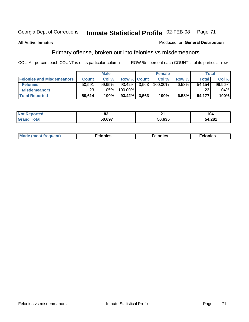**All Active Inmates**

### Produced for **General Distribution**

## Primary offense, broken out into felonies vs misdemeanors

|                                  |              | <b>Male</b> |                    |       | <b>Female</b> |          | Total  |           |
|----------------------------------|--------------|-------------|--------------------|-------|---------------|----------|--------|-----------|
| <b>Felonies and Misdemeanors</b> | <b>Count</b> | Col%        | <b>Row % Count</b> |       | Col%          | Row %    | Total  | Col%      |
| <b>Felonies</b>                  | 50,591       | $99.95\%$   | 93.42%             | 3.563 | $100.00\%$    | $6.58\%$ | 54.154 | $99.96\%$ |
| <b>Misdemeanors</b>              | 231          | .05%        | 100.00%            |       |               |          | 23     | $.04\%$   |
| <b>Total Reported</b>            | 50,614       | 100%        | 93.42%             | 3,563 | 100%          | 6.58%    | 54,177 | 100%      |

| <b>Not</b><br>ted. | oJ     | л.<br>-- | ' U4   |  |
|--------------------|--------|----------|--------|--|
|                    | 50.697 | 50.635   | 54,281 |  |

| Mode (most frequent) | elonies | elonies | onies<br>-е к |
|----------------------|---------|---------|---------------|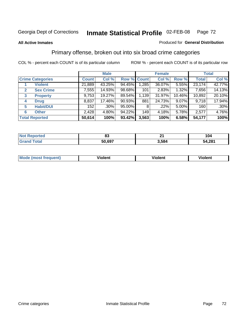### **All Active Inmates**

### Produced for **General Distribution**

## Primary offense, broken out into six broad crime categories

|                         |                       |              | <b>Male</b> |             |       | <b>Female</b> |          |              | <b>Total</b> |
|-------------------------|-----------------------|--------------|-------------|-------------|-------|---------------|----------|--------------|--------------|
| <b>Crime Categories</b> |                       | <b>Count</b> | Col %       | Row % Count |       | Col %         | Row %    | <b>Total</b> | Col %        |
|                         | <b>Violent</b>        | 21,889       | 43.25%      | 94.45%      | 1,285 | 36.07%        | 5.55%    | 23,174       | 42.77%       |
| 2                       | <b>Sex Crime</b>      | 7,555        | 14.93%      | 98.68%      | 101   | 2.83%         | 1.32%    | 7,656        | 14.13%       |
| 3                       | <b>Property</b>       | 9,753        | 19.27%      | 89.54%      | 1,139 | 31.97%        | 10.46%   | 10,892       | 20.10%       |
| 4                       | <b>Drug</b>           | 8,837        | 17.46%      | $90.93\%$   | 881   | 24.73%        | $9.07\%$ | 9,718        | 17.94%       |
| 5                       | <b>Habit/DUI</b>      | 152          | $.30\%$     | 95.00%      | 8     | .22%          | $5.00\%$ | 160          | $.30\%$      |
| 6                       | <b>Other</b>          | 2,428        | 4.80%       | 94.22%      | 149   | 4.18%         | 5.78%    | 2,577        | 4.76%        |
|                         | <b>Total Reported</b> | 50,614       | 100%        | 93.42%      | 3,563 | 100%          | 6.58%    | 54,177       | 100%         |

| orted     | n.     | . .   | 104         |  |
|-----------|--------|-------|-------------|--|
| NG        | υJ     |       |             |  |
| $\sim$ 40 | 50.697 | 584 ز | 4,281<br>54 |  |

| M | - --<br>.<br>-------- | .<br>-------- | -------- |
|---|-----------------------|---------------|----------|
|   |                       |               |          |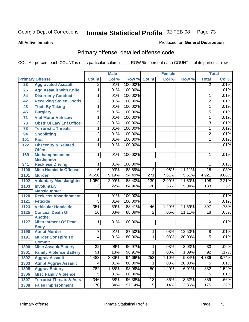**All Active Inmates**

#### Produced for **General Distribution**

# Primary offense, detailed offense code

|      |                                                    |                  | <b>Male</b> |         |                 | <b>Female</b> |        |                 | <b>Total</b> |
|------|----------------------------------------------------|------------------|-------------|---------|-----------------|---------------|--------|-----------------|--------------|
|      | <b>Primary Offense</b>                             | <b>Count</b>     | Col %       | Row %   | <b>Count</b>    | Col %         | Row %  | <b>Total</b>    | Col %        |
| 23   | <b>Aggravated Assault</b>                          | $\overline{2}$   | .01%        | 100.00% |                 |               |        | $\overline{2}$  | .01%         |
| 26   | <b>Agg Assault With Knife</b>                      | 1                | .01%        | 100.00% |                 |               |        | 1               | .01%         |
| 34   | <b>Disorderly Conduct</b>                          | 1                | .01%        | 100.00% |                 |               |        | 1               | .01%         |
| 42   | <b>Receiving Stolen Goods</b>                      | $\overline{2}$   | .01%        | 100.00% |                 |               |        | 2               | .01%         |
| 43   | <b>Theft By Taking</b>                             | 1                | .01%        | 100.00% |                 |               |        | 1               | .01%         |
| 45   | <b>Burglary</b>                                    | 5                | .01%        | 100.00% |                 |               |        | 5               | .01%         |
| 71   | <b>Viol Motor Veh Law</b>                          | 1                | .01%        | 100.00% |                 |               |        | 1               | .01%         |
| 73   | <b>Obstr Of Law Enf Officer</b>                    | $\overline{3}$   | .01%        | 100.00% |                 |               |        | 3               | .01%         |
| 78   | <b>Terroristic Threats</b>                         | 1                | .01%        | 100.00% |                 |               |        | 1               | .01%         |
| 94   | <b>Shoplifting</b>                                 | $\overline{2}$   | .01%        | 100.00% |                 |               |        | 2               | .01%         |
| 101  | <b>Riot</b>                                        | 1                | .01%        | 100.00% |                 |               |        | 1               | .01%         |
| 122  | <b>Obscenity &amp; Related</b><br><b>Offen</b>     | 1                | .01%        | 100.00% |                 |               |        | 1               | .01%         |
| 169  | <b>Methamphetamine</b>                             | $\overline{1}$   | .01%        | 100.00% |                 |               |        | 1               | .01%         |
|      | <b>Misdemnor</b>                                   |                  |             |         |                 |               |        |                 |              |
| 341  | <b>Reckless Driving</b>                            | 1                | .01%        | 100.00% |                 |               |        | 1               | .01%         |
| 1100 | <b>Misc Homicide Offense</b>                       | $\overline{16}$  | .03%        | 88.89%  | $\overline{2}$  | .06%          | 11.11% | $\overline{18}$ | .03%         |
| 1101 | <b>Murder</b>                                      | 4,650            | 9.19%       | 94.49%  | 271             | 7.61%         | 5.51%  | 4,921           | 9.08%        |
| 1102 | <b>Voluntary Manslaughter</b>                      | 1,059            | 2.09%       | 88.40%  | 139             | 3.90%         | 11.60% | 1,198           | 2.21%        |
| 1103 | <b>Involuntary</b>                                 | $\overline{113}$ | .22%        | 84.96%  | $\overline{20}$ | .56%          | 15.04% | 133             | .25%         |
| 1120 | <b>Manslaughter</b><br><b>Reckless Abandonment</b> | 1                | .01%        | 100.00% |                 |               |        | 1               | .01%         |
| 1121 | <b>Feticide</b>                                    | $\overline{5}$   | .01%        | 100.00% |                 |               |        | $\overline{5}$  | .01%         |
| 1123 | <b>Vehicular Homicide</b>                          | 351              | .69%        | 88.41%  | 46              | 1.29%         | 11.59% | 397             | .73%         |
| 1125 | <b>Conceal Death Of</b>                            | 16               | .03%        | 88.89%  | $\overline{2}$  | .06%          | 11.11% | $\overline{18}$ | .03%         |
|      | <b>Another</b>                                     |                  |             |         |                 |               |        |                 |              |
| 1127 | <b>Mistreatment Of Dead</b><br><b>Body</b>         | 1                | .01%        | 100.00% |                 |               |        | 1               | .01%         |
| 1190 | <b>Atmpt Murder</b>                                | $\overline{7}$   | .01%        | 87.50%  | $\mathbf 1$     | .03%          | 12.50% | 8               | .01%         |
| 1191 | <b>Murder, Conspire To</b><br><b>Commit</b>        | $\overline{4}$   | .01%        | 80.00%  | $\overline{1}$  | .03%          | 20.00% | $\overline{5}$  | .01%         |
| 1300 | <b>Misc Assault/Battery</b>                        | $\overline{32}$  | .06%        | 96.97%  | 1               | .03%          | 3.03%  | $\overline{33}$ | .06%         |
| 1301 | <b>Family Violence Battery</b>                     | 91               | .18%        | 98.91%  | $\overline{1}$  | .03%          | 1.09%  | 92              | .17%         |
| 1302 | <b>Aggrav Assault</b>                              | 4,483            | 8.86%       | 94.66%  | 253             | 7.10%         | 5.34%  | 4,736           | 8.74%        |
| 1303 | <b>Atmpt Aggrav Assault</b>                        | 4                | .01%        | 80.00%  | 1.              | .03%          | 20.00% | $\overline{5}$  | .01%         |
| 1305 | <b>Aggrav Battery</b>                              | 782              | 1.55%       | 93.99%  | 50              | 1.40%         | 6.01%  | 832             | 1.54%        |
| 1306 | <b>Misc Family Violence</b>                        | $\overline{5}$   | .01%        | 100.00% |                 |               |        | $\overline{5}$  | .01%         |
| 1307 | <b>Terrorist Threats &amp; Acts</b>                | 346              | .68%        | 96.38%  | 13              | .36%          | 3.62%  | 359             | .66%         |
| 1308 | <b>False Imprisonment</b>                          | 170              | .34%        | 97.14%  | $\overline{5}$  | .14%          | 2.86%  | 175             | .32%         |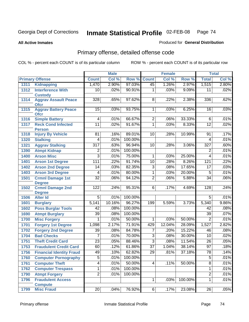**All Active Inmates**

#### Produced for **General Distribution**

# Primary offense, detailed offense code

|      |                                            |                  | <b>Male</b> |         |                 | <b>Female</b> |         |                 | <b>Total</b> |
|------|--------------------------------------------|------------------|-------------|---------|-----------------|---------------|---------|-----------------|--------------|
|      | <b>Primary Offense</b>                     | <b>Count</b>     | Col %       | Row %   | <b>Count</b>    | Col %         | Row %   | <b>Total</b>    | Col %        |
| 1311 | <b>Kidnapping</b>                          | 1,470            | 2.90%       | 97.03%  | 45              | 1.26%         | 2.97%   | 1,515           | 2.80%        |
| 1312 | <b>Interference With</b><br><b>Custody</b> | 10               | .02%        | 90.91%  | 1               | .03%          | 9.09%   | 11              | .02%         |
| 1314 | <b>Aggrav Assault Peace</b><br><b>Ofcr</b> | 328              | .65%        | 97.62%  | 8               | .22%          | 2.38%   | 336             | .62%         |
| 1315 | <b>Aggrav Battery Peace</b><br><b>Ofcr</b> | 15               | .03%        | 93.75%  | $\overline{1}$  | .03%          | 6.25%   | 16              | .03%         |
| 1316 | <b>Simple Battery</b>                      | 4                | .01%        | 66.67%  | $\overline{2}$  | .06%          | 33.33%  | 6               | .01%         |
| 1317 | <b>Reck Cond Infected</b><br><b>Person</b> | $\overline{11}$  | .02%        | 91.67%  | $\overline{1}$  | .03%          | 8.33%   | $\overline{12}$ | .02%         |
| 1318 | <b>Injury By Vehicle</b>                   | 81               | .16%        | 89.01%  | 10              | .28%          | 10.99%  | 91              | .17%         |
| 1320 | <b>Stalking</b>                            | 4                | .01%        | 100.00% |                 |               |         | 4               | .01%         |
| 1321 | <b>Aggrav Stalking</b>                     | $\overline{317}$ | .63%        | 96.94%  | 10              | .28%          | 3.06%   | 327             | .60%         |
| 1390 | <b>Atmpt Kidnap</b>                        | $\overline{2}$   | .01%        | 100.00% |                 |               |         | $\overline{2}$  | .01%         |
| 1400 | <b>Arson Misc</b>                          | $\overline{3}$   | .01%        | 75.00%  | 1               | .03%          | 25.00%  | 4               | .01%         |
| 1401 | <b>Arson 1st Degree</b>                    | 111              | .22%        | 91.74%  | 10              | .28%          | 8.26%   | 121             | .22%         |
| 1402 | <b>Arson 2nd Degree</b>                    | $\overline{14}$  | .03%        | 82.35%  | $\overline{3}$  | .08%          | 17.65%  | $\overline{17}$ | .03%         |
| 1403 | <b>Arson 3rd Degree</b>                    | 4                | .01%        | 80.00%  | $\overline{1}$  | .03%          | 20.00%  | $\overline{5}$  | .01%         |
| 1501 | <b>Crmnl Damage 1st</b><br><b>Degree</b>   | $\overline{32}$  | .06%        | 94.12%  | $\overline{2}$  | .06%          | 5.88%   | $\overline{34}$ | .06%         |
| 1502 | <b>Crmnl Damage 2nd</b><br><b>Degree</b>   | 122              | .24%        | 95.31%  | 6               | .17%          | 4.69%   | 128             | .24%         |
| 1506 | <b>Alter Id</b>                            | $\overline{5}$   | .01%        | 100.00% |                 |               |         | $\overline{5}$  | .01%         |
| 1601 | <b>Burglary</b>                            | 5,141            | 10.16%      | 96.27%  | 199             | 5.59%         | 3.73%   | 5,340           | 9.86%        |
| 1602 | <b>Poss Burglar Tools</b>                  | $\overline{42}$  | .08%        | 100.00% |                 |               |         | $\overline{42}$ | .08%         |
| 1690 | <b>Atmpt Burglary</b>                      | $\overline{39}$  | .08%        | 100.00% |                 |               |         | $\overline{39}$ | .07%         |
| 1700 | <b>Misc Forgery</b>                        | 1                | .01%        | 50.00%  | 1               | .03%          | 50.00%  | $\overline{2}$  | .01%         |
| 1701 | <b>Forgery 1st Degree</b>                  | 1,098            | 2.17%       | 71.91%  | 429             | 12.04%        | 28.09%  | 1,527           | 2.82%        |
| 1702 | <b>Forgery 2nd Degree</b>                  | $\overline{39}$  | .08%        | 84.78%  | 7               | .20%          | 15.22%  | 46              | .08%         |
| 1704 | <b>Bad Checks</b>                          | 7                | .01%        | 70.00%  | $\overline{3}$  | .08%          | 30.00%  | $\overline{10}$ | .02%         |
| 1751 | <b>Theft Credit Card</b>                   | $\overline{23}$  | .05%        | 88.46%  | $\overline{3}$  | .08%          | 11.54%  | $\overline{26}$ | .05%         |
| 1753 | <b>Fraudulent Credit Card</b>              | 60               | .12%        | 61.86%  | $\overline{37}$ | 1.04%         | 38.14%  | $\overline{97}$ | .18%         |
| 1756 | <b>Financial Identity Fraud</b>            | 49               | .10%        | 62.82%  | $\overline{29}$ | .81%          | 37.18%  | $\overline{78}$ | .14%         |
| 1760 | <b>Computer Pornography</b>                | $\overline{5}$   | .01%        | 100.00% |                 |               |         | $\overline{5}$  | .01%         |
| 1761 | <b>Computer Theft</b>                      | $\overline{4}$   | .01%        | 50.00%  | $\overline{4}$  | .11%          | 50.00%  | $\overline{8}$  | .01%         |
| 1762 | <b>Computer Trespass</b>                   | 1                | .01%        | 100.00% |                 |               |         | 1               | .01%         |
| 1790 | <b>Atmpt Forgery</b>                       | $\overline{2}$   | .01%        | 100.00% |                 |               |         | $\overline{2}$  | .01%         |
| 1796 | <b>Fraudulent Access</b><br><b>Compute</b> |                  |             |         | $\overline{1}$  | .03%          | 100.00% | $\overline{1}$  | .01%         |
| 1799 | <b>Misc Fraud</b>                          | 20 <sup>1</sup>  | .04%        | 76.92%  | $\overline{6}$  | .17%          | 23.08%  | $\overline{26}$ | .05%         |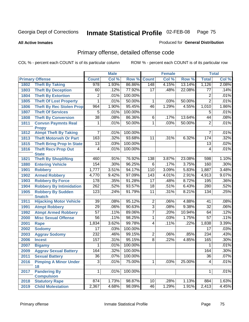**All Active Inmates**

#### Produced for **General Distribution**

# Primary offense, detailed offense code

|      |                                            |                 | <b>Male</b> |         |                 | <b>Female</b> |        |                 | <b>Total</b> |
|------|--------------------------------------------|-----------------|-------------|---------|-----------------|---------------|--------|-----------------|--------------|
|      | <b>Primary Offense</b>                     | <b>Count</b>    | Col %       | Row %   | <b>Count</b>    | Col %         | Row %  | <b>Total</b>    | Col %        |
| 1802 | <b>Theft By Taking</b>                     | 978             | 1.93%       | 86.86%  | 148             | 4.15%         | 13.14% | 1,126           | 2.08%        |
| 1803 | <b>Theft By Deception</b>                  | 60              | .12%        | 77.92%  | 17              | .48%          | 22.08% | 77              | .14%         |
| 1804 | <b>Theft By Extortion</b>                  | $\overline{2}$  | .01%        | 100.00% |                 |               |        | $\overline{2}$  | .01%         |
| 1805 | <b>Theft Of Lost Property</b>              | 1               | .01%        | 50.00%  | 1               | .03%          | 50.00% | $\overline{2}$  | .01%         |
| 1806 | <b>Theft By Rec Stolen Prop</b>            | 964             | 1.90%       | 95.45%  | 46              | 1.29%         | 4.55%  | 1,010           | 1.86%        |
| 1807 | <b>Theft Of Services</b>                   | 5               | .01%        | 100.00% |                 |               |        | 5               | .01%         |
| 1808 | <b>Theft By Conversion</b>                 | $\overline{38}$ | .08%        | 86.36%  | 6               | .17%          | 13.64% | $\overline{44}$ | .08%         |
| 1811 | <b>Convsn Paymnts Real</b><br><b>Propy</b> | 1               | .01%        | 50.00%  | $\overline{1}$  | .03%          | 50.00% | $\overline{2}$  | .01%         |
| 1812 | <b>Atmpt Theft By Taking</b>               | 7               | .01%        | 100.00% |                 |               |        | 7               | .01%         |
| 1813 | <b>Theft Motorveh Or Part</b>              | 163             | .32%        | 93.68%  | $\overline{11}$ | .31%          | 6.32%  | 174             | .32%         |
| 1815 | <b>Theft Bring Prop In State</b>           | 13              | .03%        | 100.00% |                 |               |        | 13              | .02%         |
| 1816 | <b>Theft Recv Prop Out</b>                 | 4               | .01%        | 100.00% |                 |               |        | 4               | .01%         |
|      | <b>State</b>                               |                 |             |         |                 |               |        |                 |              |
| 1821 | <b>Theft By Shoplifting</b>                | 460             | .91%        | 76.92%  | 138             | 3.87%         | 23.08% | 598             | 1.10%        |
| 1880 | <b>Entering Vehicle</b>                    | 154             | .30%        | 96.25%  | 6               | .17%          | 3.75%  | 160             | .30%         |
| 1901 | <b>Robbery</b>                             | 1,777           | 3.51%       | 94.17%  | 110             | 3.09%         | 5.83%  | 1,887           | 3.48%        |
| 1902 | <b>Armed Robbery</b>                       | 4,770           | 9.42%       | 97.09%  | 143             | 4.01%         | 2.91%  | 4,913           | 9.07%        |
| 1903 | <b>Robbery By Force</b>                    | 178             | .35%        | 91.28%  | $\overline{17}$ | .48%          | 8.72%  | 195             | .36%         |
| 1904 | <b>Robbery By Intimidation</b>             | 262             | .52%        | 93.57%  | 18              | .51%          | 6.43%  | 280             | .52%         |
| 1905 | <b>Robbery By Sudden</b><br><b>Snatch</b>  | 123             | .24%        | 91.79%  | 11              | .31%          | 8.21%  | 134             | .25%         |
| 1911 | <b>Hijacking Motor Vehicle</b>             | $\overline{39}$ | .08%        | 95.12%  | $\overline{2}$  | .06%          | 4.88%  | $\overline{41}$ | .08%         |
| 1991 | <b>Atmpt Robbery</b>                       | $\overline{29}$ | .06%        | 90.63%  | $\overline{3}$  | .08%          | 9.38%  | $\overline{32}$ | .06%         |
| 1992 | <b>Atmpt Armed Robbery</b>                 | 57              | .11%        | 89.06%  | 7               | .20%          | 10.94% | 64              | .12%         |
| 2000 | <b>Misc Sexual Offense</b>                 | $\overline{56}$ | .11%        | 98.25%  | 1               | .03%          | 1.75%  | $\overline{57}$ | .11%         |
| 2001 | <b>Rape</b>                                | 1,834           | 3.62%       | 99.78%  | $\overline{4}$  | .11%          | .22%   | 1,838           | 3.39%        |
| 2002 | <b>Sodomy</b>                              | $\overline{17}$ | .03%        | 100.00% |                 |               |        | 17              | .03%         |
| 2003 | <b>Aggrav Sodomy</b>                       | 232             | .46%        | 99.15%  | $\overline{2}$  | .06%          | .85%   | 234             | .43%         |
| 2006 | <b>Incest</b>                              | 157             | .31%        | 95.15%  | $\overline{8}$  | .22%          | 4.85%  | 165             | .30%         |
| 2007 | <b>Bigamy</b>                              | 1               | .01%        | 100.00% |                 |               |        | 1               | .01%         |
| 2009 | <b>Aggrav Sexual Battery</b>               | 164             | .32%        | 100.00% |                 |               |        | 164             | .30%         |
| 2011 | <b>Sexual Battery</b>                      | $\overline{36}$ | .07%        | 100.00% |                 |               |        | $\overline{36}$ | .07%         |
| 2016 | <b>Pimping A Minor Under</b><br>18         | $\overline{3}$  | .01%        | 75.00%  | $\mathbf 1$     | .03%          | 25.00% | 4               | .01%         |
| 2017 | <b>Pandering By</b><br><b>Compulsion</b>   | 1               | .01%        | 100.00% |                 |               |        | $\mathbf{1}$    | .01%         |
| 2018 | <b>Statutory Rape</b>                      | 874             | 1.73%       | 98.87%  | 10 <sup>1</sup> | .28%          | 1.13%  | 884             | 1.63%        |
| 2019 | <b>Child Molestation</b>                   | 2,367           | 4.68%       | 98.09%  | 46              | 1.29%         | 1.91%  | 2,413           | 4.45%        |
|      |                                            |                 |             |         |                 |               |        |                 |              |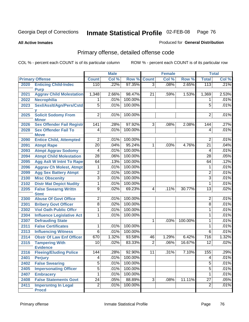#### **All Active Inmates**

### Produced for **General Distribution**

# Primary offense, detailed offense code

|      |                                  | <b>Male</b>     |       |         | <b>Female</b>  |         | <b>Total</b> |                  |       |
|------|----------------------------------|-----------------|-------|---------|----------------|---------|--------------|------------------|-------|
|      | <b>Primary Offense</b>           | <b>Count</b>    | Col % | Row %   | <b>Count</b>   | Col %   | Row %        | <b>Total</b>     | Col % |
| 2020 | <b>Enticing Child-Indec</b>      | 110             | .22%  | 97.35%  | $\overline{3}$ | .08%    | 2.65%        | 113              | .21%  |
|      | <b>Purp</b>                      |                 |       |         |                |         |              |                  |       |
| 2021 | <b>Aggrav Child Molestation</b>  | 1,348           | 2.66% | 98.47%  | 21             | .59%    | 1.53%        | 1,369            | 2.53% |
| 2022 | <b>Necrophilia</b>               | 1               | .01%  | 100.00% |                |         |              | 1                | .01%  |
| 2023 | Sexl/AssIt/Agn/Pers/Cstd         | $\overline{5}$  | .01%  | 100.00% |                |         |              | $\overline{5}$   | .01%  |
| 2025 | <b>Solicit Sodomy From</b>       | $\overline{2}$  | .01%  | 100.00% |                |         |              | $\overline{2}$   | .01%  |
|      | <b>Minor</b>                     |                 |       |         |                |         |              |                  |       |
| 2026 | <b>Sex Offender Fail Registr</b> | 141             | .28%  | 97.92%  | $\overline{3}$ | .08%    | 2.08%        | 144              | .27%  |
| 2028 | <b>Sex Offender Fail To</b>      | 4               | .01%  | 100.00% |                |         |              | 4                | .01%  |
|      | <b>Move</b>                      |                 |       |         |                |         |              |                  |       |
| 2090 | <b>Entice Child, Attempted</b>   | 2               | .01%  | 100.00% |                |         |              | $\overline{2}$   | .01%  |
| 2091 | <b>Atmpt Rape</b>                | $\overline{20}$ | .04%  | 95.24%  | 1              | .03%    | 4.76%        | 21               | .04%  |
| 2093 | <b>Atmpt Aggrav Sodomy</b>       | 4               | .01%  | 100.00% |                |         |              | $\overline{4}$   | .01%  |
| 2094 | <b>Atmpt Child Molestation</b>   | $\overline{28}$ | .06%  | 100.00% |                |         |              | $\overline{28}$  | .05%  |
| 2095 | <b>Agg Aslt W Intnt To Rape</b>  | 64              | .13%  | 100.00% |                |         |              | 64               | .12%  |
| 2096 | <b>Aggrav Ch Molest, Atmpt</b>   | 1               | .01%  | 100.00% |                |         |              | 1                | .01%  |
| 2099 | <b>Agg Sex Battery Atmpt</b>     | $\overline{2}$  | .01%  | 100.00% |                |         |              | $\overline{c}$   | .01%  |
| 2100 | <b>Misc Obscenity</b>            | $\overline{3}$  | .01%  | 100.00% |                |         |              | 3                | .01%  |
| 2102 | <b>Distr Mat Depict Nudity</b>   | 1               | .01%  | 100.00% |                |         |              | 1                | .01%  |
| 2205 | <b>False Swearng Writtn</b>      | $\overline{9}$  | .02%  | 69.23%  | 4              | .11%    | 30.77%       | $\overline{13}$  | .02%  |
|      | <b>Stmt</b>                      |                 |       |         |                |         |              |                  |       |
| 2300 | <b>Abuse Of Govt Office</b>      | $\overline{c}$  | .01%  | 100.00% |                |         |              | $\overline{2}$   | .01%  |
| 2301 | <b>Bribery Govt Officer</b>      | $\overline{8}$  | .02%  | 100.00% |                |         |              | $\overline{8}$   | .01%  |
| 2302 | <b>Viol Oath Public Offcr</b>    | 1               | .01%  | 100.00% |                |         |              | 1                | .01%  |
| 2304 | <b>Influence Legislative Act</b> | 1               | .01%  | 100.00% |                |         |              | 1                | .01%  |
| 2307 | <b>Defrauding State</b>          |                 |       |         | 1              | .03%    | 100.00%      | 1                | .01%  |
| 2311 | <b>False Certificates</b>        | 1               | .01%  | 100.00% |                |         |              | 1                | .01%  |
| 2313 | <b>Influencing Witness</b>       | $\overline{6}$  | .01%  | 100.00% |                |         |              | $\overline{6}$   | .01%  |
| 2314 | <b>Obstr Of Law Enf Officer</b>  | 670             | 1.32% | 93.58%  | 46             | 1.29%   | 6.42%        | $\overline{716}$ | 1.32% |
| 2315 | <b>Tampering With</b>            | 10              | .02%  | 83.33%  | $\overline{2}$ | .06%    | 16.67%       | $\overline{12}$  | .02%  |
|      | <b>Evidence</b>                  |                 |       |         |                |         |              |                  |       |
| 2316 | <b>Fleeing/Eluding Police</b>    | 144             | .28%  | 92.90%  | 11             | $.31\%$ | 7.10%        | 155              | .29%  |
| 2401 | <b>Perjury</b>                   | 4               | .01%  | 100.00% |                |         |              | 4                | .01%  |
| 2402 | <b>False Swearing</b>            | $\overline{5}$  | .01%  | 100.00% |                |         |              | $\overline{5}$   | .01%  |
| 2405 | <b>Impersonating Officer</b>     | $\overline{5}$  | .01%  | 100.00% |                |         |              | $\overline{5}$   | .01%  |
| 2407 | <b>Embracery</b>                 | 1               | .01%  | 100.00% |                |         |              | 1                | .01%  |
| 2408 | <b>False Statements Govt</b>     | $\overline{24}$ | .05%  | 88.89%  | $\overline{3}$ | .08%    | 11.11%       | $\overline{27}$  | .05%  |
| 2411 | <b>Impersntng In Legal</b>       | $\overline{2}$  | .01%  | 100.00% |                |         |              | $\overline{2}$   | .01%  |
|      | <b>Procd</b>                     |                 |       |         |                |         |              |                  |       |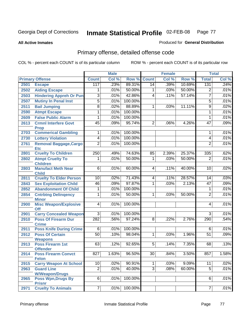**All Active Inmates**

#### Produced for **General Distribution**

# Primary offense, detailed offense code

|      |                                            |                  | <b>Male</b> |                    |                | <b>Female</b> |        |                 | <b>Total</b> |
|------|--------------------------------------------|------------------|-------------|--------------------|----------------|---------------|--------|-----------------|--------------|
|      | <b>Primary Offense</b>                     | <b>Count</b>     | Col %       | <b>Row % Count</b> |                | Col %         | Row %  | <b>Total</b>    | Col %        |
| 2501 | <b>Escape</b>                              | 117              | .23%        | 89.31%             | 14             | .39%          | 10.69% | 131             | .24%         |
| 2502 | <b>Aiding Escape</b>                       | 1                | .01%        | 50.00%             | 1              | .03%          | 50.00% | $\overline{2}$  | .01%         |
| 2503 | <b>Hindering Appreh Or Pun</b>             | 3                | .01%        | 42.86%             | 4              | .11%          | 57.14% | $\overline{7}$  | .01%         |
| 2507 | <b>Mutiny In Penal Inst</b>                | 5                | .01%        | 100.00%            |                |               |        | 5               | .01%         |
| 2511 | <b>Bail Jumping</b>                        | $\overline{8}$   | .02%        | 88.89%             | 1              | .03%          | 11.11% | $\overline{9}$  | .02%         |
| 2590 | <b>Atmpt Escape</b>                        | 1                | .01%        | 100.00%            |                |               |        | 1               | .01%         |
| 2609 | <b>False Public Alarm</b>                  | 1                | .01%        | 100.00%            |                |               |        | 1               | .01%         |
| 2613 | <b>Crmnl Interfere Govt</b><br><b>Prop</b> | 45               | .09%        | 95.74%             | $\overline{2}$ | .06%          | 4.26%  | $\overline{47}$ | .09%         |
| 2703 | <b>Commerical Gambling</b>                 | 1                | .01%        | 100.00%            |                |               |        | 1               | .01%         |
| 2730 | <b>Lottery Violation</b>                   | $\overline{4}$   | .01%        | 100.00%            |                |               |        | 4               | .01%         |
| 2761 | Removal Baggage, Cargo<br><b>Etc</b>       | $\overline{2}$   | .01%        | 100.00%            |                |               |        | $\overline{2}$  | .01%         |
| 2801 | <b>Cruelty To Children</b>                 | $\overline{250}$ | .49%        | 74.63%             | 85             | 2.39%         | 25.37% | $\frac{1}{335}$ | .62%         |
| 2802 | <b>Atmpt Cruelty To</b><br><b>Children</b> | 1                | .01%        | 50.00%             | 1              | .03%          | 50.00% | $\overline{2}$  | .01%         |
| 2803 | <b>Manufact Meth Near</b><br><b>Child</b>  | $\overline{6}$   | .01%        | 60.00%             | 4              | .11%          | 40.00% | $\overline{10}$ | .02%         |
| 2811 | <b>Cruelty To Elder Person</b>             | 10               | .02%        | 71.43%             | 4              | .11%          | 28.57% | 14              | .03%         |
| 2843 | <b>Sex Exploitation Child</b>              | 46               | .09%        | 97.87%             | 1              | .03%          | 2.13%  | $\overline{47}$ | .09%         |
| 2852 | <b>Abandonment Of Child</b>                | 1                | .01%        | 100.00%            |                |               |        | 1               | .01%         |
| 2854 | <b>Cntrbtng Delingency</b><br><b>Minor</b> | 1                | .01%        | 50.00%             | 1              | .03%          | 50.00% | $\overline{2}$  | .01%         |
| 2900 | <b>Misc Weapon/Explosive</b><br><b>Off</b> | $\overline{4}$   | .01%        | 100.00%            |                |               |        | 4               | .01%         |
| 2901 | <b>Carry Concealed Weapon</b>              | $\overline{3}$   | .01%        | 100.00%            |                |               |        | $\overline{3}$  | .01%         |
| 2910 | <b>Poss Of Firearm Dur</b><br><b>Crime</b> | 282              | .56%        | 97.24%             | $\overline{8}$ | .22%          | 2.76%  | 290             | .54%         |
| 2911 | <b>Poss Knife During Crime</b>             | $\overline{6}$   | .01%        | 100.00%            |                |               |        | 6               | .01%         |
| 2912 | <b>Poss Of Certain</b><br><b>Weapons</b>   | 50               | .10%        | 98.04%             | 1              | .03%          | 1.96%  | $\overline{51}$ | .09%         |
| 2913 | <b>Poss Firearm 1st</b><br><b>Offender</b> | 63               | .12%        | 92.65%             | $\overline{5}$ | .14%          | 7.35%  | 68              | .13%         |
| 2914 | <b>Poss Firearm Convct</b><br><b>Felon</b> | 827              | 1.63%       | 96.50%             | 30             | .84%          | 3.50%  | 857             | 1.58%        |
| 2915 | <b>Carry Weapon At School</b>              | 10               | .02%        | 90.91%             | 1              | .03%          | 9.09%  | $\overline{11}$ | .02%         |
| 2963 | <b>Guard Line</b>                          | $\overline{2}$   | .01%        | 40.00%             | $\overline{3}$ | .08%          | 60.00% | $\overline{5}$  | .01%         |
|      | <b>W/Weapon/Drugs</b>                      |                  |             |                    |                |               |        |                 |              |
| 2965 | <b>Poss Wpn, Drugs By</b><br><b>Prisnr</b> | $\overline{6}$   | .01%        | 100.00%            |                |               |        | 6               | .01%         |
| 2971 | <b>Cruelty To Animals</b>                  | $\overline{7}$   | .01%        | 100.00%            |                |               |        | $\overline{7}$  | .01%         |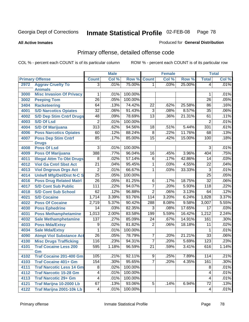**All Active Inmates**

### Produced for **General Distribution**

# Primary offense, detailed offense code

|      |                                  |                  | <b>Male</b> |         |                 | <b>Female</b> |        |                 | <b>Total</b> |
|------|----------------------------------|------------------|-------------|---------|-----------------|---------------|--------|-----------------|--------------|
|      | <b>Primary Offense</b>           | <b>Count</b>     | Col %       | Row %   | <b>Count</b>    | Col %         | Row %  | <b>Total</b>    | Col %        |
| 2972 | <b>Aggrav Cruelty To</b>         | $\overline{3}$   | .01%        | 75.00%  | 1.              | .03%          | 25.00% | $\overline{4}$  | .01%         |
|      | <b>Animals</b>                   |                  |             |         |                 |               |        |                 |              |
| 3000 | <b>Misc Invasion Of Privacy</b>  | 1                | .01%        | 100.00% |                 |               |        | 1               | .01%         |
| 3002 | <b>Peeping Tom</b>               | $\overline{26}$  | .05%        | 100.00% |                 |               |        | $\overline{26}$ | .05%         |
| 3404 | <b>Racketeering</b>              | 64               | .13%        | 74.42%  | $\overline{22}$ | .62%          | 25.58% | 86              | .16%         |
| 4001 | <b>S/D Narcotics Opiates</b>     | $\overline{32}$  | .06%        | 91.43%  | $\overline{3}$  | .08%          | 8.57%  | $\overline{35}$ | .06%         |
| 4002 | <b>S/D Dep Stim Cntrf Drugs</b>  | 48               | .09%        | 78.69%  | $\overline{13}$ | .36%          | 21.31% | 61              | .11%         |
| 4003 | <b>S/D Of Lsd</b>                | $\overline{2}$   | .01%        | 100.00% |                 |               |        | $\overline{2}$  | .01%         |
| 4004 | <b>S/D Of Marijuana</b>          | $\overline{313}$ | .62%        | 94.56%  | $\overline{18}$ | .51%          | 5.44%  | 331             | .61%         |
| 4006 | <b>Poss Narcotics Opiates</b>    | 60               | .12%        | 88.24%  | $\overline{8}$  | .22%          | 11.76% | 68              | .13%         |
| 4007 | <b>Poss Dep Stim Cntrf</b>       | 85               | .17%        | 85.00%  | $\overline{15}$ | .42%          | 15.00% | 100             | .18%         |
|      | <b>Drugs</b>                     |                  |             |         |                 |               |        |                 |              |
| 4008 | <b>Poss Of Lsd</b>               | 3                | .01%        | 100.00% |                 |               |        | $\overline{3}$  | .01%         |
| 4009 | <b>Poss Of Marijuana</b>         | 388              | .77%        | 96.04%  | $\overline{16}$ | .45%          | 3.96%  | 404             | .75%         |
| 4011 | <b>Illegal Attm To Obt Drugs</b> | $\overline{8}$   | .02%        | 57.14%  | $\overline{6}$  | .17%          | 42.86% | 14              | .03%         |
| 4012 | <b>Viol Ga Cntrl Sbst Act</b>    | $\overline{21}$  | .04%        | 95.45%  | $\overline{1}$  | .03%          | 4.55%  | 22              | .04%         |
| 4013 | <b>Viol Dngrous Drgs Act</b>     | $\overline{2}$   | .01%        | 66.67%  | 1               | .03%          | 33.33% | $\overline{3}$  | .01%         |
| 4014 | <b>Uniwfl Mfg/Del/Dist N-C S</b> | $\overline{25}$  | .05%        | 100.00% |                 |               |        | $\overline{25}$ | .05%         |
| 4016 | <b>Poss Drug Related Matri</b>   | $\overline{26}$  | .05%        | 81.25%  | $\overline{6}$  | .17%          | 18.75% | $\overline{32}$ | .06%         |
| 4017 | <b>S/D Cont Sub Public</b>       | 111              | .22%        | 94.07%  | $\overline{7}$  | .20%          | 5.93%  | 118             | .22%         |
| 4018 | <b>S/D Cont Sub School</b>       | 62               | .12%        | 96.88%  | $\overline{2}$  | .06%          | 3.13%  | 64              | .12%         |
| 4021 | <b>S/D Cocaine</b>               | 1,714            | 3.39%       | 93.76%  | 114             | 3.20%         | 6.24%  | 1,828           | 3.37%        |
| 4022 | <b>Poss Of Cocaine</b>           | 2,719            | 5.37%       | 90.42%  | 288             | 8.08%         | 9.58%  | 3,007           | 5.55%        |
| 4030 | <b>Poss Ephedrine</b>            | $\overline{14}$  | .03%        | 82.35%  | $\overline{3}$  | .08%          | 17.65% | $\overline{17}$ | .03%         |
| 4031 | <b>Poss Methamphetamine</b>      | 1,013            | 2.00%       | 83.58%  | 199             | 5.59%         | 16.42% | 1,212           | 2.24%        |
| 4032 | <b>Sale Methamphetamine</b>      | 137              | .27%        | 85.09%  | $\overline{24}$ | .67%          | 14.91% | 161             | .30%         |
| 4033 | <b>Poss Mda/Extsy</b>            | $\overline{9}$   | .02%        | 81.82%  | $\overline{2}$  | .06%          | 18.18% | 11              | .02%         |
| 4034 | <b>Sale Mda/Extsy</b>            | 1                | .01%        | 100.00% |                 |               |        | 1               | .01%         |
| 4090 | <b>Atmpt Viol Substance Act</b>  | $\overline{26}$  | .05%        | 78.79%  | $\overline{7}$  | .20%          | 21.21% | $\overline{33}$ | .06%         |
| 4100 | <b>Misc Drugs Trafficking</b>    | 116              | .23%        | 94.31%  | $\overline{7}$  | .20%          | 5.69%  | 123             | .23%         |
| 4101 | <b>Traf Cocaine Less 200</b>     | 595              | 1.18%       | 96.59%  | $\overline{21}$ | .59%          | 3.41%  | 616             | 1.14%        |
|      | Gm                               |                  |             |         |                 |               |        |                 |              |
| 4102 | <b>Traf Cocaine 201-400 Gm</b>   | 105              | .21%        | 92.11%  | $\overline{9}$  | .25%          | 7.89%  | 114             | .21%         |
| 4103 | <b>Traf Cocaine 401+ Gm</b>      | 154              | .30%        | 95.65%  | $\overline{7}$  | .20%          | 4.35%  | 161             | .30%         |
| 4111 | <b>Traf Narcotic Less 14 Gm</b>  | $\overline{8}$   | .02%        | 100.00% |                 |               |        | 8               | .01%         |
| 4112 | <b>Traf Narcotic 15-28 Gm</b>    | 4                | .01%        | 100.00% |                 |               |        | 4               | .01%         |
| 4113 | <b>Traf Narcotic 29+ Gm</b>      | $\overline{4}$   | .01%        | 100.00% |                 |               |        | 4               | .01%         |
| 4121 | Traf Marijna 10-2000 Lb          | 67               | .13%        | 93.06%  | 5               | .14%          | 6.94%  | $\overline{72}$ | .13%         |
| 4122 | <b>Traf Marijna 2001-10k Lb</b>  | 4                | .01%        | 100.00% |                 |               |        | 4               | .01%         |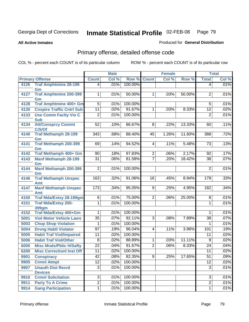**All Active Inmates**

#### Produced for **General Distribution**

# Primary offense, detailed offense code

|      |                                       |                  | <b>Male</b> |         | <b>Female</b>  |       |        | <b>Total</b>    |       |
|------|---------------------------------------|------------------|-------------|---------|----------------|-------|--------|-----------------|-------|
|      | <b>Primary Offense</b>                | <b>Count</b>     | Col %       | Row %   | <b>Count</b>   | Col % | Row %  | <b>Total</b>    | Col % |
| 4126 | <b>Traf Amphtmine 28-199</b>          | $\vert 4 \vert$  | .01%        | 100.00% |                |       |        | $\overline{4}$  | .01%  |
|      | Gm                                    |                  |             |         |                |       |        |                 |       |
| 4127 | <b>Traf Amphtmine 200-399</b>         | 1                | .01%        | 50.00%  | 1              | .03%  | 50.00% | 2               | .01%  |
| 4128 | Gm<br>Traf Amphtmine 400+ Gm          | $\overline{5}$   | .01%        | 100.00% |                |       |        | $5\overline{)}$ | .01%  |
| 4130 | <b>Cnspire Traffic Cntrl Sub</b>      | 11               | .02%        | 91.67%  | 1              | .03%  | 8.33%  | $\overline{12}$ | .02%  |
| 4133 | <b>Use Comm Facity Vio C</b>          | $\overline{2}$   | .01%        | 100.00% |                |       |        | $\overline{2}$  | .01%  |
|      | <b>Sub</b>                            |                  |             |         |                |       |        |                 |       |
| 4134 | <b>Att/Consprcy Commt</b>             | 52               | .10%        | 86.67%  | $\overline{8}$ | .22%  | 13.33% | 60              | .11%  |
|      | C/S/Of                                |                  |             |         |                |       |        |                 |       |
| 4140 | <b>Traf Methamph 28-199</b>           | 343              | .68%        | 88.40%  | 45             | 1.26% | 11.60% | 388             | .72%  |
|      | Gm                                    |                  |             |         |                |       |        |                 |       |
| 4141 | <b>Traf Methamph 200-399</b>          | 69               | .14%        | 94.52%  | 4              | .11%  | 5.48%  | 73              | .13%  |
| 4142 | Gm<br>Traf Methamph 400+ Gm           | 90               | .18%        | 97.83%  | $\overline{2}$ | .06%  | 2.17%  | 92              | .17%  |
| 4143 | <b>Manf Methamph 28-199</b>           | $\overline{31}$  | .06%        | 81.58%  | $\overline{7}$ | .20%  | 18.42% | $\overline{38}$ | .07%  |
|      | Gm                                    |                  |             |         |                |       |        |                 |       |
| 4144 | <b>Manf Methamph 200-399</b>          | $\overline{2}$   | .01%        | 100.00% |                |       |        | 2               | .01%  |
|      | Gm                                    |                  |             |         |                |       |        |                 |       |
| 4146 | <b>Traf Methamph Unspec</b>           | 163              | .32%        | 91.06%  | 16             | .45%  | 8.94%  | 179             | .33%  |
|      | Amt                                   |                  |             |         |                |       |        |                 |       |
| 4147 | <b>Manf Methamph Unspec</b>           | $\overline{173}$ | .34%        | 95.05%  | 9              | .25%  | 4.95%  | 182             | .34%  |
| 4150 | Amt<br><b>Traf Mda/Extsy 28-199gm</b> | $\overline{6}$   | .01%        | 75.00%  | $\overline{2}$ | .06%  | 25.00% | 8               | .01%  |
| 4151 | <b>Traf Mda/Extsy 200-</b>            | 1                | .01%        | 100.00% |                |       |        | 1               | .01%  |
|      | 399gm                                 |                  |             |         |                |       |        |                 |       |
| 4152 | Traf Mda/Extsy 400+Gm                 | 1                | .01%        | 100.00% |                |       |        | 1               | .01%  |
| 5001 | <b>Viol Motor Vehicle Laws</b>        | $\overline{35}$  | .07%        | 92.11%  | $\overline{3}$ | .08%  | 7.89%  | 38              | .07%  |
| 5003 | <b>Chop Shop Violation</b>            | 1                | .01%        | 100.00% |                |       |        | 1               | .01%  |
| 5004 | <b>Drvng Habtl Violator</b>           | $\overline{97}$  | .19%        | 96.04%  | 4              | .11%  | 3.96%  | 101             | .19%  |
| 5005 | <b>Habit Traf Viol/Impaired</b>       | $\overline{11}$  | .02%        | 100.00% |                |       |        | 11              | .02%  |
| 5006 | <b>Habit Traf Viol/Other</b>          | 8                | .02%        | 88.89%  | 1              | .03%  | 11.11% | 9               | .02%  |
| 6000 | <b>Misc Mrals/Pblic H/Safty</b>       | $\overline{22}$  | .04%        | 91.67%  | $\overline{2}$ | .06%  | 8.33%  | $\overline{24}$ | .04%  |
| 6200 | <b>Misc CorrectionI Inst Off</b>      | $\overline{11}$  | .02%        | 100.00% |                |       |        | $\overline{11}$ | .02%  |
| 9901 | <b>Conspiracy</b>                     | 42               | .08%        | 82.35%  | $\overline{9}$ | .25%  | 17.65% | $\overline{51}$ | .09%  |
| 9905 | <b>Crmnl Atmpt</b>                    | $\overline{12}$  | .02%        | 100.00% |                |       |        | $\overline{12}$ | .02%  |
| 9907 | <b>Unauth Dist Recrd</b>              | $\overline{3}$   | .01%        | 100.00% |                |       |        | $\overline{3}$  | .01%  |
|      | <b>Devices</b>                        |                  |             |         |                |       |        |                 |       |
| 9910 | <b>Crmnl Solicitation</b>             | $\overline{3}$   | .01%        | 100.00% |                |       |        | 3               | .01%  |
| 9911 | <b>Party To A Crime</b>               | $\overline{2}$   | .01%        | 100.00% |                |       |        | $\overline{2}$  | .01%  |
| 9914 | <b>Gang Participation</b>             | $\overline{1}$   | .01%        | 100.00% |                |       |        | 1               | .01%  |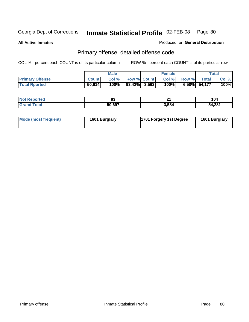**All Active Inmates**

Produced for **General Distribution**

# Primary offense, detailed offense code

|                        | Male         |      |                    | Female |      |       | Total        |       |
|------------------------|--------------|------|--------------------|--------|------|-------|--------------|-------|
| <b>Primary Offense</b> | <b>Count</b> | Col% | <b>Row % Count</b> |        | Col% | Row % | Total        | Col % |
| <b>Total Rported</b>   | 50,614       | 100% | $93.42\%$ 3,563    |        | 100% |       | 6.58% 54,177 | 100%  |

| NO)<br><b>porteg</b> | uj     | п.<br>- - | l V4         |
|----------------------|--------|-----------|--------------|
|                      | 50.697 | 3,584     | 4.281<br>-10 |

| Mode (most frequent) | 1601 Burglary | 1701 Forgery 1st Degree | 1601 Burglary |
|----------------------|---------------|-------------------------|---------------|
|----------------------|---------------|-------------------------|---------------|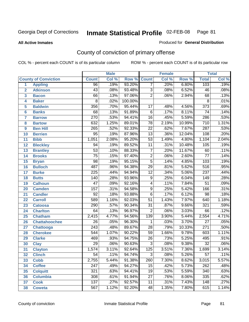#### **All Active Inmates**

### Produced for **General Distribution**

# County of conviction of primary offense

|                 |                             |                  | <b>Male</b> |         |                 | <b>Female</b> |        |                  | <b>Total</b> |
|-----------------|-----------------------------|------------------|-------------|---------|-----------------|---------------|--------|------------------|--------------|
|                 | <b>County of Conviction</b> | <b>Count</b>     | Col %       | Row %   | <b>Count</b>    | Col %         | Row %  | <b>Total</b>     | Col %        |
| 1               | <b>Appling</b>              | $\overline{96}$  | .19%        | 93.20%  | $\overline{7}$  | .20%          | 6.80%  | 103              | .19%         |
| $\overline{2}$  | <b>Atkinson</b>             | $\overline{43}$  | .08%        | 93.48%  | $\overline{3}$  | .08%          | 6.52%  | 46               | .08%         |
| 3               | <b>Bacon</b>                | 66               | .13%        | 97.06%  | $\overline{2}$  | .06%          | 2.94%  | 68               | .13%         |
| 4               | <b>Baker</b>                | $\overline{8}$   | .02%        | 100.00% |                 |               |        | 8                | .01%         |
| 5               | <b>Baldwin</b>              | 356              | .70%        | 95.44%  | 17              | .48%          | 4.56%  | $\overline{373}$ | .69%         |
| $6\phantom{a}$  | <b>Banks</b>                | $\overline{68}$  | .13%        | 91.89%  | $\overline{6}$  | .17%          | 8.11%  | $\overline{74}$  | .14%         |
| $\overline{7}$  | <b>Barrow</b>               | 270              | .53%        | 94.41%  | $\overline{16}$ | .45%          | 5.59%  | 286              | .53%         |
| 8               | <b>Bartow</b>               | 632              | 1.25%       | 89.01%  | $\overline{78}$ | 2.19%         | 10.99% | $\overline{710}$ | 1.31%        |
| 9               | <b>Ben Hill</b>             | 265              | .52%        | 92.33%  | $\overline{22}$ | .62%          | 7.67%  | 287              | .53%         |
| 10              | <b>Berrien</b>              | $\overline{95}$  | .19%        | 87.96%  | $\overline{13}$ | .36%          | 12.04% | 108              | .20%         |
| 11              | <b>Bibb</b>                 | 1,051            | 2.08%       | 95.20%  | $\overline{53}$ | 1.49%         | 4.80%  | 1,104            | 2.04%        |
| 12              | <b>Bleckley</b>             | 94               | .19%        | 89.52%  | $\overline{11}$ | .31%          | 10.48% | 105              | .19%         |
| 13              | <b>Brantley</b>             | $\overline{53}$  | .10%        | 88.33%  | $\overline{7}$  | .20%          | 11.67% | 60               | .11%         |
| $\overline{14}$ | <b>Brooks</b>               | $\overline{75}$  | .15%        | 97.40%  | $\overline{2}$  | .06%          | 2.60%  | $\overline{77}$  | .14%         |
| 15              | <b>Bryan</b>                | $\overline{98}$  | .19%        | 95.15%  | $\overline{5}$  | .14%          | 4.85%  | 103              | .19%         |
| 16              | <b>Bulloch</b>              | 487              | .96%        | 94.38%  | $\overline{29}$ | .81%          | 5.62%  | 516              | .95%         |
| 17              | <b>Burke</b>                | $\overline{225}$ | .44%        | 94.94%  | $\overline{12}$ | .34%          | 5.06%  | 237              | .44%         |
| 18              | <b>Butts</b>                | 140              | .28%        | 93.96%  | $\overline{9}$  | .25%          | 6.04%  | 149              | .28%         |
| 19              | <b>Calhoun</b>              | $\overline{47}$  | .09%        | 92.16%  | 4               | .11%          | 7.84%  | $\overline{51}$  | .09%         |
| 20              | <b>Camden</b>               | 157              | .31%        | 94.58%  | $\overline{9}$  | .25%          | 5.42%  | 166              | .31%         |
| 21              | <b>Candler</b>              | $\overline{92}$  | .18%        | 93.88%  | $\overline{6}$  | .17%          | 6.12%  | $\overline{98}$  | .18%         |
| 22              | <b>Carroll</b>              | 589              | 1.16%       | 92.03%  | $\overline{51}$ | 1.43%         | 7.97%  | 640              | 1.18%        |
| 23              | <b>Catoosa</b>              | 290              | .57%        | 90.34%  | $\overline{31}$ | .87%          | 9.66%  | 321              | .59%         |
| 24              | <b>Charlton</b>             | 64               | .13%        | 96.97%  | $\overline{2}$  | .06%          | 3.03%  | 66               | .12%         |
| 25              | <b>Chatham</b>              | 2,415            | 4.77%       | 94.56%  | 139             | 3.90%         | 5.44%  | 2,554            | 4.71%        |
| 26              | <b>Chattahoochee</b>        | $\overline{26}$  | .05%        | 96.30%  | 1               | .03%          | 3.70%  | $\overline{27}$  | .05%         |
| 27              | <b>Chattooga</b>            | $\overline{243}$ | .48%        | 89.67%  | $\overline{28}$ | .79%          | 10.33% | 271              | .50%         |
| 28              | <b>Cherokee</b>             | $\overline{544}$ | 1.07%       | 90.22%  | $\overline{59}$ | 1.66%         | 9.78%  | 603              | 1.11%        |
| 29              | <b>Clarke</b>               | 469              | .93%        | 94.75%  | $\overline{26}$ | .73%          | 5.25%  | 495              | .91%         |
| 30              | <b>Clay</b>                 | $\overline{29}$  | .06%        | 90.63%  | $\overline{3}$  | .08%          | 9.38%  | $\overline{32}$  | .06%         |
| 31              | <b>Clayton</b>              | 1,574            | 3.11%       | 92.64%  | 125             | 3.51%         | 7.36%  | 1,699            | 3.14%        |
| 32              | <b>Clinch</b>               | $\overline{54}$  | .11%        | 94.74%  | $\overline{3}$  | .08%          | 5.26%  | $\overline{57}$  | .11%         |
| 33              | <b>Cobb</b>                 | 2,755            | 5.44%       | 91.38%  | 260             | 7.30%         | 8.62%  | 3,015            | 5.57%        |
| 34              | <b>Coffee</b>               | 247              | .49%        | 94.27%  | 15              | .42%          | 5.73%  | 262              | .48%         |
| 35              | <b>Colquitt</b>             | 321              | .63%        | 94.41%  | 19              | .53%          | 5.59%  | 340              | .63%         |
| 36              | <b>Columbia</b>             | 308              | .61%        | 91.94%  | $\overline{27}$ | .76%          | 8.06%  | 335              | .62%         |
| 37              | <b>Cook</b>                 | 137              | .27%        | 92.57%  | 11              | .31%          | 7.43%  | 148              | .27%         |
| 38              | <b>Coweta</b>               | 567              | 1.12%       | 92.20%  | 48              | 1.35%         | 7.80%  | 615              | 1.14%        |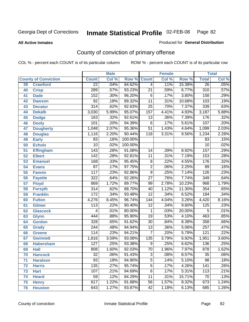**All Active Inmates**

#### Produced for **General Distribution**

# County of conviction of primary offense

|    |                             |                  | <b>Male</b> |         | <b>Female</b>    |       |        | <b>Total</b>     |         |
|----|-----------------------------|------------------|-------------|---------|------------------|-------|--------|------------------|---------|
|    | <b>County of Conviction</b> | <b>Count</b>     | Col %       | Row %   | <b>Count</b>     | Col % | Row %  | <b>Total</b>     | Col %   |
| 39 | <b>Crawford</b>             | $\overline{22}$  | .04%        | 84.62%  | $\overline{4}$   | .11%  | 15.38% | $\overline{26}$  | .05%    |
| 40 | <b>Crisp</b>                | 289              | .57%        | 93.23%  | $\overline{21}$  | .59%  | 6.77%  | $\overline{310}$ | .57%    |
| 41 | <b>Dade</b>                 | 152              | .30%        | 96.20%  | 6                | .17%  | 3.80%  | 158              | .29%    |
| 42 | <b>Dawson</b>               | $\overline{92}$  | .18%        | 89.32%  | $\overline{11}$  | .31%  | 10.68% | 103              | .19%    |
| 43 | <b>Decatur</b>              | $\overline{314}$ | .62%        | 92.63%  | $\overline{25}$  | .70%  | 7.37%  | 339              | .63%    |
| 44 | <b>Dekalb</b>               | 3,030            | 5.99%       | 95.07%  | 157              | 4.41% | 4.93%  | 3,187            | 5.88%   |
| 45 | <b>Dodge</b>                | 163              | .32%        | 92.61%  | 13               | .36%  | 7.39%  | 176              | .32%    |
| 46 | <b>Dooly</b>                | 101              | .20%        | 94.39%  | 6                | .17%  | 5.61%  | 107              | .20%    |
| 47 | <b>Dougherty</b>            | 1,048            | 2.07%       | 95.36%  | $\overline{51}$  | 1.43% | 4.64%  | 1,099            | 2.03%   |
| 48 | <b>Douglas</b>              | 1,116            | 2.20%       | 90.44%  | $\overline{118}$ | 3.31% | 9.56%  | 1,234            | 2.28%   |
| 49 | <b>Early</b>                | 83               | .16%        | 100.00% |                  |       |        | 83               | .15%    |
| 50 | <b>Echols</b>               | $\overline{10}$  | .02%        | 100.00% |                  |       |        | 10               | .02%    |
| 51 | <b>Effingham</b>            | 143              | .28%        | 91.08%  | 14               | .39%  | 8.92%  | 157              | .29%    |
| 52 | <b>Elbert</b>               | $\overline{142}$ | .28%        | 92.81%  | 11               | .31%  | 7.19%  | 153              | .28%    |
| 53 | <b>Emanuel</b>              | 168              | .33%        | 95.45%  | $\overline{8}$   | .22%  | 4.55%  | 176              | .32%    |
| 54 | <b>Evans</b>                | $\overline{87}$  | .17%        | 97.75%  | $\overline{2}$   | .06%  | 2.25%  | 89               | .16%    |
| 55 | <b>Fannin</b>               | $\overline{117}$ | .23%        | 92.86%  | $\overline{9}$   | .25%  | 7.14%  | $\overline{126}$ | .23%    |
| 56 | <b>Fayette</b>              | $\overline{322}$ | .64%        | 92.26%  | $\overline{27}$  | .76%  | 7.74%  | 349              | .64%    |
| 57 | <b>Floyd</b>                | 869              | 1.72%       | 89.77%  | 99               | 2.78% | 10.23% | 968              | 1.79%   |
| 58 | <b>Forsyth</b>              | 314              | .62%        | 88.70%  | 40               | 1.12% | 11.30% | 354              | .65%    |
| 59 | <b>Franklin</b>             | 172              | .34%        | 93.48%  | $\overline{12}$  | .34%  | 6.52%  | 184              | .34%    |
| 60 | <b>Fulton</b>               | 4,276            | 8.45%       | 96.74%  | $\overline{144}$ | 4.04% | 3.26%  | 4,420            | 8.16%   |
| 61 | Gilmer                      | 113              | .22%        | 90.40%  | $\overline{12}$  | .34%  | 9.60%  | 125              | .23%    |
| 62 | <b>Glascock</b>             | 4                | .01%        | 80.00%  | 1                | .03%  | 20.00% | 5                | .01%    |
| 63 | <b>Glynn</b>                | 444              | .88%        | 95.90%  | $\overline{19}$  | .53%  | 4.10%  | 463              | .85%    |
| 64 | <b>Gordon</b>               | 328              | .65%        | 91.62%  | $\overline{30}$  | .84%  | 8.38%  | 358              | .66%    |
| 65 | <b>Grady</b>                | $\overline{244}$ | .48%        | 94.94%  | $\overline{13}$  | .36%  | 5.06%  | $\overline{257}$ | .47%    |
| 66 | <b>Greene</b>               | 114              | .23%        | 94.21%  | 7                | .20%  | 5.79%  | $\overline{121}$ | .22%    |
| 67 | <b>Gwinnett</b>             | 1,816            | 3.59%       | 93.08%  | 135              | 3.79% | 6.92%  | 1,951            | 3.60%   |
| 68 | <b>Habersham</b>            | 127              | .25%        | 93.38%  | $\overline{9}$   | .25%  | 6.62%  | 136              | .25%    |
| 69 | <b>Hall</b>                 | 808              | 1.60%       | 92.03%  | $\overline{70}$  | 1.96% | 7.97%  | 878              | 1.62%   |
| 70 | <b>Hancock</b>              | 32               | .06%        | 91.43%  | 3                | .08%  | 8.57%  | 35               | $.06\%$ |
| 71 | <b>Haralson</b>             | $\overline{93}$  | .18%        | 94.90%  | $\overline{5}$   | .14%  | 5.10%  | $\overline{98}$  | .18%    |
| 72 | <b>Harris</b>               | $\overline{135}$ | .27%        | 95.74%  | $\overline{6}$   | .17%  | 4.26%  | 141              | .26%    |
| 73 | <b>Hart</b>                 | 107              | .21%        | 94.69%  | $\overline{6}$   | .17%  | 5.31%  | 113              | .21%    |
| 74 | <b>Heard</b>                | 59               | .12%        | 84.29%  | 11               | .31%  | 15.71% | 70               | .13%    |
| 75 | <b>Henry</b>                | 617              | 1.22%       | 91.68%  | 56               | 1.57% | 8.32%  | 673              | 1.24%   |
| 76 | <b>Houston</b>              | 643              | 1.27%       | 93.87%  | 42               | 1.18% | 6.13%  | 685              | 1.26%   |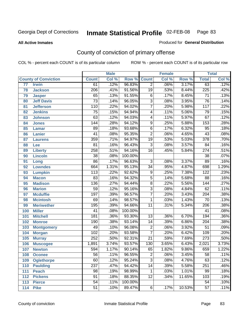#### **All Active Inmates**

#### Produced for **General Distribution**

# County of conviction of primary offense

|                 |                             |                  | <b>Male</b> |         |                 | <b>Female</b> |        |                  | <b>Total</b> |
|-----------------|-----------------------------|------------------|-------------|---------|-----------------|---------------|--------|------------------|--------------|
|                 | <b>County of Conviction</b> | <b>Count</b>     | Col %       | Row %   | <b>Count</b>    | Col %         | Row %  | <b>Total</b>     | Col %        |
| $\overline{77}$ | <b>Irwin</b>                | 61               | .12%        | 96.83%  | $\overline{2}$  | .06%          | 3.17%  | 63               | .12%         |
| 78              | <b>Jackson</b>              | 206              | .41%        | 91.56%  | $\overline{19}$ | .53%          | 8.44%  | $\overline{225}$ | .42%         |
| 79              | <b>Jasper</b>               | 65               | .13%        | 91.55%  | 6               | .17%          | 8.45%  | $\overline{71}$  | .13%         |
| 80              | <b>Jeff Davis</b>           | $\overline{73}$  | .14%        | 96.05%  | $\overline{3}$  | .08%          | 3.95%  | $\overline{76}$  | .14%         |
| 81              | <b>Jefferson</b>            | 110              | .22%        | 94.02%  | $\overline{7}$  | .20%          | 5.98%  | $\overline{117}$ | .22%         |
| 82              | <b>Jenkins</b>              | $\overline{75}$  | .15%        | 94.94%  | 4               | .11%          | 5.06%  | 79               | .15%         |
| 83              | <b>Johnson</b>              | 63               | .12%        | 94.03%  | 4               | .11%          | 5.97%  | $\overline{67}$  | .12%         |
| 84              | <b>Jones</b>                | 144              | .28%        | 94.12%  | 9               | .25%          | 5.88%  | 153              | .28%         |
| 85              | <b>Lamar</b>                | 89               | .18%        | 93.68%  | $\overline{6}$  | .17%          | 6.32%  | 95               | .18%         |
| 86              | <b>Lanier</b>               | $\overline{41}$  | .08%        | 95.35%  | $\overline{2}$  | .06%          | 4.65%  | 43               | .08%         |
| 87              | <b>Laurens</b>              | 359              | .71%        | 94.97%  | $\overline{19}$ | .53%          | 5.03%  | $\overline{378}$ | .70%         |
| 88              | Lee                         | 81               | .16%        | 96.43%  | $\overline{3}$  | .08%          | 3.57%  | 84               | .16%         |
| 89              | <b>Liberty</b>              | 258              | .51%        | 94.16%  | $\overline{16}$ | .45%          | 5.84%  | $\overline{274}$ | .51%         |
| 90              | <b>Lincoln</b>              | $\overline{38}$  | .08%        | 100.00% |                 |               |        | $\overline{38}$  | .07%         |
| 91              | Long                        | $\overline{86}$  | .17%        | 96.63%  | $\overline{3}$  | .08%          | 3.37%  | 89               | .16%         |
| 92              | <b>Lowndes</b>              | 664              | 1.31%       | 95.13%  | $\overline{34}$ | .95%          | 4.87%  | 698              | 1.29%        |
| 93              | <b>Lumpkin</b>              | $\overline{113}$ | .22%        | 92.62%  | $\overline{9}$  | .25%          | 7.38%  | $\overline{122}$ | .23%         |
| 94              | <b>Macon</b>                | 83               | .16%        | 94.32%  | $\overline{5}$  | .14%          | 5.68%  | $\overline{88}$  | .16%         |
| 95              | <b>Madison</b>              | 136              | .27%        | 94.44%  | $\overline{8}$  | .22%          | 5.56%  | 144              | .27%         |
| 96              | <b>Marion</b>               | 59               | .12%        | 95.16%  | $\overline{3}$  | .08%          | 4.84%  | 62               | .11%         |
| 97              | <b>Mcduffie</b>             | 197              | .39%        | 96.57%  | $\overline{7}$  | .20%          | 3.43%  | $\overline{204}$ | .38%         |
| 98              | <b>Mcintosh</b>             | 69               | .14%        | 98.57%  | 1               | .03%          | 1.43%  | $\overline{70}$  | .13%         |
| 99              | <b>Meriwether</b>           | 195              | .39%        | 94.66%  | $\overline{11}$ | .31%          | 5.34%  | $\overline{206}$ | .38%         |
| 100             | <b>Miller</b>               | $\overline{41}$  | .08%        | 100.00% |                 |               |        | 41               | .08%         |
| 101             | <b>Mitchell</b>             | 181              | .36%        | 93.30%  | 13              | .36%          | 6.70%  | 194              | .36%         |
| 102             | <b>Monroe</b>               | 190              | .38%        | 93.14%  | 14              | .39%          | 6.86%  | $\overline{204}$ | .38%         |
| 103             | <b>Montgomery</b>           | 49               | .10%        | 96.08%  | $\overline{2}$  | .06%          | 3.92%  | $\overline{51}$  | .09%         |
| 104             | <b>Morgan</b>               | 102              | .20%        | 93.58%  | 7               | .20%          | 6.42%  | 109              | .20%         |
| 105             | <b>Murray</b>               | 252              | .50%        | 92.31%  | $\overline{21}$ | .59%          | 7.69%  | $\overline{273}$ | .50%         |
| 106             | <b>Muscogee</b>             | 1,891            | 3.74%       | 93.57%  | 130             | 3.65%         | 6.43%  | 2,021            | 3.73%        |
| 107             | <b>Newton</b>               | 594              | 1.17%       | 90.14%  | 65              | 1.82%         | 9.86%  | 659              | 1.22%        |
| 108             | <b>Oconee</b>               | 56               | .11%        | 96.55%  | 2               | .06%          | 3.45%  | 58               | $.11\%$      |
| 109             | <b>Oglethorpe</b>           | 60               | .12%        | 95.24%  | $\overline{3}$  | .08%          | 4.76%  | 63               | .12%         |
| 110             | Paulding                    | $\overline{237}$ | .47%        | 94.42%  | 14              | .39%          | 5.58%  | 251              | .46%         |
| 111             | <b>Peach</b>                | 98               | .19%        | 98.99%  | 1               | .03%          | 1.01%  | 99               | .18%         |
| 112             | <b>Pickens</b>              | 91               | .18%        | 88.35%  | 12              | .34%          | 11.65% | 103              | .19%         |
| 113             | <b>Pierce</b>               | $\overline{54}$  | .11%        | 100.00% |                 |               |        | 54               | .10%         |
| 114             | <b>Pike</b>                 | $\overline{51}$  | .10%        | 89.47%  | 6               | .17%          | 10.53% | $\overline{57}$  | .11%         |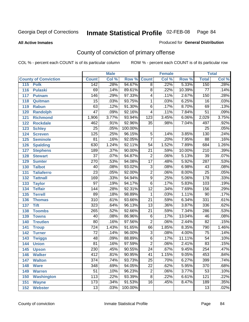**All Active Inmates**

### Produced for **General Distribution**

# County of conviction of primary offense

|     |                             |                  | <b>Male</b> |         |                 | <b>Female</b> |        |                  | <b>Total</b> |
|-----|-----------------------------|------------------|-------------|---------|-----------------|---------------|--------|------------------|--------------|
|     | <b>County of Conviction</b> | <b>Count</b>     | Col %       | Row %   | <b>Count</b>    | Col %         | Row %  | <b>Total</b>     | Col %        |
| 115 | <b>Polk</b>                 | 142              | .28%        | 94.67%  | $\overline{8}$  | .22%          | 5.33%  | 150              | .28%         |
| 116 | <b>Pulaski</b>              | 69               | .14%        | 89.61%  | $\overline{8}$  | .22%          | 10.39% | $\overline{77}$  | .14%         |
| 117 | <b>Putnam</b>               | 146              | .29%        | 97.33%  | 4               | .11%          | 2.67%  | 150              | .28%         |
| 118 | Quitman                     | $\overline{15}$  | .03%        | 93.75%  | $\mathbf 1$     | .03%          | 6.25%  | $\overline{16}$  | .03%         |
| 119 | <b>Rabun</b>                | 63               | .12%        | 91.30%  | $\overline{6}$  | .17%          | 8.70%  | 69               | .13%         |
| 120 | <b>Randolph</b>             | $\overline{47}$  | .09%        | 92.16%  | 4               | .11%          | 7.84%  | $\overline{51}$  | .09%         |
| 121 | <b>Richmond</b>             | 1,906            | 3.77%       | 93.94%  | 123             | 3.45%         | 6.06%  | 2,029            | 3.75%        |
| 122 | <b>Rockdale</b>             | 462              | .91%        | 92.96%  | 35              | .98%          | 7.04%  | 497              | .92%         |
| 123 | <b>Schley</b>               | $\overline{25}$  | .05%        | 100.00% |                 |               |        | $\overline{25}$  | .05%         |
| 124 | <b>Screven</b>              | $\overline{125}$ | .25%        | 96.15%  | $\overline{5}$  | .14%          | 3.85%  | 130              | .24%         |
| 125 | <b>Seminole</b>             | $\overline{81}$  | .16%        | 92.05%  | $\overline{7}$  | .20%          | 7.95%  | $\overline{88}$  | .16%         |
| 126 | <b>Spalding</b>             | 630              | 1.24%       | 92.11%  | 54              | 1.52%         | 7.89%  | 684              | 1.26%        |
| 127 | <b>Stephens</b>             | 189              | .37%        | 90.00%  | $\overline{21}$ | .59%          | 10.00% | $\overline{210}$ | .39%         |
| 128 | <b>Stewart</b>              | $\overline{37}$  | .07%        | 94.87%  | $\overline{2}$  | .06%          | 5.13%  | $\overline{39}$  | .07%         |
| 129 | <b>Sumter</b>               | 270              | .53%        | 94.08%  | $\overline{17}$ | .48%          | 5.92%  | 287              | .53%         |
| 130 | <b>Talbot</b>               | 40               | .08%        | 93.02%  | 3               | .08%          | 6.98%  | 43               | .08%         |
| 131 | <b>Taliaferro</b>           | $\overline{23}$  | .05%        | 92.00%  | $\overline{2}$  | .06%          | 8.00%  | $\overline{25}$  | .05%         |
| 132 | <b>Tattnall</b>             | 169              | .33%        | 94.94%  | $\overline{9}$  | .25%          | 5.06%  | 178              | .33%         |
| 133 | <b>Taylor</b>               | $\overline{97}$  | .19%        | 94.17%  | $\overline{6}$  | .17%          | 5.83%  | 103              | .19%         |
| 134 | <b>Telfair</b>              | 144              | .28%        | 92.31%  | $\overline{12}$ | .34%          | 7.69%  | 156              | .29%         |
| 135 | <b>Terrell</b>              | 89               | .18%        | 98.89%  | $\mathbf{1}$    | .03%          | 1.11%  | $\overline{90}$  | .17%         |
| 136 | <b>Thomas</b>               | $\overline{310}$ | .61%        | 93.66%  | $\overline{21}$ | .59%          | 6.34%  | 331              | .61%         |
| 137 | <b>Tift</b>                 | 323              | .64%        | 96.13%  | $\overline{13}$ | .36%          | 3.87%  | 336              | .62%         |
| 138 | <b>Toombs</b>               | $\overline{265}$ | .52%        | 92.66%  | 21              | .59%          | 7.34%  | 286              | .53%         |
| 139 | <b>Towns</b>                | 40               | .08%        | 86.96%  | $\overline{6}$  | .17%          | 13.04% | 46               | .08%         |
| 140 | <b>Treutlen</b>             | $\overline{80}$  | .16%        | 97.56%  | $\overline{2}$  | .06%          | 2.44%  | $\overline{82}$  | .15%         |
| 141 | <b>Troup</b>                | 724              | 1.43%       | 91.65%  | 66              | 1.85%         | 8.35%  | 790              | 1.46%        |
| 142 | <b>Turner</b>               | $\overline{72}$  | .14%        | 96.00%  | $\overline{3}$  | .08%          | 4.00%  | 75               | .14%         |
| 143 | <b>Twiggs</b>               | 48               | .09%        | 88.89%  | $\overline{6}$  | .17%          | 11.11% | $\overline{54}$  | .10%         |
| 144 | <b>Union</b>                | 81               | .16%        | 97.59%  | $\overline{2}$  | .06%          | 2.41%  | 83               | .15%         |
| 145 | <b>Upson</b>                | 230              | .45%        | 90.55%  | $\overline{24}$ | .67%          | 9.45%  | 254              | .47%         |
| 146 | <b>Walker</b>               | 412              | .81%        | 90.95%  | 41              | 1.15%         | 9.05%  | 453              | .84%         |
| 147 | <b>Walton</b>               | $\overline{374}$ | .74%        | 93.73%  | $\overline{25}$ | .70%          | 6.27%  | 399              | .74%         |
| 148 | <b>Ware</b>                 | 348              | .69%        | 94.05%  | $\overline{22}$ | .62%          | 5.95%  | $\overline{370}$ | .68%         |
| 149 | <b>Warren</b>               | $\overline{51}$  | .10%        | 96.23%  | 2               | .06%          | 3.77%  | 53               | .10%         |
| 150 | <b>Washington</b>           | $\overline{113}$ | .22%        | 93.39%  | 8               | .22%          | 6.61%  | 121              | .22%         |
| 151 | <b>Wayne</b>                | 173              | .34%        | 91.53%  | 16              | .45%          | 8.47%  | 189              | .35%         |
| 152 | <b>Webster</b>              | $\overline{13}$  | .03%        | 100.00% |                 |               |        | $\overline{13}$  | .02%         |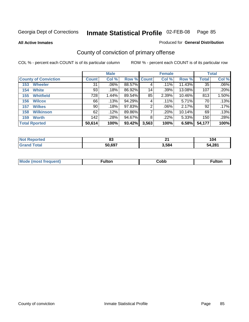**All Active Inmates**

#### Produced for **General Distribution**

# County of conviction of primary offense

|                             |              | <b>Male</b> |             |       | <b>Female</b> |        |              | <b>Total</b> |
|-----------------------------|--------------|-------------|-------------|-------|---------------|--------|--------------|--------------|
| <b>County of Conviction</b> | <b>Count</b> | Col %       | Row % Count |       | Col %         | Row %  | <b>Total</b> | Col %        |
| <b>Wheeler</b><br>153       | 31           | $.06\%$     | 88.57%      | 4     | .11%          | 11.43% | 35           | $.06\%$      |
| <b>White</b><br>154         | 93           | .18%        | 86.92%      | 14    | .39%          | 13.08% | 107          | $.20\%$      |
| <b>Whitfield</b><br>155     | 728          | 1.44%       | 89.54%      | 85    | 2.39%         | 10.46% | 813          | 1.50%        |
| <b>Wilcox</b><br>156        | 66           | .13%        | 94.29%      | 4     | .11%          | 5.71%  | 70           | .13%         |
| <b>Wilkes</b><br>157        | 90           | .18%        | 97.83%      | 2     | $.06\%$       | 2.17%  | 92           | .17%         |
| <b>Wilkinson</b><br>158     | 62           | .12%        | 89.86%      |       | .20%          | 10.14% | 69           | $.13\%$      |
| <b>Worth</b><br>159         | 142          | .28%        | 94.67%      | 8     | .22%          | 5.33%  | 150          | .28%         |
| <b>Total Rported</b>        | 50,614       | 100%        | 93.42%      | 3,563 | 100%          | 6.58%  | 54,177       | 100%         |

| Reported<br>' NOT | n.<br>ບປ | π.    | l V4        |
|-------------------|----------|-------|-------------|
| īota.<br>. Gr     | 50,697   | 3,584 | 4,281<br>מר |

| <b>Mo</b><br>uent) | ™ulton<br>_____ | obb∶ |  |
|--------------------|-----------------|------|--|
|                    |                 |      |  |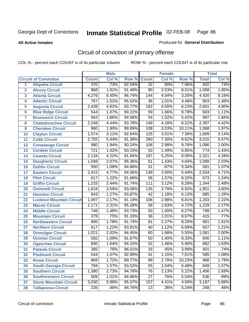**All Active Inmates**

#### Produced for **General Distribution**

# Circuit of conviction of primary offense

|                         |                                 |                  | <b>Male</b> |        |                  | <b>Female</b> |        |                  | <b>Total</b> |
|-------------------------|---------------------------------|------------------|-------------|--------|------------------|---------------|--------|------------------|--------------|
|                         | <b>Circuit of Conviction</b>    | <b>Count</b>     | Col %       | Row %  | <b>Count</b>     | Col %         | Row %  | <b>Total</b>     | Col %        |
| 1                       | <b>Alapaha Circuit</b>          | 370              | .73%        | 92.04% | $\overline{32}$  | .90%          | 7.96%  | 402              | .74%         |
| $\overline{2}$          | <b>Alcovy Circuit</b>           | 968              | 1.91%       | 91.49% | 90               | 2.53%         | 8.51%  | 1,058            | 1.95%        |
| $\overline{\mathbf{3}}$ | <b>Atlanta Circuit</b>          | 4,276            | 8.45%       | 96.74% | $\overline{144}$ | 4.04%         | 3.26%  | 4,420            | 8.16%        |
| 4                       | <b>Atlantic Circuit</b>         | 767              | 1.52%       | 95.52% | $\overline{36}$  | 1.01%         | 4.48%  | 803              | 1.48%        |
| 5                       | <b>Augusta Circuit</b>          | 2,439            | 4.82%       | 93.77% | 162              | 4.55%         | 6.23%  | 2,601            | 4.80%        |
| $6\phantom{a}$          | <b>Blue Ridge Circuit</b>       | 544              | 1.07%       | 90.22% | $\overline{59}$  | 1.66%         | 9.78%  | 603              | 1.11%        |
| $\overline{\mathbf{7}}$ | <b>Brunswick Circuit</b>        | 943              | 1.86%       | 94.58% | $\overline{54}$  | 1.52%         | 5.42%  | 997              | 1.84%        |
| 8                       | <b>Chattahoochee Circuit</b>    | 2,248            | 4.44%       | 93.78% | $\overline{149}$ | 4.18%         | 6.22%  | 2,397            | 4.42%        |
| 9                       | <b>Cherokee Circuit</b>         | 960              | 1.90%       | 89.89% | 108              | 3.03%         | 10.11% | 1,068            | 1.97%        |
| 10                      | <b>Clayton Circuit</b>          | 1,574            | 3.11%       | 92.64% | 125              | 3.51%         | 7.36%  | 1,699            | 3.14%        |
| 11                      | <b>Cobb Circuit</b>             | 2,755            | 5.44%       | 91.38% | 260              | 7.30%         | 8.62%  | 3,015            | 5.57%        |
| 12                      | <b>Conasauga Circuit</b>        | 980              | 1.94%       | 90.24% | 106              | 2.98%         | 9.76%  | 1,086            | 2.00%        |
| 13                      | <b>Cordele Circuit</b>          | $\overline{721}$ | 1.42%       | 93.15% | $\overline{53}$  | 1.49%         | 6.85%  | $\overline{774}$ | 1.43%        |
| 14                      | <b>Coweta Circuit</b>           | 2,134            | 4.22%       | 91.94% | 187              | 5.25%         | 8.06%  | 2,321            | 4.28%        |
| 15                      | <b>Dougherty Circuit</b>        | 1,048            | 2.07%       | 95.36% | 51               | 1.43%         | 4.64%  | 1,099            | 2.03%        |
| 16                      | <b>Dublin Circuit</b>           | 550              | 1.09%       | 94.66% | $\overline{31}$  | .87%          | 5.34%  | 581              | 1.07%        |
| 17                      | <b>Eastern Circuit</b>          | 2,415            | 4.77%       | 94.56% | 139              | 3.90%         | 5.44%  | 2,554            | 4.71%        |
| 18                      | <b>Flint Circuit</b>            | 617              | 1.22%       | 91.68% | $\overline{56}$  | 1.57%         | 8.32%  | 673              | 1.24%        |
| 19                      | <b>Griffin Circuit</b>          | 1,233            | 2.44%       | 91.74% | 111              | 3.12%         | 8.26%  | 1,344            | 2.48%        |
| 20                      | <b>Gwinnett Circuit</b>         | 1,816            | 3.59%       | 93.08% | 135              | 3.79%         | 6.92%  | 1,951            | 3.60%        |
| 21                      | <b>Houston Circuit</b>          | 643              | 1.27%       | 93.87% | $\overline{42}$  | 1.18%         | 6.13%  | 685              | 1.26%        |
| 22                      | <b>Lookout Mountain Circuit</b> | 1,097            | 2.17%       | 91.19% | 106              | 2.98%         | 8.81%  | 1,203            | 2.22%        |
| 23                      | <b>Macon Circuit</b>            | 1,171            | 2.31%       | 95.28% | 58               | 1.63%         | 4.72%  | 1,229            | 2.27%        |
| 24                      | <b>Middle Circuit</b>           | $\overline{748}$ | 1.48%       | 93.73% | $\overline{50}$  | 1.40%         | 6.27%  | 798              | 1.47%        |
| 25                      | <b>Mountain Circuit</b>         | $\overline{379}$ | .75%        | 91.33% | $\overline{36}$  | 1.01%         | 8.67%  | 415              | .77%         |
| 26                      | <b>Northeastern Circuit</b>     | 900              | 1.78%       | 91.74% | $\overline{81}$  | 2.27%         | 8.26%  | 981              | 1.81%        |
| 27                      | <b>Northern Circuit</b>         | $\overline{617}$ | 1.22%       | 93.91% | 40               | 1.12%         | 6.09%  | 657              | 1.21%        |
| 28                      | <b>Ocmulgee Circuit</b>         | 1,021            | 2.02%       | 94.45% | 60               | 1.68%         | 5.55%  | 1,081            | 2.00%        |
| 29                      | <b>Oconee Circuit</b>           | 550              | 1.09%       | 91.67% | $\overline{50}$  | 1.40%         | 8.33%  | 600              | 1.11%        |
| 30                      | <b>Ogeechee Circuit</b>         | 830              | 1.64%       | 94.10% | $\overline{52}$  | 1.46%         | 5.90%  | 882              | 1.63%        |
| $\overline{31}$         | <b>Pataula Circuit</b>          | 385              | .76%        | 96.01% | 16               | .45%          | 3.99%  | 401              | .74%         |
| 32                      | <b>Piedmont Circuit</b>         | 544              | 1.07%       | 92.99% | 41               | 1.15%         | 7.01%  | 585              | $1.08\%$     |
| 33                      | <b>Rome Circuit</b>             | 869              | 1.72%       | 89.77% | 99               | 2.78%         | 10.23% | 968              | 1.79%        |
| 34                      | <b>South Georgia Circuit</b>    | $\overline{794}$ | 1.57%       | 93.52% | $\overline{55}$  | 1.54%         | 6.48%  | 849              | 1.57%        |
| 35                      | <b>Southern Circuit</b>         | 1,380            | 2.73%       | 94.78% | 76               | 2.13%         | 5.22%  | 1,456            | 2.69%        |
| 36                      | <b>Southwestern Circuit</b>     | 509              | 1.01%       | 94.96% | $\overline{27}$  | .76%          | 5.04%  | 536              | .99%         |
| 37                      | <b>Stone Mountain Circuit</b>   | 3,030            | 5.99%       | 95.07% | 157              | 4.41%         | 4.93%  | 3,187            | 5.88%        |
| 38                      | <b>Tallapoosa Circuit</b>       | $\overline{235}$ | .46%        | 94.76% | 13               | .36%          | 5.24%  | $\overline{248}$ | .46%         |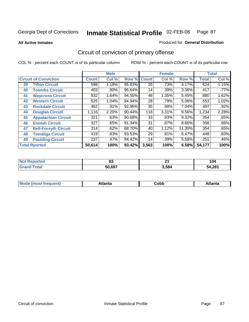**All Active Inmates**

#### Produced for **General Distribution**

# Circuit of conviction of primary offense

|    |                              |              | <b>Male</b> |        |              | <b>Female</b> |          |              | <b>Total</b> |  |
|----|------------------------------|--------------|-------------|--------|--------------|---------------|----------|--------------|--------------|--|
|    | <b>Circuit of Conviction</b> | <b>Count</b> | Col %       | Row %  | <b>Count</b> | Col %         | Row %    | <b>Total</b> | Col %        |  |
| 39 | <b>Tifton Circuit</b>        | 598          | 1.18%       | 95.83% | 26           | .73%          | 4.17%    | 624          | 1.15%        |  |
| 40 | <b>Toombs Circuit</b>        | 403          | .80%        | 96.64% | 14           | .39%          | 3.36%    | 417          | .77%         |  |
| 41 | <b>Waycross Circuit</b>      | 832          | 1.64%       | 94.55% | 48           | 1.35%         | 5.45%    | 880          | 1.62%        |  |
| 42 | <b>Western Circuit</b>       | 525          | 1.04%       | 94.94% | 28           | .79%          | 5.06%    | 553          | 1.02%        |  |
| 43 | <b>Rockdale Circuit</b>      | 462          | .91%        | 92.96% | 35           | .98%          | 7.04%    | 497          | $.92\%$      |  |
| 44 | <b>Douglas Circuit</b>       | 1,116        | 2.20%       | 90.44% | 118          | 3.31%         | $9.56\%$ | 1,234        | 2.28%        |  |
| 45 | <b>Appalachian Circuit</b>   | 321          | .63%        | 90.68% | 33           | .93%          | 9.32%    | 354          | .65%         |  |
| 46 | <b>Enotah Circuit</b>        | 327          | .65%        | 91.34% | 31           | $.87\%$       | 8.66%    | 358          | .66%         |  |
| 47 | <b>Bell-Forsyth Circuit</b>  | 314          | .62%        | 88.70% | 40           | 1.12%         | 11.30%   | 354          | .65%         |  |
| 48 | <b>Towaliga Circuit</b>      | 419          | .83%        | 93.53% | 29           | .81%          | 6.47%    | 448          | .83%         |  |
| 49 | <b>Paulding Circuit</b>      | 237          | .47%        | 94.42% | 14           | .39%          | 5.58%    | 251          | .46%         |  |
|    | <b>Total Rported</b>         | 50,614       | 100%        | 93.42% | 3,563        | 100%          | 6.58%    | 54,177       | 100%         |  |

| N6<br>тео | $\mathbf{C}$<br>ບບ | п.<br>- - | l U4        |
|-----------|--------------------|-----------|-------------|
|           | 50.697             | 3,584     | 4,281<br>מי |

| M, | $+1 - - + -$<br>annu -<br>uu | ∶obb<br>- - - - - | .<br>чна<br>- --------- |
|----|------------------------------|-------------------|-------------------------|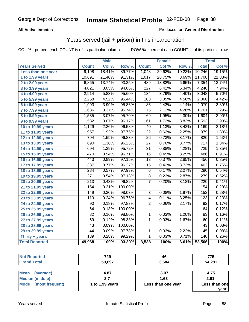### **All Active Inmates**

### Produced for **General Distribution**

### Years served (jail + prison) in this incarceration

|                                |                  | <b>Male</b> |         |                  | <b>Female</b> |        |                  | <b>Total</b>               |
|--------------------------------|------------------|-------------|---------|------------------|---------------|--------|------------------|----------------------------|
| <b>Years Served</b>            | <b>Count</b>     | Col %       | Row %   | <b>Count</b>     | Col %         | Row %  | <b>Total</b>     | $\overline{\text{Col }\%}$ |
| Less than one year             | 9,198            | 18.41%      | 89.77%  | 1,048            | 29.62%        | 10.23% | 10,246           | 19.15%                     |
| 1 to 1.99 years                | 10,691           | 21.40%      | 91.31%  | 1,017            | 28.75%        | 8.69%  | 11,708           | 21.88%                     |
| 2 to 2.99 years                | 6,865            | 13.74%      | 93.35%  | 489              | 13.82%        | 6.65%  | 7,354            | 13.74%                     |
| 3 to 3.99 years                | 4,021            | 8.05%       | 94.66%  | $\overline{227}$ | 6.42%         | 5.34%  | 4,248            | 7.94%                      |
| 4 to 4.99 years                | 2,914            | 5.83%       | 95.60%  | $\overline{134}$ | 3.79%         | 4.40%  | 3,048            | 5.70%                      |
| $\overline{5}$ to 5.99 years   | 2,258            | 4.52%       | 95.44%  | 108              | 3.05%         | 4.56%  | 2,366            | 4.42%                      |
| 6 to 6.99 years                | 1,993            | 3.99%       | 95.86%  | 86               | 2.43%         | 4.14%  | 2,079            | 3.89%                      |
| 7 to 7.99 years                | 1,686            | 3.37%       | 95.74%  | $\overline{75}$  | 2.12%         | 4.26%  | 1,761            | 3.29%                      |
| <b>8 to 8.99 years</b>         | 1,535            | 3.07%       | 95.70%  | 69               | 1.95%         | 4.30%  | 1,604            | 3.00%                      |
| 9 to 9.99 years                | 1,532            | 3.07%       | 96.17%  | 61               | 1.72%         | 3.83%  | 1,593            | 2.98%                      |
| 10 to 10.99 years              | 1,129            | 2.26%       | 96.58%  | 40               | 1.13%         | 3.42%  | 1,169            | 2.18%                      |
| 11 to 11.99 years              | 957              | 1.92%       | 97.75%  | $\overline{22}$  | 0.62%         | 2.25%  | $\overline{979}$ | 1.83%                      |
| 12 to 12.99 years              | 794              | 1.59%       | 96.83%  | $\overline{26}$  | 0.73%         | 3.17%  | 820              | 1.53%                      |
| 13 to 13.99 years              | 690              | 1.38%       | 96.23%  | 27               | 0.76%         | 3.77%  | 717              | 1.34%                      |
| 14 to 14.99 years              | 694              | 1.39%       | 95.72%  | 31               | 0.88%         | 4.28%  | 725              | 1.35%                      |
| 15 to 15.99 years              | 470              | 0.94%       | 96.71%  | 16               | 0.45%         | 3.29%  | 486              | 0.91%                      |
| 16 to 16.99 years              | $\overline{443}$ | 0.89%       | 97.15%  | $\overline{13}$  | 0.37%         | 2.85%  | 456              | 0.85%                      |
| 17 to 17.99 years              | 387              | 0.77%       | 96.27%  | $\overline{15}$  | 0.42%         | 3.73%  | 402              | 0.75%                      |
| 18 to 18.99 years              | 284              | 0.57%       | 97.93%  | $\overline{6}$   | 0.17%         | 2.07%  | 290              | 0.54%                      |
| 19 to 19.99 years              | $\overline{271}$ | 0.54%       | 97.13%  | $\overline{8}$   | 0.23%         | 2.87%  | $\overline{279}$ | 0.52%                      |
| 20 to 20.99 years              | $\overline{213}$ | 0.43%       | 96.82%  | 7                | 0.20%         | 3.18%  | $\overline{220}$ | 0.41%                      |
| $\overline{21}$ to 21.99 years | 154              | 0.31%       | 100.00% |                  |               |        | 154              | 0.29%                      |
| 22 to 22.99 years              | 149              | 0.30%       | 98.03%  | $\overline{3}$   | 0.08%         | 1.97%  | 152              | 0.28%                      |
| 23 to 23.99 years              | $\overline{119}$ | 0.24%       | 96.75%  | 4                | 0.11%         | 3.25%  | $\overline{123}$ | 0.23%                      |
| 24 to 24.99 years              | 90               | 0.18%       | 97.83%  | $\overline{2}$   | 0.06%         | 2.17%  | 92               | 0.17%                      |
| 25 to 25.99 years              | 64               | 0.13%       | 100.00% |                  |               |        | 64               | 0.12%                      |
| 26 to 26.99 years              | 82               | 0.16%       | 98.80%  | 1                | 0.03%         | 1.20%  | 83               | 0.16%                      |
| 27 to 27.99 years              | 59               | 0.12%       | 98.33%  | $\overline{1}$   | 0.03%         | 1.67%  | 60               | 0.11%                      |
| 28 to 28.99 years              | $\overline{43}$  | 0.09%       | 100.00% |                  |               |        | $\overline{43}$  | 0.08%                      |
| 29 to 29.99 years              | 44               | 0.09%       | 97.78%  | 1                | 0.03%         | 2.22%  | 45               | 0.08%                      |
| Thirty + years                 | 139              | 0.28%       | 99.29%  | $\overline{1}$   | 0.03%         | 0.71%  | 140              | 0.26%                      |
| <b>Total Reported</b>          | 49,968           | 100%        | 93.39%  | 3,538            | 100%          | 6.61%  | 53,506           | $\overline{100\%}$         |

| <b>Not Reported</b>      | 729             | 46                 | 775           |
|--------------------------|-----------------|--------------------|---------------|
| <b>Grand Total</b>       | 50,697          | 3,584              | 54,281        |
|                          |                 |                    |               |
| <b>Mean</b><br>(average) | 4.87            | 3.07               | 4.75          |
| <b>Median (middle)</b>   | 2.7             | 1.63               | 2.61          |
| Mode (most frequent)     | 1 to 1.99 years | Less than one year | Less than one |
|                          |                 |                    | year          |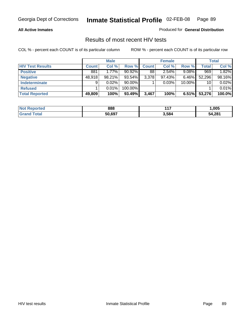#### **All Active Inmates**

Produced for **General Distribution**

### Results of most recent HIV tests

|                         |              | <b>Male</b> |           |              | <b>Female</b> |          |              | <b>Total</b> |
|-------------------------|--------------|-------------|-----------|--------------|---------------|----------|--------------|--------------|
| <b>HIV Test Results</b> | <b>Count</b> | Col %       | Row %     | <b>Count</b> | Col %         | Row %    | <b>Total</b> | Col %        |
| <b>Positive</b>         | 881          | $1.77\%$    | $90.92\%$ | 88           | 2.54%         | $9.08\%$ | 969          | 1.82%        |
| <b>Negative</b>         | 48,918       | 98.21%      | 93.54%    | 3,378        | 97.43%        | $6.46\%$ | 52,296       | 98.16%       |
| <b>Indeterminate</b>    | 9            | $0.02\%$    | $90.00\%$ |              | 0.03%         | 10.00%   | 10           | 0.02%        |
| <b>Refused</b>          |              | 0.01%       | 100.00%   |              |               |          |              | 0.01%        |
| <b>Total Reported</b>   | 49,809       | 100%        | 93.49%    | 3,467        | 100%          | 6.51%    | 53,276       | 100.0%       |

| <b>Not</b><br><b>rted</b> | 888    | $44-$<br>- - - | ,005   |
|---------------------------|--------|----------------|--------|
| `otal<br><b>Sranc</b>     | 50.697 | 3,584          | 54.281 |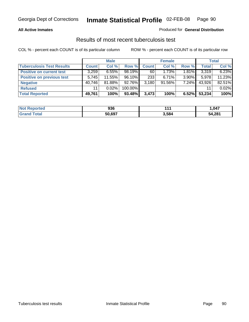### **All Active Inmates**

### Produced for **General Distribution**

### Results of most recent tuberculosis test

|                                  |              | <b>Male</b> |         |              | <b>Female</b> |          |              | <b>Total</b> |
|----------------------------------|--------------|-------------|---------|--------------|---------------|----------|--------------|--------------|
| <b>Tuberculosis Test Results</b> | <b>Count</b> | Col %       | Row %   | <b>Count</b> | Col %         | Row %    | <b>Total</b> | Col %        |
| <b>Positive on current test</b>  | 3,259        | 6.55%       | 98.19%  | 60           | 1.73%         | $1.81\%$ | 3,319        | 6.23%        |
| <b>Positive on previous test</b> | 5,745        | 11.55%      | 96.10%  | 233          | $6.71\%$      | $3.90\%$ | 5,978        | 11.23%       |
| <b>Negative</b>                  | 40.746       | 81.88%      | 92.76%  | 3.180        | $91.56\%$     | $7.24\%$ | 43,926       | 82.51%       |
| <b>Refused</b>                   | 11           | $0.02\%$    | 100.00% |              |               |          | 11           | 0.02%        |
| <b>Total Reported</b>            | 49,761       | 100%        | 93.48%  | 3,473        | 100%          | 6.52%    | 53,234       | 100%         |

| <b>Not</b><br>Reported | 936    | 4 4 4 | .047   |
|------------------------|--------|-------|--------|
| <b>Grand</b><br>™otal  | 50,697 | 3,584 | 54,281 |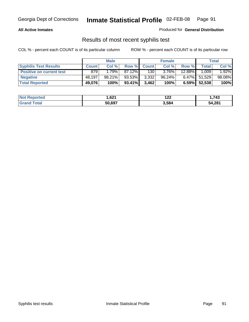#### **All Active Inmates**

Produced for **General Distribution**

### Results of most recent syphilis test

|                                 | <b>Male</b>  |        |        | <b>Female</b> |           | Total    |        |        |
|---------------------------------|--------------|--------|--------|---------------|-----------|----------|--------|--------|
| <b>Syphilis Test Results</b>    | <b>Count</b> | Col %  | Row %  | <b>Count</b>  | Col %     | Row %    | Total  | Col %  |
| <b>Positive on current test</b> | 879          | 1.79%  | 87.12% | 130           | $3.76\%$  | 12.88%   | 1.009  | 1.92%  |
| <b>Negative</b>                 | 48,197       | 98.21% | 93.53% | 3,332         | $96.24\%$ | $6.47\%$ | 51,529 | 98.08% |
| <b>Total Reported</b>           | 49,076       | 100%   | 93.41% | 3,462         | 100%      | 6.59%    | 52,538 | 100%   |

| <b>Not Reported</b>     | 621. ا | ィクペ<br>144 | .743   |
|-------------------------|--------|------------|--------|
| <b>Total</b><br>' Grand | 50.697 | 3,584      | 54,281 |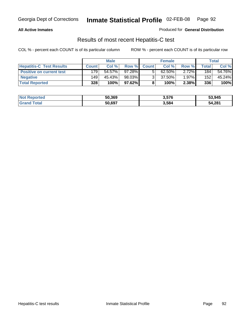#### **All Active Inmates**

Produced for **General Distribution**

### Results of most recent Hepatitis-C test

|                                 | <b>Male</b>  |        |        | <b>Female</b> |           | Total    |             |        |
|---------------------------------|--------------|--------|--------|---------------|-----------|----------|-------------|--------|
| <b>Hepatitis-C Test Results</b> | <b>Count</b> | Col %  | Row %I | <b>Count</b>  | Col %     | Row %    | $\tau$ otal | Col %  |
| <b>Positive on current test</b> | 179          | 54.57% | 97.28% |               | $62.50\%$ | $2.72\%$ | 184         | 54.76% |
| <b>Negative</b>                 | 149          | 45.43% | 98.03% |               | 37.50%    | $1.97\%$ | 152         | 45.24% |
| <b>Total Reported</b>           | 328          | 100%   | 97.62% |               | 100%      | 2.38%    | 336         | 100%   |

| <b>Not Reported</b> | 50,369 | 3,576 | 53,945 |
|---------------------|--------|-------|--------|
| <b>Grand Total</b>  | 50,697 | 3,584 | 54,281 |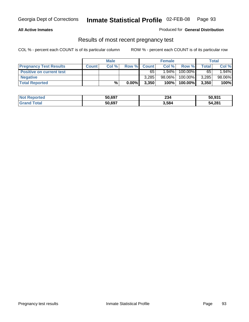### **All Active Inmates**

#### Produced for **General Distribution**

### Results of most recent pregnancy test

|                                 | <b>Male</b>  |       | <b>Female</b> |              |          | Total   |       |        |
|---------------------------------|--------------|-------|---------------|--------------|----------|---------|-------|--------|
| <b>Pregnancy Test Results</b>   | <b>Count</b> | Col % | Row %         | <b>Count</b> | Col %    | Row %   | Total | Col %  |
| <b>Positive on current test</b> |              |       |               | 65           | $1.94\%$ | 100.00% | 65    | 1.94%  |
| <b>Negative</b>                 |              |       |               | 3.285        | 98.06%   | 100.00% | 3,285 | 98.06% |
| <b>Total Reported</b>           |              | %     | $0.00\%$      | 3,350        | 100%     | 100.00% | 3,350 | 100%   |

| <b>Not Reported</b> | 50,697 | 234   | 50,931 |
|---------------------|--------|-------|--------|
| <b>Grand Total</b>  | 50.697 | 3,584 | 54,281 |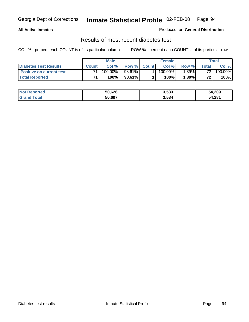### **All Active Inmates**

#### Produced for **General Distribution**

### Results of most recent diabetes test

|                                 | <b>Male</b>  |            |        |              | <b>Female</b> |          | Total           |         |
|---------------------------------|--------------|------------|--------|--------------|---------------|----------|-----------------|---------|
| <b>Diabetes Test Results</b>    | <b>Count</b> | Col %      | Row %  | <b>Count</b> | Col %         | Row %I   | Total           | Col %   |
| <b>Positive on current test</b> | 71           | $100.00\%$ | 98.61% |              | $100.00\%$    | $1.39\%$ | 72 i            | 100.00% |
| <b>Total Reported</b>           | 74           | 100%       | 98.61% |              | 100%          | 1.39%    | 72 <sub>1</sub> | 100%    |

| <b>Not Reported</b>   | 50,626 | 3,583 | 54,209 |
|-----------------------|--------|-------|--------|
| Total<br><b>Grand</b> | 50.697 | 3,584 | 54,281 |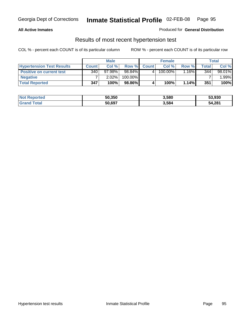#### **All Active Inmates**

### Produced for **General Distribution**

### Results of most recent hypertension test

|                                  | <b>Male</b>      |          |         |              | <b>Female</b> |          | Total |        |
|----------------------------------|------------------|----------|---------|--------------|---------------|----------|-------|--------|
| <b>Hypertension Test Results</b> | <b>Count</b>     | Col %    | Row %   | <b>Count</b> | Col%          | Row %    | Total | Col %  |
| <b>Positive on current test</b>  | 340 <sub>1</sub> | 97.98%   | 98.84%  |              | 100.00%       | $1.16\%$ | 344   | 98.01% |
| <b>Negative</b>                  |                  | $2.02\%$ | 100.00% |              |               |          |       | .99%   |
| <b>Total Reported</b>            | 347              | 100%     | 98.86%  |              | 100%          | $1.14\%$ | 351   | 100%   |

| <b>Not Reported</b> | 50,350 | 3,580 | 53,930 |
|---------------------|--------|-------|--------|
| <b>Grand Total</b>  | 50,697 | 3,584 | 54,281 |